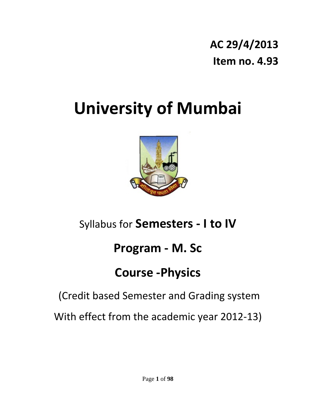## **AC 29/4/2013 Item no. 4.93**

# **University of Mumbai**



## Syllabus for **Semesters ‐ I to IV**

## **Program ‐ M. Sc**

## **Course ‐Physics**

## (Credit based Semester and Grading system

With effect from the academic year 2012‐13)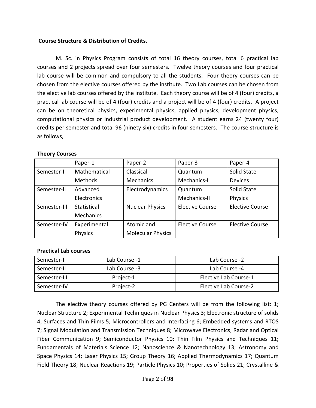#### **Course Structure & Distribution of Credits.**

M. Sc. in Physics Program consists of total 16 theory courses, total 6 practical lab courses and 2 projects spread over four semesters. Twelve theory courses and four practical lab course will be common and compulsory to all the students. Four theory courses can be chosen from the elective courses offered by the institute. Two Lab courses can be chosen from the elective lab courses offered by the institute. Each theory course will be of 4 (four) credits, a practical lab course will be of 4 (four) credits and a project will be of 4 (four) credits. A project can be on theoretical physics, experimental physics, applied physics, development physics, computational physics or industrial product development. A student earns 24 (twenty four) credits per semester and total 96 (ninety six) credits in four semesters. The course structure is as follows,

#### Paper‐1 | Paper‐2 | Paper‐3 | Paper‐4 Semester‐I Mathematical Methods Classical **Mechanics** Quantum Mechanics‐I Solid State Devices Semester-II | Advanced **Electronics** Electrodynamics Quantum Mechanics‐II Solid State Physics Semester-III | Statistical Mechanics Nuclear Physics | Elective Course | Elective Course Semester-IV | Experimental Physics Atomic and Molecular Physics Elective Course | Elective Course

#### **Theory Courses**

#### **Practical Lab courses**

| Semester-I   | Lab Course -1 | Lab Course -2         |
|--------------|---------------|-----------------------|
| Semester-II  | Lab Course -3 | Lab Course -4         |
| Semester-III | Project-1     | Elective Lab Course-1 |
| Semester-IV  | Project-2     | Elective Lab Course-2 |

The elective theory courses offered by PG Centers will be from the following list: 1; Nuclear Structure 2; Experimental Techniques in Nuclear Physics 3; Electronic structure of solids 4; Surfaces and Thin Films 5; Microcontrollers and Interfacing 6; Embedded systems and RTOS 7; Signal Modulation and Transmission Techniques 8; Microwave Electronics, Radar and Optical Fiber Communication 9; Semiconductor Physics 10; Thin Film Physics and Techniques 11; Fundamentals of Materials Science 12; Nanoscience & Nanotechnology 13; Astronomy and Space Physics 14; Laser Physics 15; Group Theory 16; Applied Thermodynamics 17; Quantum Field Theory 18; Nuclear Reactions 19; Particle Physics 10; Properties of Solids 21; Crystalline &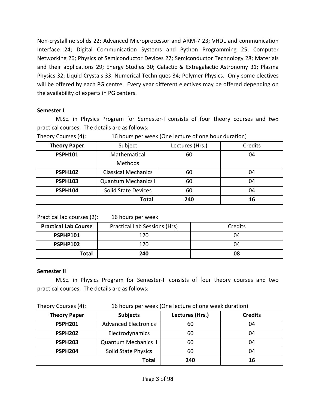Non-crystalline solids 22; Advanced Microprocessor and ARM-7 23; VHDL and communication Interface 24; Digital Communication Systems and Python Programming 25; Computer Networking 26; Physics of Semiconductor Devices 27; Semiconductor Technology 28; Materials and their applications 29; Energy Studies 30; Galactic & Extragalactic Astronomy 31; Plasma Physics 32; Liquid Crystals 33; Numerical Techniques 34; Polymer Physics. Only some electives will be offered by each PG centre. Every year different electives may be offered depending on the availability of experts in PG centers.

#### **Semester I**

M.Sc. in Physics Program for Semester‐I consists of four theory courses and two practical courses. The details are as follows:

| <b>Theory Paper</b> | Subject                    | Lectures (Hrs.) | Credits |  |
|---------------------|----------------------------|-----------------|---------|--|
| <b>PSPH101</b>      | Mathematical               | 60              | 04      |  |
|                     | Methods                    |                 |         |  |
| <b>PSPH102</b>      | <b>Classical Mechanics</b> | 60              | 04      |  |
| <b>PSPH103</b>      | <b>Quantum Mechanics I</b> | 60              | 04      |  |
| <b>PSPH104</b>      | <b>Solid State Devices</b> | 60              | 04      |  |
|                     | <b>Total</b>               | 240             | 16      |  |

Theory Courses (4): 16 hours per week (One lecture of one hour duration)

Practical lab courses (2): 16 hours per week

| <b>Practical Lab Course</b> | Practical Lab Sessions (Hrs) | Credits |
|-----------------------------|------------------------------|---------|
| <b>PSPHP101</b>             | 120                          | 04      |
| PSPHP102                    | 120                          | 04      |
| <b>Total</b>                | 240                          | 08      |

#### **Semester II**

M.Sc. in Physics Program for Semester‐II consists of four theory courses and two practical courses. The details are as follows:

Theory Courses (4): 16 hours per week (One lecture of one week duration)

| <b>Theory Paper</b> | <b>Subjects</b>             | Lectures (Hrs.) | <b>Credits</b> |
|---------------------|-----------------------------|-----------------|----------------|
| <b>PSPH201</b>      | <b>Advanced Electronics</b> | 60              | 04             |
| <b>PSPH202</b>      | Electrodynamics             | 60              | 04             |
| <b>PSPH203</b>      | <b>Quantum Mechanics II</b> | 60              | 04             |
| <b>PSPH204</b>      | Solid State Physics         | 60              | 04             |
|                     | Total                       | 240             |                |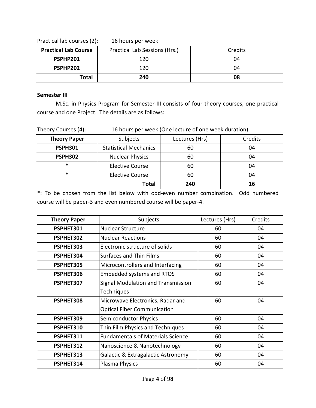| $\frac{1}{2}$ . The countries of $\frac{1}{2}$<br><b>TO HOMES DEL MOCH</b> |                               |         |  |  |  |
|----------------------------------------------------------------------------|-------------------------------|---------|--|--|--|
| <b>Practical Lab Course</b>                                                | Practical Lab Sessions (Hrs.) | Credits |  |  |  |
| PSPHP201                                                                   | 120                           | 04      |  |  |  |
| PSPHP202                                                                   | 120                           | 04      |  |  |  |
| <b>Total</b>                                                               | 240                           | 08      |  |  |  |

Practical lab courses (2): 16 hours per week

#### **Semester III**

M.Sc. in Physics Program for Semester‐III consists of four theory courses, one practical course and one Project. The details are as follows:

| 240<br><b>Total</b><br>16 |                                                      |                |         |  |
|---------------------------|------------------------------------------------------|----------------|---------|--|
| *                         | <b>Elective Course</b>                               | 60             | 04      |  |
| $\ast$                    | <b>Elective Course</b>                               | 60             | 04      |  |
| <b>PSPH302</b>            | <b>Nuclear Physics</b>                               | 60             | 04      |  |
| <b>PSPH301</b>            | <b>Statistical Mechanics</b>                         | 60             | 04      |  |
| <b>Theory Paper</b>       | Subjects                                             | Lectures (Hrs) | Credits |  |
| Theory Courses (4):       | 16 hours per week (One lecture of one week duration) |                |         |  |

\*: To be chosen from the list below with odd‐even number combination. Odd numbered course will be paper‐3 and even numbered course will be paper‐4.

| <b>Theory Paper</b> | Subjects                                 | Lectures (Hrs) | Credits |
|---------------------|------------------------------------------|----------------|---------|
| PSPHET301           | Nuclear Structure                        | 60             | 04      |
| PSPHET302           | <b>Nuclear Reactions</b>                 | 60             | 04      |
| PSPHET303           | Electronic structure of solids           | 60             | 04      |
| PSPHET304           | <b>Surfaces and Thin Films</b>           | 60             | 04      |
| PSPHET305           | Microcontrollers and Interfacing         | 60             | 04      |
| PSPHET306           | <b>Embedded systems and RTOS</b>         | 60             | 04      |
| PSPHET307           | Signal Modulation and Transmission       | 60             | 04      |
|                     | Techniques                               |                |         |
| PSPHET308           | Microwave Electronics, Radar and         | 60             | 04      |
|                     | <b>Optical Fiber Communication</b>       |                |         |
| PSPHET309           | <b>Semiconductor Physics</b>             | 60             | 04      |
| PSPHET310           | Thin Film Physics and Techniques         | 60             | 04      |
| PSPHET311           | <b>Fundamentals of Materials Science</b> | 60             | 04      |
| PSPHET312           | Nanoscience & Nanotechnology             | 60             | 04      |
| PSPHET313           | Galactic & Extragalactic Astronomy       | 60             | 04      |
| PSPHET314           | Plasma Physics                           | 60             | 04      |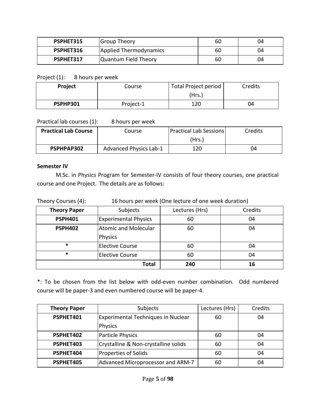| PSPHET315 | Group Theory           | 60 | 04 |
|-----------|------------------------|----|----|
| PSPHET316 | Applied Thermodynamics | 60 | 04 |
| PSPHET317 | Quantum Field Theory   | 60 | 04 |

Project (1): 8 hours per week

| <b>Project</b> | Course    | Total Project period | Credits |
|----------------|-----------|----------------------|---------|
|                |           | (Hrs.)               |         |
| PSPHP301       | Project-1 | 120                  | 04      |

Practical lab courses (1): 8 hours per week

| <b>Practical Lab Course</b> | Course                 | Practical Lab Sessions | Credits |
|-----------------------------|------------------------|------------------------|---------|
|                             |                        | (Hrs.)                 |         |
| PSPHPAP302                  | Advanced Physics Lab-1 | 120                    | 04      |

#### **Semester IV**

M.Sc. in Physics Program for Semester‐IV consists of four theory courses, one practical course and one Project. The details are as follows:

| Theory Courses (4):<br>16 hours per week (One lecture of one week duration) |
|-----------------------------------------------------------------------------|
|-----------------------------------------------------------------------------|

| <b>Theory Paper</b> | Subjects                    | Lectures (Hrs) | Credits |
|---------------------|-----------------------------|----------------|---------|
| <b>PSPH401</b>      | <b>Experimental Physics</b> | 60             | 04      |
| <b>PSPH402</b>      | <b>Atomic and Molecular</b> | 60             | 04      |
|                     | Physics                     |                |         |
| $\ast$              | <b>Elective Course</b>      | 60             | 04      |
| $\ast$              | <b>Elective Course</b>      | 60             | 04      |
|                     | <b>Total</b>                | 240            | 16      |

\*: To be chosen from the list below with odd‐even number combination. Odd numbered course will be paper‐3 and even numbered course will be paper‐4.

| <b>Theory Paper</b> | Subjects                                  | Lectures (Hrs) | Credits |
|---------------------|-------------------------------------------|----------------|---------|
| PSPHET401           | <b>Experimental Techniques in Nuclear</b> | 60             | 04      |
|                     | Physics                                   |                |         |
| PSPHET402           | Particle Physics                          | 60             | 04      |
| PSPHET403           | Crystalline & Non-crystalline solids      | 60             | 04      |
| PSPHET404           | Properties of Solids                      | 60             | 04      |
| PSPHET405           | Advanced Microprocessor and ARM-7         | 60             | 04      |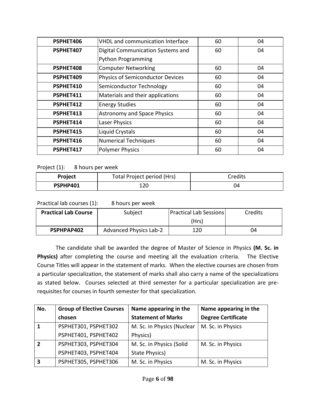| PSPHET406 | VHDL and communication Interface        | 60 | 04 |
|-----------|-----------------------------------------|----|----|
| PSPHET407 | Digital Communication Systems and       | 60 | 04 |
|           | <b>Python Programming</b>               |    |    |
| PSPHET408 | <b>Computer Networking</b>              | 60 | 04 |
| PSPHET409 | <b>Physics of Semiconductor Devices</b> | 60 | 04 |
| PSPHET410 | Semiconductor Technology                | 60 | 04 |
| PSPHET411 | Materials and their applications        | 60 | 04 |
| PSPHET412 | <b>Energy Studies</b>                   | 60 | 04 |
| PSPHET413 | <b>Astronomy and Space Physics</b>      | 60 | 04 |
| PSPHET414 | Laser Physics                           | 60 | 04 |
| PSPHET415 | Liquid Crystals                         | 60 | 04 |
| PSPHET416 | <b>Numerical Techniques</b>             | 60 | 04 |
| PSPHET417 | <b>Polymer Physics</b>                  | 60 | 04 |

Project (1): 8 hours per week

| <b>Project</b> | Total Project period (Hrs) | Credits |
|----------------|----------------------------|---------|
| PSPHP401       | ∩רו                        | 04      |

Practical lab courses (1): 8 hours per week

| <b>Practical Lab Course</b> | Subject                       | <b>Practical Lab Sessions</b> | Credits |
|-----------------------------|-------------------------------|-------------------------------|---------|
|                             |                               | (Hrs)                         |         |
| PSPHPAP402                  | <b>Advanced Physics Lab-2</b> | 120                           | 04      |

The candidate shall be awarded the degree of Master of Science in Physics **(M. Sc. in** Physics) after completing the course and meeting all the evaluation criteria. The Elective Course Titles will appear in the statement of marks. When the elective courses are chosen from a particular specialization, the statement of marks shall also carry a name of the specializations as stated below. Courses selected at third semester for a particular specialization are prerequisites for courses in fourth semester for that specialization.

| No.                     | <b>Group of Elective Courses</b> | Name appearing in the      | Name appearing in the     |
|-------------------------|----------------------------------|----------------------------|---------------------------|
|                         | chosen                           | <b>Statement of Marks</b>  | <b>Degree Certificate</b> |
| $\mathbf{1}$            | PSPHET301, PSPHET302             | M. Sc. in Physics (Nuclear | M. Sc. in Physics         |
|                         | PSPHET401, PSPHET402             | Physics)                   |                           |
| $\overline{2}$          | PSPHET303, PSPHET304             | M. Sc. in Physics (Solid   | M. Sc. in Physics         |
|                         | PSPHET403, PSPHET404             | State Physics)             |                           |
| $\overline{\mathbf{3}}$ | PSPHET305, PSPHET306             | M. Sc. in Physics          | M. Sc. in Physics         |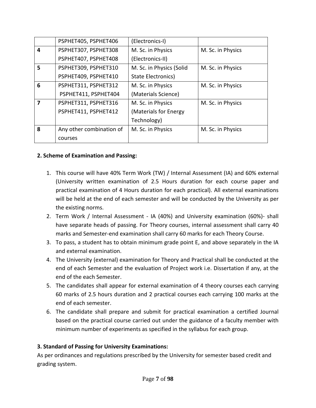|   | PSPHET405, PSPHET406     | (Electronics-I)           |                   |
|---|--------------------------|---------------------------|-------------------|
| 4 | PSPHET307, PSPHET308     | M. Sc. in Physics         | M. Sc. in Physics |
|   | PSPHET407, PSPHET408     | (Electronics-II)          |                   |
| 5 | PSPHET309, PSPHET310     | M. Sc. in Physics (Solid  | M. Sc. in Physics |
|   | PSPHET409, PSPHET410     | <b>State Electronics)</b> |                   |
| 6 | PSPHET311, PSPHET312     | M. Sc. in Physics         | M. Sc. in Physics |
|   | PSPHET411, PSPHET404     | (Materials Science)       |                   |
| 7 | PSPHET311, PSPHET316     | M. Sc. in Physics         | M. Sc. in Physics |
|   | PSPHET411, PSPHET412     | (Materials for Energy     |                   |
|   |                          | Technology)               |                   |
| 8 | Any other combination of | M. Sc. in Physics         | M. Sc. in Physics |
|   | courses                  |                           |                   |

#### **2. Scheme of Examination and Passing:**

- 1. This course will have 40% Term Work (TW) / Internal Assessment (IA) and 60% external (University written examination of 2.5 Hours duration for each course paper and practical examination of 4 Hours duration for each practical). All external examinations will be held at the end of each semester and will be conducted by the University as per the existing norms.
- 2. Term Work / Internal Assessment IA (40%) and University examination (60%)- shall have separate heads of passing. For Theory courses, internal assessment shall carry 40 marks and Semester‐end examination shall carry 60 marks for each Theory Course.
- 3. To pass, a student has to obtain minimum grade point E, and above separately in the IA and external examination.
- 4. The University (external) examination for Theory and Practical shall be conducted at the end of each Semester and the evaluation of Project work i.e. Dissertation if any, at the end of the each Semester.
- 5. The candidates shall appear for external examination of 4 theory courses each carrying 60 marks of 2.5 hours duration and 2 practical courses each carrying 100 marks at the end of each semester.
- 6. The candidate shall prepare and submit for practical examination a certified Journal based on the practical course carried out under the guidance of a faculty member with minimum number of experiments as specified in the syllabus for each group.

#### **3. Standard of Passing for University Examinations:**

As per ordinances and regulations prescribed by the University for semester based credit and grading system.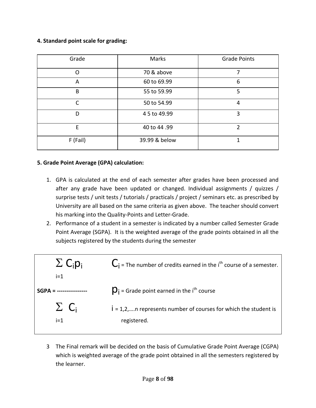#### **4. Standard point scale for grading:**

| Grade    | Marks         | <b>Grade Points</b> |
|----------|---------------|---------------------|
| O        | 70 & above    | 7                   |
| A        | 60 to 69.99   | 6                   |
| B        | 55 to 59.99   | 5                   |
| C        | 50 to 54.99   | 4                   |
| D        | 4 5 to 49.99  | 3                   |
| E        | 40 to 44.99   | $\mathfrak{p}$      |
| F (Fail) | 39.99 & below |                     |

#### **5. Grade Point Average (GPA) calculation:**

- 1. GPA is calculated at the end of each semester after grades have been processed and after any grade have been updated or changed. Individual assignments / quizzes / surprise tests / unit tests / tutorials / practicals / project / seminars etc. as prescribed by University are all based on the same criteria as given above. The teacher should convert his marking into the Quality‐Points and Letter‐Grade.
- 2. Performance of a student in a semester is indicated by a number called Semester Grade Point Average (SGPA). It is the weighted average of the grade points obtained in all the subjects registered by the students during the semester



3 The Final remark will be decided on the basis of Cumulative Grade Point Average (CGPA) which is weighted average of the grade point obtained in all the semesters registered by the learner.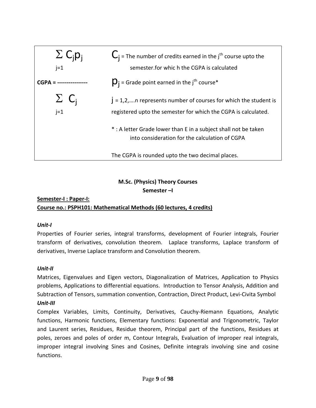

## **M.Sc. (Physics) Theory Courses Semester –I**

### **Semester‐I : Paper‐I: Course no.: PSPH101: Mathematical Methods (60 lectures, 4 credits)**

#### *Unit‐I*

Properties of Fourier series, integral transforms, development of Fourier integrals, Fourier transform of derivatives, convolution theorem. Laplace transforms, Laplace transform of derivatives, Inverse Laplace transform and Convolution theorem.

#### *Unit‐II*

Matrices, Eigenvalues and Eigen vectors, Diagonalization of Matrices, Application to Physics problems, Applications to differential equations. Introduction to Tensor Analysis, Addition and Subtraction of Tensors, summation convention, Contraction, Direct Product, Levi‐Civita Symbol *Unit‐III*

Complex Variables, Limits, Continuity, Derivatives, Cauchy‐Riemann Equations, Analytic functions, Harmonic functions, Elementary functions: Exponential and Trigonometric, Taylor and Laurent series, Residues, Residue theorem, Principal part of the functions, Residues at poles, zeroes and poles of order m, Contour Integrals, Evaluation of improper real integrals, improper integral involving Sines and Cosines, Definite integrals involving sine and cosine functions.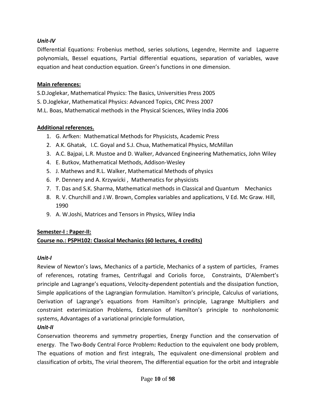#### *Unit‐IV*

Differential Equations: Frobenius method, series solutions, Legendre, Hermite and Laguerre polynomials, Bessel equations, Partial differential equations, separation of variables, wave equation and heat conduction equation. Green's functions in one dimension.

#### **Main references:**

S.D.Joglekar, Mathematical Physics: The Basics, Universities Press 2005 S. D.Joglekar, Mathematical Physics: Advanced Topics, CRC Press 2007 M.L. Boas, Mathematical methods in the Physical Sciences, Wiley India 2006

#### **Additional references.**

- 1. G. Arfken: Mathematical Methods for Physicists, Academic Press
- 2. A.K. Ghatak, I.C. Goyal and S.J. Chua, Mathematical Physics, McMillan
- 3. A.C. Bajpai, L.R. Mustoe and D. Walker, Advanced Engineering Mathematics, John Wiley
- 4. E. Butkov, Mathematical Methods, Addison‐Wesley
- 5. J. Mathews and R.L. Walker, Mathematical Methods of physics
- 6. P. Dennery and A. Krzywicki , Mathematics for physicists
- 7. T. Das and S.K. Sharma, Mathematical methods in Classical and Quantum Mechanics
- 8. R. V. Churchill and J.W. Brown, Complex variables and applications, V Ed. Mc Graw. Hill, 1990
- 9. A. W.Joshi, Matrices and Tensors in Physics, Wiley India

#### **Semester‐I : Paper‐II:**

#### **Course no.: PSPH102: Classical Mechanics (60 lectures, 4 credits)**

#### *Unit‐I*

Review of Newton's laws, Mechanics of a particle, Mechanics of a system of particles, Frames of references, rotating frames, Centrifugal and Coriolis force, Constraints, D'Alembert's principle and Lagrange's equations, Velocity‐dependent potentials and the dissipation function, Simple applications of the Lagrangian formulation. Hamilton's principle, Calculus of variations, Derivation of Lagrange's equations from Hamilton's principle, Lagrange Multipliers and constraint exterimization Problems, Extension of Hamilton's principle to nonholonomic systems, Advantages of a variational principle formulation,

#### *Unit‐II*

Conservation theorems and symmetry properties, Energy Function and the conservation of energy. The Two‐Body Central Force Problem**:** Reduction to the equivalent one body problem, The equations of motion and first integrals, The equivalent one‐dimensional problem and classification of orbits, The virial theorem, The differential equation for the orbit and integrable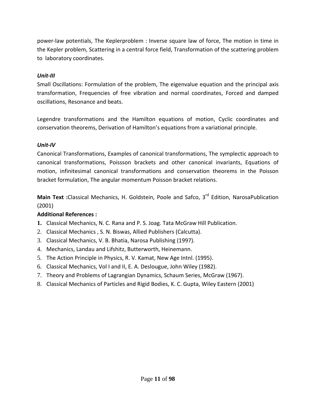power‐law potentials, The Keplerproblem : Inverse square law of force, The motion in time in the Kepler problem, Scattering in a central force field, Transformation of the scattering problem to laboratory coordinates.

#### *Unit‐III*

Small Oscillations: Formulation of the problem, The eigenvalue equation and the principal axis transformation, Frequencies of free vibration and normal coordinates, Forced and damped oscillations, Resonance and beats.

Legendre transformations and the Hamilton equations of motion, Cyclic coordinates and conservation theorems, Derivation of Hamilton's equations from a variational principle.

#### *Unit‐IV*

Canonical Transformations, Examples of canonical transformations, The symplectic approach to canonical transformations, Poissson brackets and other canonical invariants, Equations of motion, infinitesimal canonical transformations and conservation theorems in the Poisson bracket formulation, The angular momentum Poisson bracket relations.

**Main Text :**Classical Mechanics, H. Goldstein, Poole and Safco, 3rd Edition, NarosaPublication (2001)

#### **Additional References :**

- **1.** Classical Mechanics, N. C. Rana and P. S. Joag. Tata McGraw Hill Publication.
- 2. Classical Mechanics , S. N. Biswas, Allied Publishers (Calcutta).
- 3. Classical Mechanics, V. B. Bhatia, Narosa Publishing (1997).
- 4. Mechanics, Landau and Lifshitz, Butterworth, Heinemann.
- 5. The Action Principle in Physics, R. V. Kamat, New Age Intnl. (1995).
- 6. Classical Mechanics, Vol I and II, E. A. Deslougue, John Wiley (1982).
- 7. Theory and Problems of Lagrangian Dynamics, Schaum Series, McGraw (1967).
- 8. Classical Mechanics of Particles and Rigid Bodies, K. C. Gupta, Wiley Eastern (2001)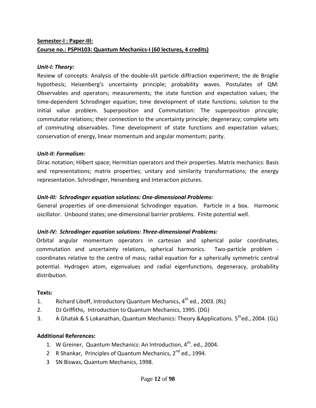## **Semester‐I : Paper‐III: Course no.: PSPH103: Quantum Mechanics‐I (60 lectures, 4 credits)**

#### *Unit‐I: Theory:*

Review of concepts: Analysis of the double‐slit particle diffraction experiment; the de Broglie hypothesis; Heisenberg's uncertainty principle; probability waves. Postulates of QM: Observables and operators; measurements; the state function and expectation values; the time‐dependent Schrodinger equation; time development of state functions; solution to the initial value problem. Superposition and Commutation: The superposition principle; commutator relations; their connection to the uncertainty principle; degeneracy; complete sets of commuting observables. Time development of state functions and expectation values; conservation of energy, linear momentum and angular momentum; parity.

#### *Unit‐II: Formalism:*

Dirac notation; Hilbert space; Hermitian operators and their properties. Matrix mechanics: Basis and representations; matrix properties; unitary and similarity transformations; the energy representation. Schrodinger, Heisenberg and Interaction pictures.

#### *Unit‐III: Schrodinger equation solutions: One‐dimensional Problems:*

General properties of one-dimensional Schrodinger equation. Particle in a box. Harmonic oscillator. Unbound states; one‐dimensional barrier problems. Finite potential well.

#### *Unit‐IV: Schrodinger equation solutions: Three‐dimensional Problems:*

Orbital angular momentum operators in cartesian and spherical polar coordinates, commutation and uncertainty relations, spherical harmonics. Two-particle problem coordinates relative to the centre of mass; radial equation for a spherically symmetric central potential. Hydrogen atom, eigenvalues and radial eigenfunctions, degeneracy, probability distribution.

#### **Texts:**

- 1. Richard Liboff, Introductory Quantum Mechanics, 4<sup>th</sup> ed., 2003. (RL)
- 2. DJ Griffiths, Introduction to Quantum Mechanics, 1995. (DG)
- 3. A Ghatak & S Lokanathan, Quantum Mechanics: Theory &Applications. 5<sup>th</sup>ed., 2004. (GL)

## **Additional References:**

- 1. W Greiner, Quantum Mechanics: An Introduction, 4<sup>th</sup>. ed., 2004.
- 2 R Shankar, Principles of Quantum Mechanics, 2<sup>nd</sup> ed., 1994.
- 3 SN Biswas, Quantum Mechanics, 1998.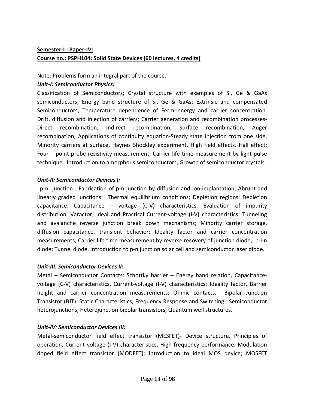## **Semester‐I : Paper‐IV: Course no.: PSPH104: Solid State Devices (60 lectures, 4 credits)**

#### Note: Problems form an integral part of the course.

#### *Unit‐I: Semiconductor Physics:*

Classification of Semiconductors; Crystal structure with examples of Si, Ge & GaAs semiconductors; Energy band structure of Si, Ge & GaAs; Extrinsic and compensated Semiconductors; Temperature dependence of Fermi-energy and carrier concentration. Drift, diffusion and injection of carriers; Carrier generation and recombination processes‐ Direct recombination, Indirect recombination, Surface recombination, Auger recombination; Applications of continuity equation‐Steady state injection from one side, Minority carriers at surface, Haynes Shockley experiment, High field effects. Hall effect; Four – point probe resistivity measurement; Carrier life time measurement by light pulse technique. Introduction to amorphous semiconductors, Growth of semiconductor crystals.

#### *Unit‐II: Semiconductor Devices I:*

 p‐n junction : Fabrication of p‐n junction by diffusion and ion‐implantation; Abrupt and linearly graded junctions; Thermal equilibrium conditions; Depletion regions; Depletion capacitance, Capacitance – voltage (C‐V) characteristics, Evaluation of impurity distribution, Varactor; Ideal and Practical Current‐voltage (I‐V) characteristics; Tunneling and avalanche reverse junction break down mechanisms; Minority carrier storage, diffusion capacitance, transient behavior; Ideality factor and carrier concentration measurements; Carrier life time measurement by reverse recovery of junction diode;; p-i-n diode; Tunnel diode, Introduction to p-n junction solar cell and semiconductor laser diode.

#### *Unit‐III: Semiconductor Devices II:*

Metal – Semiconductor Contacts: Schottky barrier – Energy band relation, Capacitancevoltage (C‐V) characteristics, Current‐voltage (I‐V) characteristics; Ideality factor, Barrier height and carrier concentration measurements; Ohmic contacts. Bipolar Junction Transistor (BJT): Static Characteristics; Frequency Response and Switching. Semiconductor heterojunctions, Heterojunction bipolar transistors, Quantum well structures.

#### *Unit‐IV: Semiconductor Devices III:*

Metal‐semiconductor field effect transistor (MESFET)‐ Device structure, Principles of operation, Current voltage (I‐V) characteristics, High frequency performance. Modulation doped field effect transistor (MODFET); Introduction to ideal MOS device; MOSFET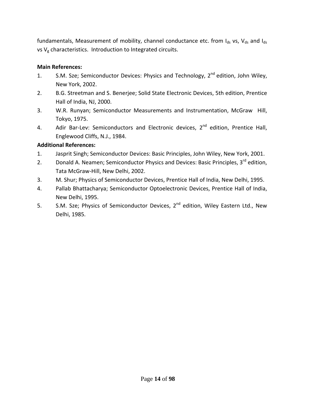fundamentals, Measurement of mobility, channel conductance etc. from  $I_{ds}$  vs,  $V_{ds}$  and  $I_{ds}$ vs  $V_g$  characteristics. Introduction to Integrated circuits.

#### **Main References:**

- 1. S.M. Sze; Semiconductor Devices: Physics and Technology, 2<sup>nd</sup> edition, John Wiley, New York, 2002.
- 2. B.G. Streetman and S. Benerjee; Solid State Electronic Devices, 5th edition, Prentice Hall of India, NJ, 2000.
- 3. W.R. Runyan; Semiconductor Measurements and Instrumentation, McGraw Hill, Tokyo, 1975.
- 4. Adir Bar-Lev: Semiconductors and Electronic devices, 2<sup>nd</sup> edition, Prentice Hall, Englewood Cliffs, N.J., 1984.

#### **Additional References:**

- 1. Jasprit Singh; Semiconductor Devices: Basic Principles, John Wiley, New York, 2001.
- 2. Donald A. Neamen; Semiconductor Physics and Devices: Basic Principles, 3<sup>rd</sup> edition, Tata McGraw‐Hill, New Delhi, 2002.
- 3. M. Shur; Physics of Semiconductor Devices, Prentice Hall of India, New Delhi, 1995.
- 4. Pallab Bhattacharya; Semiconductor Optoelectronic Devices, Prentice Hall of India, New Delhi, 1995.
- 5. S.M. Sze; Physics of Semiconductor Devices, 2<sup>nd</sup> edition, Wiley Eastern Ltd., New Delhi, 1985.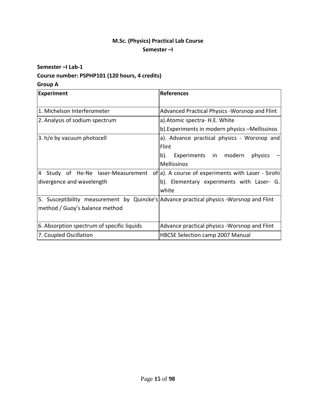## **M.Sc. (Physics) Practical Lab Course Semester –I**

#### **Semester –I Lab‐1**

### **Course number: PSPHP101 (120 hours, 4 credits)**

#### **Group A**

| <b>Experiment</b>                                                                        | References                                                                            |
|------------------------------------------------------------------------------------------|---------------------------------------------------------------------------------------|
| 1. Michelson Interferometer                                                              | Advanced Practical Physics - Worsnop and Flint                                        |
| 2. Analysis of sodium spectrum                                                           | a). Atomic spectra - H.E. White                                                       |
|                                                                                          | b). Experiments in modern physics -Mellissinos                                        |
| 3. h/e by vacuum photocell                                                               | a). Advance practical physics - Worsnop and                                           |
|                                                                                          | Flint                                                                                 |
|                                                                                          | Experiments in modern<br>physics<br>b).                                               |
|                                                                                          | Mellissinos                                                                           |
|                                                                                          | 4 Study of He-Ne laser-Measurement of a). A course of experiments with Laser - Sirohi |
| divergence and wavelength                                                                | b). Elementary experiments with Laser- G.                                             |
|                                                                                          | white                                                                                 |
| 5. Susceptibility measurement by Quincke's Advance practical physics - Worsnop and Flint |                                                                                       |
| method / Guoy's balance method                                                           |                                                                                       |
|                                                                                          |                                                                                       |
| 6. Absorption spectrum of specific liquids                                               | Advance practical physics - Worsnop and Flint                                         |
| 7. Coupled Oscillation                                                                   | <b>HBCSE Selection camp 2007 Manual</b>                                               |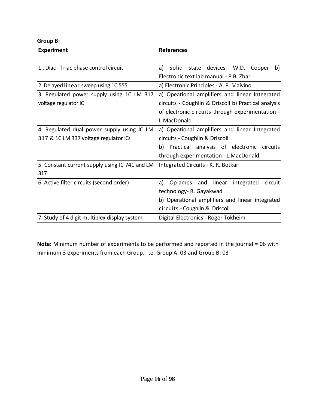#### **Group B:**

| <b>Experiment</b>                                                                   | <b>References</b>                                                                                                                                                            |
|-------------------------------------------------------------------------------------|------------------------------------------------------------------------------------------------------------------------------------------------------------------------------|
| 1, Diac - Triac phase control circuit                                               | state devices- W.D. Cooper<br>b)<br>a)<br>Solid<br>Electronic text lab manual - P.B. Zbar                                                                                    |
| 2. Delayed linear sweep using 1C 555                                                | a) Electronic Principles - A. P. Malvino                                                                                                                                     |
| 3. Regulated power supply using 1C LM 317<br>voltage regulator IC                   | a) Opeational amplifiers and linear Integrated<br>circuits - Coughlin & Driscoll b) Practical analysis<br>of electronic circuits through experimentation -<br>L.MacDonald    |
| 4. Regulated dual power supply using IC LM<br>317 & 1C LM 337 voltage regulator ICs | a) Opeational amplifiers and linear Integrated<br>circuits - Coughlin & Driscoll<br>Practical analysis of electronic circuits<br>b)<br>through experimentation - L.MacDonald |
| 5. Constant current supply using IC 741 and LM<br>317                               | Integrated Circuits - K. R. Botkar                                                                                                                                           |
| 6. Active filter circuits (second order)                                            | Op-amps and linear<br>integrated<br>circuit<br>a)<br>technology- R. Gayakwad<br>b) Operational amplifiers and linear integrated<br>circuits - Coughlin &. Driscoll           |
| 7. Study of 4 digit multiplex display system                                        | Digital Electronics - Roger Tokheim                                                                                                                                          |

**Note:** Minimum number of experiments to be performed and reported in the journal = 06 with minimum 3 experiments from each Group. i.e. Group A: 03 and Group B: 03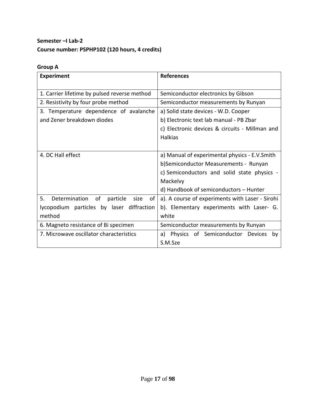## **Semester –I Lab‐2 Course number: PSPHP102 (120 hours, 4 credits)**

## **Group A**

| <b>Experiment</b>                                   | <b>References</b>                               |
|-----------------------------------------------------|-------------------------------------------------|
| 1. Carrier lifetime by pulsed reverse method        | Semiconductor electronics by Gibson             |
| 2. Resistivity by four probe method                 | Semiconductor measurements by Runyan            |
| 3. Temperature dependence of avalanche              | a) Solid state devices - W.D. Cooper            |
| and Zener breakdown diodes                          | b) Electronic text lab manual - PB Zbar         |
|                                                     | c) Electronic devices & circuits - Millman and  |
|                                                     | <b>Halkias</b>                                  |
|                                                     |                                                 |
| 4. DC Hall effect                                   | a) Manual of experimental physics - E.V.Smith   |
|                                                     | b)Semiconductor Measurements - Runyan           |
|                                                     | c) Semiconductors and solid state physics -     |
|                                                     | Mackelvy                                        |
|                                                     | d) Handbook of semiconductors - Hunter          |
| 5.<br>Determination<br>of<br>particle<br>of<br>size | a). A course of experiments with Laser - Sirohi |
| lycopodium particles by laser diffraction           | b). Elementary experiments with Laser- G.       |
| method                                              | white                                           |
| 6. Magneto resistance of Bi specimen                | Semiconductor measurements by Runyan            |
| 7. Microwave oscillator characteristics             | Physics of Semiconductor Devices<br>a)<br>by    |
|                                                     | S.M.Sze                                         |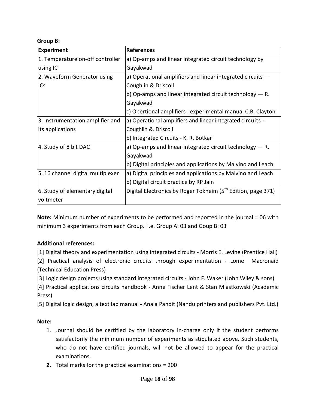#### **Group B:**

| <b>Experiment</b>                 | <b>References</b>                                                        |
|-----------------------------------|--------------------------------------------------------------------------|
| 1. Temperature on-off controller  | a) Op-amps and linear integrated circuit technology by                   |
| using IC                          | Gayakwad                                                                 |
| 2. Waveform Generator using       | a) Operational amplifiers and linear integrated circuits--               |
| ICs                               | Coughlin & Driscoll                                                      |
|                                   | b) Op-amps and linear integrated circuit technology $-$ R.               |
|                                   | Gayakwad                                                                 |
|                                   | c) Opertional amplifiers : experimental manual C.B. Clayton              |
| 3. Instrumentation amplifier and  | a) Operational amplifiers and linear integrated circuits -               |
| its applications                  | Coughlin &. Driscoll                                                     |
|                                   | b) Integrated Circuits - K. R. Botkar                                    |
| 4. Study of 8 bit DAC             | a) Op-amps and linear integrated circuit technology $-$ R.               |
|                                   | Gayakwad                                                                 |
|                                   | b) Digital principles and applications by Malvino and Leach              |
| 5. 16 channel digital multiplexer | a) Digital principles and applications by Malvino and Leach              |
|                                   | b) Digital circuit practice by RP Jain                                   |
| 6. Study of elementary digital    | Digital Electronics by Roger Tokheim (5 <sup>th</sup> Edition, page 371) |
| voltmeter                         |                                                                          |

**Note:** Minimum number of experiments to be performed and reported in the journal = 06 with minimum 3 experiments from each Group. i.e. Group A: 03 and Goup B: 03

#### **Additional references:**

[1] Digital theory and experimentation using integrated circuits ‐ Morris E. Levine (Prentice Hall) [2] Practical analysis of electronic circuits through experimentation - Lome Macronaid (Technical Education Press)

[3] Logic design projects using standard integrated circuits ‐ John F. Waker (John Wiley & sons)

[4] Practical applications circuits handbook ‐ Anne Fischer Lent & Stan Miastkowski (Academic Press)

[5] Digital logic design, a text lab manual ‐ Anala Pandit (Nandu printers and publishers Pvt. Ltd.)

#### **Note:**

- 1. Journal should be certified by the laboratory in‐charge only if the student performs satisfactorily the minimum number of experiments as stipulated above. Such students, who do not have certified journals, will not be allowed to appear for the practical examinations.
- **2.** Total marks for the practical examinations = 200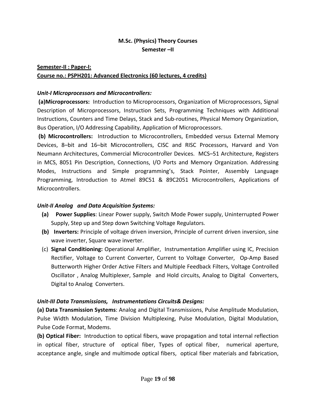## **M.Sc. (Physics) Theory Courses Semester –II**

## **Semester‐II : Paper‐I: Course no.: PSPH201: Advanced Electronics (60 lectures, 4 credits)**

#### *Unit‐I Microprocessors and Microcontrollers:*

**(a)Microprocessors:** Introduction to Microprocessors, Organization of Microprocessors, Signal Description of Microprocessors, Instruction Sets, Programming Techniques with Additional Instructions, Counters and Time Delays, Stack and Sub‐routines, Physical Memory Organization, Bus Operation, I/O Addressing Capability, Application of Microprocessors.

**(b) Microcontrollers:** Introduction to Microcontrollers, Embedded versus External Memory Devices, 8–bit and 16–bit Microcontrollers, CISC and RISC Processors, Harvard and Von Neumann Architectures, Commercial Microcontroller Devices. MCS–51 Architecture, Registers in MCS, 8051 Pin Description, Connections, I/O Ports and Memory Organization. Addressing Modes, Instructions and Simple programming's, Stack Pointer, Assembly Language Programming, Introduction to Atmel 89C51 & 89C2051 Microcontrollers, Applications of Microcontrollers.

#### *Unit‐II Analog and Data Acquisition Systems:*

- **(a) Power Supplies**: Linear Power supply, Switch Mode Power supply, Uninterrupted Power Supply, Step up and Step down Switching Voltage Regulators.
- **(b) Inverters:** Principle of voltage driven inversion, Principle of current driven inversion, sine wave inverter, Square wave inverter.
- (c) **Signal Conditioning:** Operational Amplifier, Instrumentation Amplifier using IC, Precision Rectifier, Voltage to Current Converter, Current to Voltage Converter, Op-Amp Based Butterworth Higher Order Active Filters and Multiple Feedback Filters, Voltage Controlled Oscillator , Analog Multiplexer, Sample and Hold circuits, Analog to Digital Converters, Digital to Analog Converters.

#### *Unit‐III Data Transmissions, Instrumentations Circuits& Designs:*

**(a) Data Transmission Systems**: Analog and Digital Transmissions, Pulse Amplitude Modulation, Pulse Width Modulation, Time Division Multiplexing, Pulse Modulation, Digital Modulation, Pulse Code Format, Modems.

**(b) Optical Fiber:** Introduction to optical fibers, wave propagation and total internal reflection in optical fiber, structure of optical fiber, Types of optical fiber, numerical aperture, acceptance angle, single and multimode optical fibers, optical fiber materials and fabrication,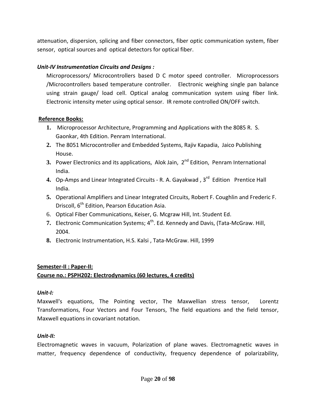attenuation, dispersion, splicing and fiber connectors, fiber optic communication system, fiber sensor, optical sources and optical detectors for optical fiber.

#### *Unit‐IV Instrumentation Circuits and Designs :*

Microprocessors/ Microcontrollers based D C motor speed controller. Microprocessors /Microcontrollers based temperature controller. Electronic weighing single pan balance using strain gauge/ load cell. Optical analog communication system using fiber link. Electronic intensity meter using optical sensor. IR remote controlled ON/OFF switch.

#### **Reference Books:**

- **1.** Microprocessor Architecture, Programming and Applications with the 8085 R. S. Gaonkar, 4th Edition. Penram International.
- **2.** The 8051 Microcontroller and Embedded Systems, Rajiv Kapadia, Jaico Publishing House.
- **3.** Power Electronics and its applications, Alok Jain, 2<sup>nd</sup> Edition, Penram International India.
- **4.** Op‐Amps and Linear Integrated Circuits ‐ R. A. Gayakwad , 3rd Edition Prentice Hall India.
- **5.** Operational Amplifiers and Linear Integrated Circuits, Robert F. Coughlin and Frederic F. Driscoll, 6<sup>th</sup> Edition, Pearson Education Asia.
- 6. Optical Fiber Communications, Keiser, G. Mcgraw Hill, Int. Student Ed.
- 7. Electronic Communication Systems; 4<sup>th</sup>. Ed. Kennedy and Davis, (Tata-McGraw. Hill, 2004.
- **8.** Electronic Instrumentation, H.S. Kalsi , Tata‐McGraw. Hill, 1999

#### **Semester‐II : Paper‐II:**

#### **Course no.: PSPH202: Electrodynamics (60 lectures, 4 credits)**

#### *Unit‐I:*

Maxwell's equations, The Pointing vector, The Maxwellian stress tensor, Lorentz Transformations, Four Vectors and Four Tensors, The field equations and the field tensor, Maxwell equations in covariant notation.

#### *Unit‐II:*

Electromagnetic waves in vacuum, Polarization of plane waves. Electromagnetic waves in matter, frequency dependence of conductivity, frequency dependence of polarizability,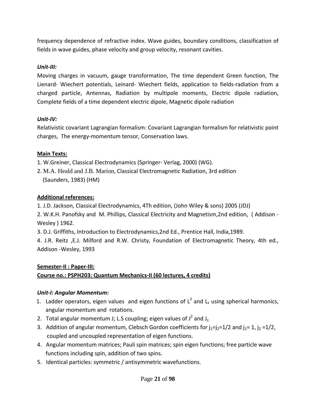frequency dependence of refractive index. Wave guides, boundary conditions, classification of fields in wave guides, phase velocity and group velocity, resonant cavities.

#### *Unit‐III:*

Moving charges in vacuum, gauge transformation, The time dependent Green function, The Lienard‐ Wiechert potentials, Leinard‐ Wiechert fields, application to fields‐radiation from a charged particle, Antennas, Radiation by multipole moments, Electric dipole radiation, Complete fields of a time dependent electric dipole, Magnetic dipole radiation

#### *Unit‐IV:*

Relativistic covariant Lagrangian formalism: Covariant Lagrangian formalism for relativistic point charges, The energy‐momentum tensor, Conservation laws.

#### **Main Texts:**

1. W.Greiner, Classical Electrodynamics (Springer‐ Verlag, 2000) (WG).

2. M.A. Heald and J.B. Marion, Classical Electromagnetic Radiation, 3rd edition (Saunders, 1983) (HM)

#### **Additional references:**

1. J.D. Jackson, Classical Electrodynamics, 4Th edition, (John Wiley & sons) 2005 (JDJ)

2. W.K.H. Panofsky and M. Phillips, Classical Electricity and Magnetism,2nd edition, ( Addison ‐ Wesley ) 1962.

3. D.J. Griffiths, Introduction to Electrodynamics,2nd Ed., Prentice Hall, India,1989.

4. J.R. Reitz ,E.J. Milford and R.W. Christy, Foundation of Electromagnetic Theory, 4th ed., Addison ‐Wesley, 1993

#### **Semester‐II : Paper‐III:**

## **Course no.: PSPH203: Quantum Mechanics‐II (60 lectures, 4 credits)**

#### *Unit‐I: Angular Momentum:*

- 1. Ladder operators, eigen values and eigen functions of  $L^2$  and  $L_z$  using spherical harmonics, angular momentum and rotations.
- 2. Total angular momentum J; L.S coupling; eigen values of  $J^2$  and J<sub>z.</sub>
- 3. Addition of angular momentum, Clebsch Gordon coefficients for  $j_1=j_2=1/2$  and  $j_1=1$ ,  $j_2=1/2$ , coupled and uncoupled representation of eigen functions.
- 4. Angular momentum matrices; Pauli spin matrices; spin eigen functions; free particle wave functions including spin, addition of two spins.
- 5. Identical particles: symmetric / antisymmetric wavefunctions.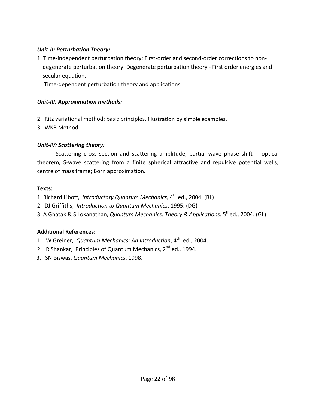#### *Unit‐II: Perturbation Theory:*

1. Time-independent perturbation theory: First-order and second-order corrections to non- degenerate perturbation theory. Degenerate perturbation theory ‐ First order energies and secular equation.

Time‐dependent perturbation theory and applications.

#### *Unit‐III: Approximation methods:*

- 2. Ritz variational method: basic principles, illustration by simple examples.
- 3. WKB Method.

#### *Unit‐IV: Scattering theory:*

Scattering cross section and scattering amplitude; partial wave phase shift -- optical theorem, S‐wave scattering from a finite spherical attractive and repulsive potential wells; centre of mass frame; Born approximation.

#### **Texts:**

- 1. Richard Liboff, *Introductory Quantum Mechanics,* 4th ed., 2004. (RL)
- 2. DJ Griffiths, *Introduction to Quantum Mechanics*, 1995. (DG)
- 3. A Ghatak & S Lokanathan, *Quantum Mechanics: Theory & Applications.* 5thed., 2004. (GL)

#### **Additional References:**

- 1. W Greiner, *Quantum Mechanics: An Introduction*, 4th. ed., 2004.
- 2. R Shankar, Principles of Quantum Mechanics, 2<sup>nd</sup> ed., 1994.
- 3. SN Biswas, *Quantum Mechanics*, 1998.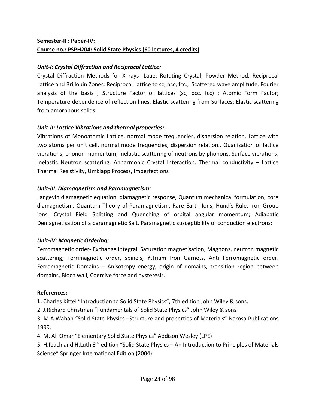## **Semester‐II : Paper‐IV: Course no.: PSPH204: Solid State Physics (60 lectures, 4 credits)**

#### *Unit‐I: Crystal Diffraction and Reciprocal Lattice:*

Crystal Diffraction Methods for X rays‐ Laue, Rotating Crystal, Powder Method. Reciprocal Lattice and Brillouin Zones. Reciprocal Lattice to sc, bcc, fcc., Scattered wave amplitude, Fourier analysis of the basis ; Structure Factor of lattices (sc, bcc, fcc) ; Atomic Form Factor; Temperature dependence of reflection lines. Elastic scattering from Surfaces; Elastic scattering from amorphous solids.

#### *Unit‐II: Lattice Vibrations and thermal properties:*

Vibrations of Monoatomic Lattice, normal mode frequencies, dispersion relation. Lattice with two atoms per unit cell, normal mode frequencies, dispersion relation., Quanization of lattice vibrations, phonon momentum, Inelastic scattering of neutrons by phonons, Surface vibrations, Inelastic Neutron scattering. Anharmonic Crystal Interaction. Thermal conductivity – Lattice Thermal Resistivity, Umklapp Process, Imperfections

#### *Unit‐III: Diamagnetism and Paramagnetism:*

Langevin diamagnetic equation, diamagnetic response, Quantum mechanical formulation, core diamagnetism. Quantum Theory of Paramagnetism, Rare Earth Ions, Hund's Rule, Iron Group ions, Crystal Field Splitting and Quenching of orbital angular momentum; Adiabatic Demagnetisation of a paramagnetic Salt, Paramagnetic susceptibility of conduction electrons;

#### *Unit‐IV: Magnetic Ordering:*

Ferromagnetic order‐ Exchange Integral, Saturation magnetisation, Magnons, neutron magnetic scattering; Ferrimagnetic order, spinels, Yttrium Iron Garnets, Anti Ferromagnetic order. Ferromagnetic Domains – Anisotropy energy, origin of domains, transition region between domains, Bloch wall, Coercive force and hysteresis.

#### **References:‐**

**1.** Charles Kittel "Introduction to Solid State Physics", 7th edition John Wiley & sons.

2. J.Richard Christman "Fundamentals of Solid State Physics" John Wiley & sons

3. M.A.Wahab "Solid State Physics –Structure and properties of Materials" Narosa Publications 1999.

4. M. Ali Omar "Elementary Solid State Physics" Addison Wesley (LPE)

5. H.Ibach and H.Luth 3<sup>rd</sup> edition "Solid State Physics – An Introduction to Principles of Materials Science" Springer International Edition (2004)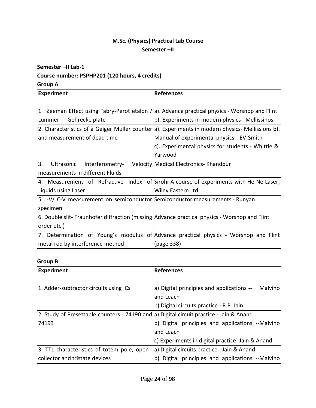## **M.Sc. (Physics) Practical Lab Course Semester –II**

#### **Semester –II Lab‐1**

### **Course number: PSPHP201 (120 hours, 4 credits)**

#### **Group A**

| <b>Experiment</b>                                                            | <b>References</b>                                                                                |
|------------------------------------------------------------------------------|--------------------------------------------------------------------------------------------------|
|                                                                              | 1. Zeeman Effect using Fabry-Perot etalon $/$ a). Advance practical physics - Worsnop and Flint  |
| Lummer - Gehrecke plate                                                      | b). Experiments in modern physics - Mellissinos                                                  |
|                                                                              | 2. Characteristics of a Geiger Muller counter a). Experiments in modern physics- Mellissions b). |
| and measurement of dead time                                                 | Manual of experimental physics --EV-Smith                                                        |
|                                                                              | c). Experimental physics for students - Whittle &.                                               |
|                                                                              | Yarwood                                                                                          |
| 3.<br>Ultrasonic<br>Interferometry-                                          | Velocity Medical Electronics-Khandpur                                                            |
| measurements in different Fluids                                             |                                                                                                  |
|                                                                              | 4. Measurement of Refractive Index of Sirohi-A course of experiments with He-Ne Laser;           |
| Liquids using Laser                                                          | Wiley Eastern Ltd.                                                                               |
| 5. I-V/ C-V measurement on semiconductor Semiconductor measurements - Runyan |                                                                                                  |
| specimen                                                                     |                                                                                                  |
|                                                                              | 6. Double slit- Fraunhofer diffraction (missing Advance practical physics - Worsnop and Flint    |
| order etc.)                                                                  |                                                                                                  |
|                                                                              | 7. Determination of Young's modulus of Advance practical physics - Worsnop and Flint             |
| metal rod by interference method                                             | (page 338)                                                                                       |

#### **Group B**

| <b>Experiment</b>                                                                       | References                                                  |
|-----------------------------------------------------------------------------------------|-------------------------------------------------------------|
| 1. Adder-subtractor circuits using ICs                                                  | a) Digital principles and applications --<br><b>Malvino</b> |
|                                                                                         | and Leach                                                   |
|                                                                                         | b) Digital circuits practice - R.P. Jain                    |
| 2. Study of Presettable counters - 74190 and a) Digital circuit practice - Jain & Anand |                                                             |
| 74193                                                                                   | b) Digital principles and applications --Malvino            |
|                                                                                         | and Leach                                                   |
|                                                                                         | c) Experiments in digital practice -Jain & Anand            |
| 3. TTL characteristics of totem pole, open                                              | a) Digital circuits practice - Jain & Anand                 |
| collector and tristate devices                                                          | b) Digital principles and applications --Malvino            |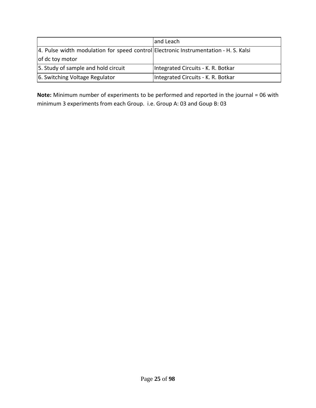|                                                                                      | and Leach                          |
|--------------------------------------------------------------------------------------|------------------------------------|
| 4. Pulse width modulation for speed control Electronic Instrumentation - H. S. Kalsi |                                    |
| of dc toy motor                                                                      |                                    |
| 5. Study of sample and hold circuit                                                  | Integrated Circuits - K. R. Botkar |
| 6. Switching Voltage Regulator                                                       | Integrated Circuits - K. R. Botkar |

**Note:** Minimum number of experiments to be performed and reported in the journal = 06 with minimum 3 experiments from each Group. i.e. Group A: 03 and Goup B: 03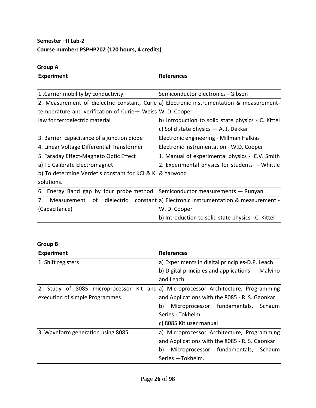## **Semester –II Lab‐2 Course number: PSPHP202 (120 hours, 4 credits)**

## **Group A**

| <b>Experiment</b>                                           | <b>References</b>                                                                         |
|-------------------------------------------------------------|-------------------------------------------------------------------------------------------|
| 1. Carrier mobility by conductivity                         | Semiconductor electronics - Gibson                                                        |
|                                                             | 2. Measurement of dielectric constant, Curie a) Electronic instrumentation & measurement- |
| temperature and verification of Curie- Weiss   W. D. Cooper |                                                                                           |
| law for ferroelectric material                              | b) Introduction to solid state physics - C. Kittel                                        |
|                                                             | c) Solid state physics - A. J. Dekkar                                                     |
| 3. Barrier capacitance of a junction diode                  | Electronic engineering - Millman Halkias                                                  |
| 4. Linear Voltage Differential Transformer                  | Electronic Instrumentation - W.D. Cooper                                                  |
| 5. Faraday Effect-Magneto Optic Effect                      | 1. Manual of experimental physics - E.V. Smith                                            |
| a) To Calibrate Electromagnet                               | 2. Experimental physics for students - Whittle                                            |
| b) To determine Verdet's constant for KCI & KI & Yarwood    |                                                                                           |
| solutions.                                                  |                                                                                           |
| 6. Energy Band gap by four probe method                     | Semiconductor measurements - Runyan                                                       |
| 7. Measurement of dielectric                                | constant a) Electronic instrumentation & measurement -                                    |
| (Capacitance)                                               | W. D. Cooper                                                                              |
|                                                             | b) Introduction to solid state physics - C. Kittel                                        |

### **Group B**

| <b>Experiment</b>                 | <b>References</b>                                                                    |
|-----------------------------------|--------------------------------------------------------------------------------------|
| 1. Shift registers                | a) Experiments in digital principles-D.P. Leach                                      |
|                                   | b) Digital principles and applications - Malvino                                     |
|                                   | and Leach                                                                            |
|                                   | [2. Study of 8085 microprocessor Kit and a) Microprocessor Architecture, Programming |
| execution of simple Programmes    | and Applications with the 8085 - R. S. Gaonkar                                       |
|                                   | Microprocessor fundamentals. Schaum<br>b)                                            |
|                                   | Series - Tokheim                                                                     |
|                                   | c) 8085 Kit user manual                                                              |
| 3. Waveform generation using 8085 | a) Microprocessor Architecture, Programming                                          |
|                                   | and Applications with the 8085 - R. S. Gaonkar                                       |
|                                   | b)<br>Microprocessor fundamentals, Schaum                                            |
|                                   | Series -Tokheim.                                                                     |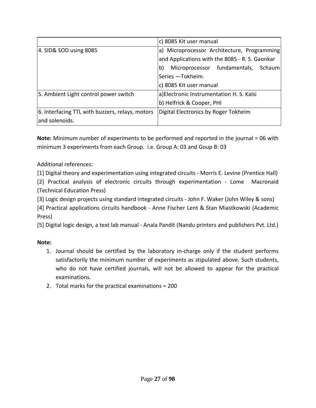|                                                 | c) 8085 Kit user manual                        |
|-------------------------------------------------|------------------------------------------------|
| 4. SID& SOD using 8085                          | a) Microprocessor Architecture, Programming    |
|                                                 | and Applications with the 8085 - R. S. Gaonkar |
|                                                 | Microprocessor fundamentals, Schaum<br>b)      |
|                                                 | Series -Tokheim.                               |
|                                                 | c) 8085 Kit user manual                        |
| 5. Ambient Light control power switch           | a) Electronic Instrumentation H. S. Kalsi      |
|                                                 | b) Helfrick & Cooper, PHI                      |
| 6. Interfacing TTL with buzzers, relays, motors | Digital Electronics by Roger Tokheim           |
| and solenoids.                                  |                                                |

**Note:** Minimum number of experiments to be performed and reported in the journal = 06 with minimum 3 experiments from each Group. i.e. Group A: 03 and Goup B: 03

Additional references:

[1] Digital theory and experimentation using integrated circuits ‐ Morris E. Levine (Prentice Hall)

[2] Practical analysis of electronic circuits through experimentation ‐ Lome Macronaid (Technical Education Press)

[3] Logic design projects using standard integrated circuits - John F. Waker (John Wiley & sons)

[4] Practical applications circuits handbook ‐ Anne Fischer Lent & Stan Miastkowski (Academic Press)

[5] Digital logic design, a text lab manual ‐ Anala Pandit (Nandu printers and publishers Pvt. Ltd.)

#### **Note:**

- 1. Journal should be certified by the laboratory in‐charge only if the student performs satisfactorily the minimum number of experiments as stipulated above. Such students, who do not have certified journals, will not be allowed to appear for the practical examinations.
- 2. Total marks for the practical examinations = 200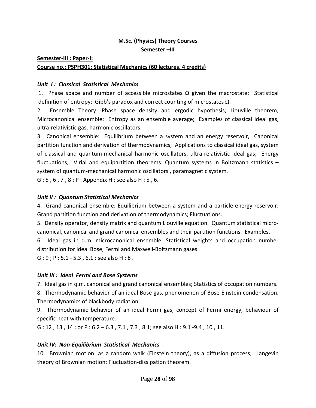## **M.Sc. (Physics) Theory Courses**

**Semester –III**

**Semester‐III : Paper‐I:**

#### **Course no.: PSPH301: Statistical Mechanics (60 lectures, 4 credits)**

#### *Unit I : Classical Statistical Mechanics*

1. Phase space and number of accessible microstates  $\Omega$  given the macrostate; Statistical definition of entropy; Gibb's paradox and correct counting of microstates Ω.

2. Ensemble Theory: Phase space density and ergodic hypothesis; Liouville theorem; Microcanonical ensemble; Entropy as an ensemble average; Examples of classical ideal gas, ultra‐relativistic gas, harmonic oscillators.

3. Canonical ensemble: Equilibrium between a system and an energy reservoir, Canonical partition function and derivation of thermodynamics; Applications to classical ideal gas, system of classical and quantum‐mechanical harmonic oscillators, ultra‐relativistic ideal gas; Energy fluctuations, Virial and equipartition theorems. Quantum systems in Boltzmann statistics – system of quantum‐mechanical harmonic oscillators , paramagnetic system.

G : 5 , 6 , 7 , 8 ; P : Appendix H ; see also H : 5 , 6.

#### *Unit II : Quantum Statistical Mechanics*

4. Grand canonical ensemble: Equilibrium between a system and a particle-energy reservoir; Grand partition function and derivation of thermodynamics; Fluctuations.

5. Density operator, density matrix and quantum Liouville equation. Quantum statistical microcanonical, canonical and grand canonical ensembles and their partition functions. Examples.

6. Ideal gas in q.m. microcanonical ensemble; Statistical weights and occupation number distribution for ideal Bose, Fermi and Maxwell‐Boltzmann gases.

G : 9 ; P : 5.1 ‐ 5.3 , 6.1 ; see also H : 8 .

#### *Unit III : Ideal Fermi and Bose Systems*

7. Ideal gas in q.m. canonical and grand canonical ensembles; Statistics of occupation numbers.

8. Thermodynamic behavior of an ideal Bose gas, phenomenon of Bose-Einstein condensation. Thermodynamics of blackbody radiation.

9. Thermodynamic behavior of an ideal Fermi gas, concept of Fermi energy, behaviour of specific heat with temperature.

G : 12 , 13 , 14 ; or P : 6.2 – 6.3 , 7.1 , 7.3 , 8.1; see also H : 9.1 ‐9.4 , 10 , 11.

#### *Unit IV: Non‐Equilibrium Statistical Mechanics*

10. Brownian motion: as a random walk (Einstein theory), as a diffusion process; Langevin theory of Brownian motion; Fluctuation‐dissipation theorem.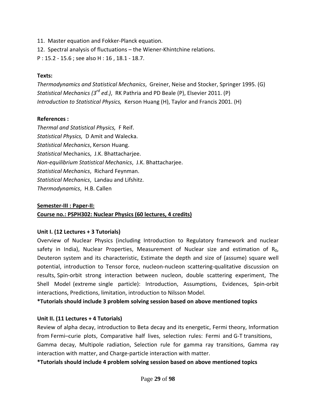- 11. Master equation and Fokker‐Planck equation.
- 12. Spectral analysis of fluctuations the Wiener‐Khintchine relations.
- P : 15.2 ‐ 15.6 ; see also H : 16 , 18.1 ‐ 18.7.

#### **Texts:**

*Thermodynamics and Statistical Mechanics*, Greiner, Neise and Stocker, Springer 1995. (G) *Statistical Mechanics (3rd ed.)*, RK Pathria and PD Beale (P), Elsevier 2011. (P) *Introduction to Statistical Physics,* Kerson Huang (H), Taylor and Francis 2001. (H)

#### **References :**

*Thermal and Statistical Physics,* F Reif. *Statistical Physics,* D Amit and Walecka. *Statistical Mechanics*, Kerson Huang. *Statistical* Mechanics, J.K. Bhattacharjee. *Non‐equilibrium Statistical Mechanics*, J.K. Bhattacharjee. *Statistical Mechanics*, Richard Feynman. *Statistical Mechanics*, Landau and Lifshitz. *Thermodynamics*, H.B. Callen

#### **Semester‐III : Paper‐II:**

#### **Course no.: PSPH302: Nuclear Physics (60 lectures, 4 credits)**

#### **Unit I. (12 Lectures + 3 Tutorials)**

Overview of Nuclear Physics (including Introduction to Regulatory framework and nuclear safety in India), Nuclear Properties, Measurement of Nuclear size and estimation of  $R_0$ , Deuteron system and its characteristic, Estimate the depth and size of (assume) square well potential, introduction to Tensor force, nucleon‐nucleon scattering‐qualitative discussion on results, Spin-orbit strong interaction between nucleon, double scattering experiment, The Shell Model (extreme single particle): Introduction, Assumptions, Evidences, Spin-orbit interactions, Predictions, limitation, introduction to Nilsson Model.

**\*Tutorials should include 3 problem solving session based on above mentioned topics**

#### **Unit II. (11 Lectures + 4 Tutorials)**

Review of alpha decay, introduction to Beta decay and its energetic, Fermi theory, Information from Fermi–curie plots, Comparative half lives, selection rules: Fermi and G-T transitions, Gamma decay, Multipole radiation, Selection rule for gamma ray transitions, Gamma ray interaction with matter, and Charge‐particle interaction with matter.

**\*Tutorials should include 4 problem solving session based on above mentioned topics**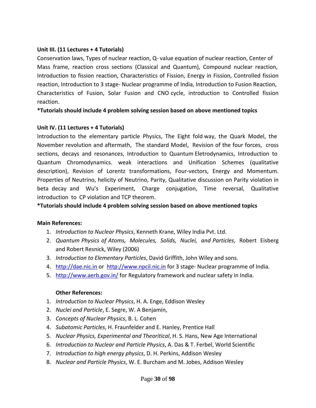#### **Unit III. (11 Lectures + 4 Tutorials)**

Conservation laws, Types of nuclear reaction, Q‐ value equation of nuclear reaction, Center of Mass frame, reaction cross sections (Classical and Quantum), Compound nuclear reaction, Introduction to fission reaction, Characteristics of Fission, Energy in Fission, Controlled fission reaction, Introduction to 3 stage‐ Nuclear programme of India, Introduction to Fusion Reaction, Characteristics of Fusion, Solar Fusion and CNO cycle, introduction to Controlled fission reaction.

**\*Tutorials should include 4 problem solving session based on above mentioned topics**

#### **Unit IV. (11 Lectures + 4 Tutorials)**

Introduction to the elementary particle Physics, The Eight fold way, the Quark Model, the November revolution and aftermath, The standard Model, Revision of the four forces, cross sections, decays and resonances, Introduction to Quantum Eletrodynamics, Introduction to Quantum Chromodynamics. weak interactions and Unification Schemes (qualitative description), Revision of Lorentz transformations, Four‐vectors, Energy and Momentum. Properties of Neutrino, helicity of Neutrino, Parity, Qualitative discussion on Parity violation in beta decay and Wu's Experiment, Charge conjugation, Time reversal, Qualitative introduction to CP violation and TCP theorem.

#### **\*Tutorials should include 4 problem solving session based on above mentioned topics**

#### **Main References:**

- 1. *Introduction to Nuclear Physics*, Kenneth Krane, Wiley India Pvt. Ltd.
- 2. *Quantum Physics of Atoms, Molecules, Solids, Nuclei, and Particles*, Robert Eisberg and Robert Resnick, Wiley (2006)
- 3. *Introduction to Elementary Particles*, David Griffith, John Wiley and sons.
- 4. http://dae.nic.in or http://www.npcil.nic.in for 3 stage- Nuclear programme of India.
- 5. http://www.aerb.gov.in/ for Regulatory framework and nuclear safety in India.

#### **Other References:**

- 1. *Introduction to Nuclear Physics*, H. A. Enge, Eddison Wesley
- 2. *Nuclei and Particle*, E. Segre, W. A Benjamin,
- 3. *Concepts of Nuclear Physics*, B. L. Cohen
- 4. *Subatomic Particles*, H. Fraunfelder and E. Hanley, Prentice Hall
- 5. *Nuclear Physics, Experimental and Theoritical*, H. S. Hans, New Age International
- 6. *Introduction to Nuclear and Particle Physics*, A. Das & T. Ferbel, World Scientific
- 7. *Introduction to high energy physics*, D. H. Perkins, Addison Wesley
- 8. *Nuclear and Particle Physics*, W. E. Burcham and M. Jobes, Addison Wesley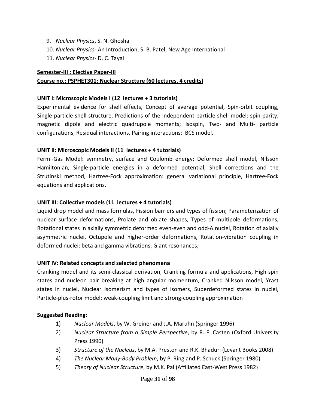- 9. *Nuclear Physics*, S. N. Ghoshal
- 10. *Nuclear Physics*‐ An Introduction, S. B. Patel, New Age International
- 11. *Nuclear Physics‐* D. C. Tayal

#### **Semester‐III : Elective Paper‐III**

#### **Course no.: PSPHET301: Nuclear Structure (60 lectures, 4 credits)**

#### **UNIT I: Microscopic Models I (12 lectures + 3 tutorials)**

Experimental evidence for shell effects, Concept of average potential, Spin‐orbit coupling, Single‐particle shell structure, Predictions of the independent particle shell model: spin‐parity, magnetic dipole and electric quadrupole moments; Isospin, Two- and Multi- particle configurations, Residual interactions, Pairing interactions: BCS model.

#### **UNIT II: Microscopic Models II (11 lectures + 4 tutorials)**

Fermi-Gas Model: symmetry, surface and Coulomb energy; Deformed shell model, Nilsson Hamiltonian, Single‐particle energies in a deformed potential, Shell corrections and the Strutinski method, Hartree‐Fock approximation: general variational principle, Hartree‐Fock equations and applications.

#### **UNIT III: Collective models (11 lectures + 4 tutorials)**

Liquid drop model and mass formulas, Fission barriers and types of fission; Parameterization of nuclear surface deformations, Prolate and oblate shapes, Types of multipole deformations, Rotational states in axially symmetric deformed even-even and odd-A nuclei, Rotation of axially asymmetric nuclei, Octupole and higher‐order deformations, Rotation‐vibration coupling in deformed nuclei: beta and gamma vibrations; Giant resonances;

#### **UNIT IV: Related concepts and selected phenomena**

Cranking model and its semi‐classical derivation, Cranking formula and applications, High‐spin states and nucleon pair breaking at high angular momentum, Cranked Nilsson model, Yrast states in nuclei, Nuclear Isomerism and types of isomers, Superdeformed states in nuclei, Particle‐plus‐rotor model: weak‐coupling limit and strong‐coupling approximation

#### **Suggested Reading:**

- 1) *Nuclear Models*, by W. Greiner and J.A. Maruhn (Springer 1996)
- 2) *Nuclear Structure from a Simple Perspective*, by R. F. Casten (Oxford University Press 1990)
- 3) *Structure of the Nucleus*, by M.A. Preston and R.K. Bhaduri (Levant Books 2008)
- 4) *The Nuclear Many‐Body Problem*, by P. Ring and P. Schuck (Springer 1980)
- 5) *Theory of Nuclear Structure*, by M.K. Pal (Affiliated East‐West Press 1982)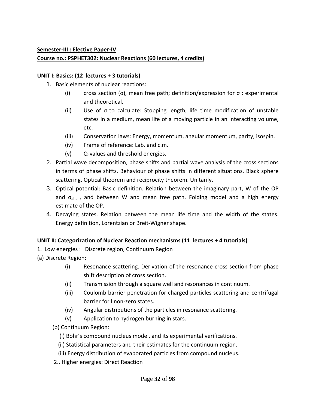### **Semester‐III : Elective Paper‐IV Course no.: PSPHET302: Nuclear Reactions (60 lectures, 4 credits)**

### **UNIT I: Basics: (12 lectures + 3 tutorials)**

- 1. Basic elements of nuclear reactions:
	- (i) cross section (σ), mean free path; definition/expression for  $\sigma$  : experimental and theoretical.
	- (ii) Use of σ to calculate: Stopping length, life time modification of unstable states in a medium, mean life of a moving particle in an interacting volume, etc.
	- (iii) Conservation laws: Energy, momentum, angular momentum, parity, isospin.
	- (iv) Frame of reference: Lab. and c.m.
	- (v) Q‐values and threshold energies.
- 2. Partial wave decomposition, phase shifts and partial wave analysis of the cross sections in terms of phase shifts. Behaviour of phase shifts in different situations. Black sphere scattering. Optical theorem and reciprocity theorem. Unitarily.
- 3. Optical potential: Basic definition. Relation between the imaginary part, W of the OP and  $\sigma_{\text{abs}}$ , and between W and mean free path. Folding model and a high energy estimate of the OP.
- 4. Decaying states. Relation between the mean life time and the width of the states. Energy definition, Lorentzian or Breit‐Wigner shape.

## **UNIT II: Categorization of Nuclear Reaction mechanisms (11 lectures + 4 tutorials)**

1. Low energies : Discrete region, Continuum Region

(a) Discrete Region:

- (i) Resonance scattering. Derivation of the resonance cross section from phase shift description of cross section.
- (ii) Transmission through a square well and resonances in continuum.
- (iii) Coulomb barrier penetration for charged particles scattering and centrifugal barrier for l non‐zero states.
- (iv) Angular distributions of the particles in resonance scattering.
- (v) Application to hydrogen burning in stars.
- (b) Continuum Region:
	- (i) Bohr's compound nucleus model, and its experimental verifications.
	- (ii) Statistical parameters and their estimates for the continuum region.
	- (iii) Energy distribution of evaporated particles from compound nucleus.
- 2.. Higher energies: Direct Reaction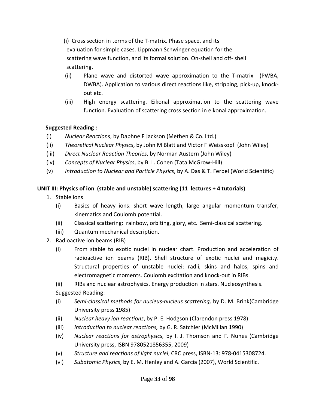(i) Cross section in terms of the T‐matrix. Phase space, and its evaluation for simple cases. Lippmann Schwinger equation for the scattering wave function, and its formal solution. On‐shell and off‐ shell scattering.

- (ii) Plane wave and distorted wave approximation to the T‐matrix (PWBA, DWBA). Application to various direct reactions like, stripping, pick‐up, knock‐ out etc.
- (iii) High energy scattering. Eikonal approximation to the scattering wave function. Evaluation of scattering cross section in eikonal approximation.

#### **Suggested Reading :**

- (i) *Nuclear Reactions*, by Daphne F Jackson (Methen & Co. Ltd.)
- (ii) *Theoretical Nuclear Physics*, by John M Blatt and Victor F Weisskopf (John Wiley)
- (iii) *Direct Nuclear Reaction Theories*, by Norman Austern (John Wiley)
- (iv) *Concepts of Nuclear Physics*, by B. L. Cohen (Tata McGrow‐Hill)
- (v) *Introduction to Nuclear and Particle Physics*, by A. Das & T. Ferbel (World Scientific)

## **UNIT III: Physics of ion (stable and unstable) scattering (11 lectures + 4 tutorials)**

- 1. Stable ions
	- (i) Basics of heavy ions: short wave length, large angular momentum transfer, kinematics and Coulomb potential.
	- (ii) Classical scattering: rainbow, orbiting, glory, etc. Semi‐classical scattering.
	- (iii) Quantum mechanical description.
- 2. Radioactive ion beams (RIB)
	- (i) From stable to exotic nuclei in nuclear chart. Production and acceleration of radioactive ion beams (RIB). Shell structure of exotic nuclei and magicity. Structural properties of unstable nuclei: radii, skins and halos, spins and electromagnetic moments. Coulomb excitation and knock‐out in RIBs.
	- (ii) RIBs and nuclear astrophysics. Energy production in stars. Nucleosynthesis.

Suggested Reading:

- (i) *Semi‐classical methods for nucleus‐nucleus scattering,* by D. M. Brink(Cambridge University press 1985)
- (ii) *Nuclear heavy ion reactions*, by P. E. Hodgson (Clarendon press 1978)
- (iii) *Introduction to nuclear reactions,* by G. R. Satchler (McMillan 1990)
- (iv) *Nuclear reactions for astrophysics,* by I. J. Thomson and F. Nunes (Cambridge University press, ISBN 9780521856355, 2009)
- (v) *Structure and reactions of light nuclei*, CRC press, ISBN‐13: 978‐0415308724.
- (vi) *Subatomic Physics*, by E. M. Henley and A. Garcia (2007), World Scientific.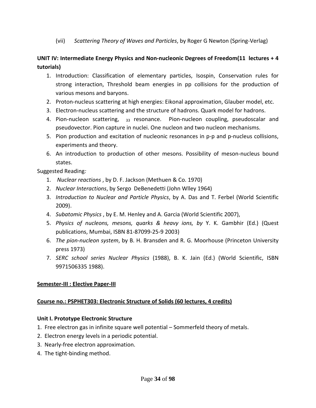(vii) *Scattering Theory of Waves and Particles*, by Roger G Newton (Spring‐Verlag)

## **UNIT IV: Intermediate Energy Physics and Non‐nucleonic Degrees of Freedom(11 lectures + 4 tutorials)**

- 1. Introduction: Classification of elementary particles, Isospin, Conservation rules for strong interaction, Threshold beam energies in pp collisions for the production of various mesons and baryons.
- 2. Proton-nucleus scattering at high energies: Eikonal approximation, Glauber model, etc.
- 3. Electron‐nucleus scattering and the structure of hadrons. Quark model for hadrons.
- 4. Pion-nucleon scattering,  $_{33}$  resonance. Pion-nucleon coupling, pseudoscalar and pseudovector. Pion capture in nuclei. One nucleon and two nucleon mechanisms.
- 5. Pion production and excitation of nucleonic resonances in p-p and p-nucleus collisions, experiments and theory.
- 6. An introduction to production of other mesons. Possibility of meson‐nucleus bound states.

Suggested Reading*:* 

- 1. *Nuclear reactions* , by D. F. Jackson (Methuen & Co. 1970)
- 2. *Nuclear Interactions*, by Sergo DeBenedetti (John Wlley 1964)
- 3. *Introduction to Nuclear and Particle Physics*, by A. Das and T. Ferbel (World Scientific 2009).
- 4. *Subatomic Physics* , by E. M. Henley and A. Garcia (World Scientific 2007),
- 5. *Physics of nucleons, mesons, quarks & heavy ions, by* Y. K. Gambhir (Ed.) (Quest publications, Mumbai, ISBN 81‐87099‐25‐9 2003)
- 6. *The pion‐nucleon system*, by B. H. Bransden and R. G. Moorhouse (Princeton University press 1973)
- 7. *SERC school series Nuclear Physics* (1988), B. K. Jain (Ed.) (World Scientific, ISBN 9971506335 1988).

#### **Semester‐III : Elective Paper‐III**

#### **Course no.: PSPHET303: Electronic Structure of Solids (60 lectures, 4 credits)**

#### **Unit I. Prototype Electronic Structure**

- 1. Free electron gas in infinite square well potential Sommerfeld theory of metals.
- 2. Electron energy levels in a periodic potential.
- 3. Nearly‐free electron approximation.
- 4. The tight‐binding method.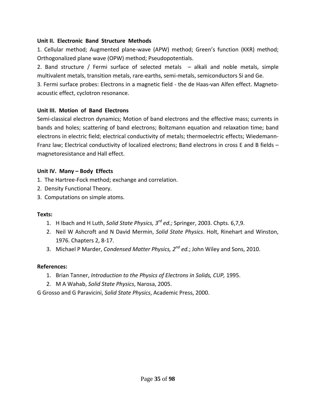#### **Unit II. Electronic Band Structure Methods**

1. Cellular method; Augmented plane‐wave (APW) method; Green's function (KKR) method; Orthogonalized plane wave (OPW) method; Pseudopotentials.

2. Band structure / Fermi surface of selected metals – alkali and noble metals, simple multivalent metals, transition metals, rare‐earths, semi‐metals, semiconductors Si and Ge.

3. Fermi surface probes: Electrons in a magnetic field ‐ the de Haas‐van Alfen effect. Magneto‐ acoustic effect, cyclotron resonance.

#### **Unit III. Motion of Band Electrons**

Semi-classical electron dynamics; Motion of band electrons and the effective mass; currents in bands and holes; scattering of band electrons; Boltzmann equation and relaxation time; band electrons in electric field; electrical conductivity of metals; thermoelectric effects; Wiedemann‐ Franz law; Electrical conductivity of localized electrons; Band electrons in cross E and B fields – magnetoresistance and Hall effect.

#### **Unit IV. Many – Body Effects**

- 1. The Hartree‐Fock method; exchange and correlation.
- 2. Density Functional Theory.
- 3. Computations on simple atoms.

#### **Texts:**

- 1. H Ibach and H Luth, *Solid State Physics, 3rd ed.;* Springer, 2003. Chpts. 6,7,9.
- 2. Neil W Ashcroft and N David Mermin, *Solid State Physics*. Holt, Rinehart and Winston, 1976. Chapters 2, 8‐17.
- 3. Michael P Marder, *Condensed Matter Physics, 2nd ed.*; John Wiley and Sons, 2010.

#### **References:**

- 1. Brian Tanner, *Introduction to the Physics of Electrons in Solids, CUP,* 1995.
- 2. M A Wahab, *Solid State Physics*, Narosa, 2005.

G Grosso and G Paravicini, *Solid State Physics*, Academic Press, 2000.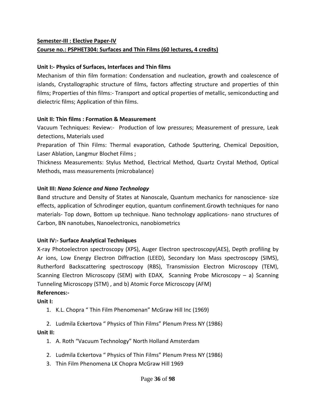## **Semester‐III : Elective Paper‐IV Course no.: PSPHET304: Surfaces and Thin Films (60 lectures, 4 credits)**

#### **Unit I:‐ Physics of Surfaces, Interfaces and Thin films**

Mechanism of thin film formation: Condensation and nucleation, growth and coalescence of islands, Crystallographic structure of films, factors affecting structure and properties of thin films; Properties of thin films:- Transport and optical properties of metallic, semiconducting and dielectric films; Application of thin films.

#### **Unit II: Thin films : Formation & Measurement**

Vacuum Techniques: Review:- Production of low pressures; Measurement of pressure, Leak detections, Materials used

Preparation of Thin Films: Thermal evaporation, Cathode Sputtering, Chemical Deposition, Laser Ablation, Langmur Blochet Films ;

Thickness Measurements: Stylus Method, Electrical Method, Quartz Crystal Method, Optical Methods, mass measurements (microbalance)

#### **Unit III:** *Nano Science and Nano Technology*

Band structure and Density of States at Nanoscale, Quantum mechanics for nanoscience‐ size effects, application of Schrodinger eqution, quantum confinement.Growth techniques for nano materials‐ Top down, Bottom up technique. Nano technology applications‐ nano structures of Carbon, BN nanotubes, Nanoelectronics, nanobiometrics

#### **Unit IV:‐ Surface Analytical Techniques**

X‐ray Photoelectron spectroscopy (XPS), Auger Electron spectroscopy(AES), Depth profiling by Ar ions, Low Energy Electron Diffraction (LEED), Secondary Ion Mass spectroscopy (SIMS), Rutherford Backscattering spectroscopy (RBS), Transmission Electron Microscopy (TEM), Scanning Electron Microscopy (SEM) with EDAX, Scanning Probe Microscopy  $-$  a) Scanning Tunneling Microscopy (STM) , and b) Atomic Force Microscopy (AFM)

#### **References:‐**

**Unit I:** 

1. K.L. Chopra " Thin Film Phenomenan" McGraw Hill Inc (1969)

2. Ludmila Eckertova " Physics of Thin Films" Plenum Press NY (1986)

#### **Unit II:**

- 1. A. Roth "Vacuum Technology" North Holland Amsterdam
- 2. Ludmila Eckertova " Physics of Thin Films" Plenum Press NY (1986)
- 3. Thin Film Phenomena LK Chopra McGraw Hill 1969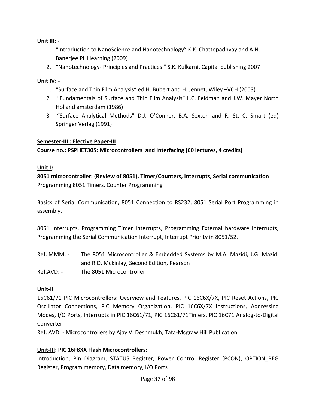**Unit III: ‐** 

- 1. "Introduction to NanoScience and Nanotechnology" K.K. Chattopadhyay and A.N. Banerjee PHI learning (2009)
- 2. "Nanotechnology‐ Principles and Practices " S.K. Kulkarni, Capital publishing 2007

# **Unit IV: ‐**

- 1. "Surface and Thin Film Analysis" ed H. Bubert and H. Jennet, Wiley –VCH (2003)
- 2 "Fundamentals of Surface and Thin Film Analysis" L.C. Feldman and J.W. Mayer North Holland amsterdam (1986)
- 3 "Surface Analytical Methods" D.J. O'Conner, B.A. Sexton and R. St. C. Smart (ed) Springer Verlag (1991)

### **Semester‐III : Elective Paper‐III**

# **Course no.: PSPHET305: Microcontrollers and Interfacing (60 lectures, 4 credits)**

# **Unit‐I:**

**8051 microcontroller: (Review of 8051), Timer/Counters, Interrupts, Serial communication**  Programming 8051 Timers, Counter Programming

Basics of Serial Communication, 8051 Connection to RS232, 8051 Serial Port Programming in assembly.

8051 Interrupts, Programming Timer Interrupts, Programming External hardware Interrupts, Programming the Serial Communication Interrupt, Interrupt Priority in 8051/52.

Ref. MMM: - The 8051 Microcontroller & Embedded Systems by M.A. Mazidi, J.G. Mazidi and R.D. Mckinlay, Second Edition, Pearson Ref.AVD: - The 8051 Microcontroller

# **Unit‐II**

16C61/71 PIC Microcontrollers: Overview and Features, PIC 16C6X/7X, PIC Reset Actions, PIC Oscillator Connections, PIC Memory Organization, PIC 16C6X/7X Instructions, Addressing Modes, I/O Ports, Interrupts in PIC 16C61/71, PIC 16C61/71Timers, PIC 16C71 Analog-to-Digital Converter.

Ref. AVD: ‐ Microcontrollers by Ajay V. Deshmukh, Tata‐Mcgraw Hill Publication

# **Unit‐III: PIC 16F8XX Flash Microcontrollers:**

Introduction, Pin Diagram, STATUS Register, Power Control Register (PCON), OPTION\_REG Register, Program memory, Data memory, I/O Ports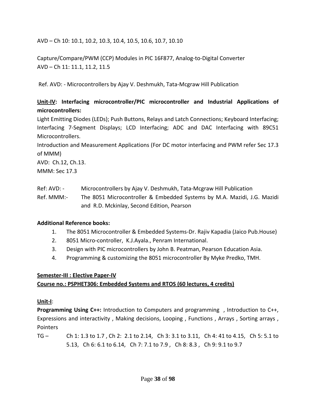AVD – Ch 10: 10.1, 10.2, 10.3, 10.4, 10.5, 10.6, 10.7, 10.10

Capture/Compare/PWM (CCP) Modules in PIC 16F877, Analog‐to‐Digital Converter AVD – Ch 11: 11.1, 11.2, 11.5

Ref. AVD: ‐ Microcontrollers by Ajay V. Deshmukh, Tata‐Mcgraw Hill Publication

# **Unit‐IV: Interfacing microcontroller/PIC microcontroller and Industrial Applications of microcontrollers:**

Light Emitting Diodes (LEDs); Push Buttons, Relays and Latch Connections; Keyboard Interfacing; Interfacing 7‐Segment Displays; LCD Interfacing; ADC and DAC Interfacing with 89C51 Microcontrollers.

Introduction and Measurement Applications (For DC motor interfacing and PWM refer Sec 17.3 of MMM)

AVD: Ch.12, Ch.13. MMM: Sec 17.3

Ref: AVD: - Microcontrollers by Ajay V. Deshmukh, Tata-Mcgraw Hill Publication

Ref. MMM:- The 8051 Microcontroller & Embedded Systems by M.A. Mazidi, J.G. Mazidi and R.D. Mckinlay, Second Edition, Pearson

### **Additional Reference books:**

- 1. The 8051 Microcontroller & Embedded Systems‐Dr. Rajiv Kapadia (Jaico Pub.House)
- 2. 8051 Micro‐controller, K.J.Ayala., Penram International.
- 3. Design with PIC microcontrollers by John B. Peatman, Pearson Education Asia.
- 4. Programming & customizing the 8051 microcontroller By Myke Predko, TMH.

### **Semester‐III : Elective Paper‐IV**

### **Course no.: PSPHET306: Embedded Systems and RTOS (60 lectures, 4 credits)**

### **Unit‐I**:

**Programming Using C++:** Introduction to Computers and programming , Introduction to C++, Expressions and interactivity , Making decisions, Looping , Functions , Arrays , Sorting arrays , Pointers

TG – Ch 1: 1.3 to 1.7 , Ch 2: 2.1 to 2.14, Ch 3: 3.1 to 3.11, Ch 4: 41 to 4.15, Ch 5: 5.1 to 5.13, Ch 6: 6.1 to 6.14, Ch 7: 7.1 to 7.9 , Ch 8: 8.3 , Ch 9: 9.1 to 9.7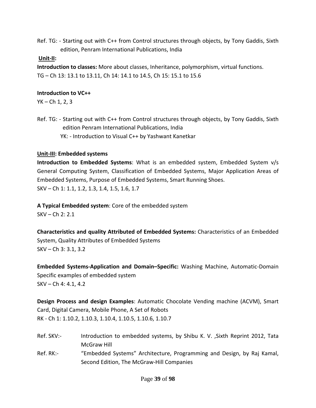Ref. TG: ‐ Starting out with C++ from Control structures through objects, by Tony Gaddis, Sixth edition, Penram International Publications, India

### **Unit‐II:**

**Introduction to classes:** More about classes, Inheritance, polymorphism, virtual functions. TG – Ch 13: 13.1 to 13.11, Ch 14: 14.1 to 14.5, Ch 15: 15.1 to 15.6

### **Introduction to VC++**

YK – Ch 1, 2, 3

Ref. TG: - Starting out with C++ from Control structures through objects, by Tony Gaddis, Sixth edition Penram International Publications, India YK: ‐ Introduction to Visual C++ by Yashwant Kanetkar

### **Unit‐III: Embedded systems**

**Introduction to Embedded Systems**: What is an embedded system, Embedded System v/s General Computing System, Classification of Embedded Systems, Major Application Areas of Embedded Systems, Purpose of Embedded Systems, Smart Running Shoes. SKV – Ch 1: 1.1, 1.2, 1.3, 1.4, 1.5, 1.6, 1.7

**A Typical Embedded system**: Core of the embedded system SKV – Ch 2: 2.1

**Characteristics and quality Attributed of Embedded Systems:** Characteristics of an Embedded System, Quality Attributes of Embedded Systems SKV – Ch 3: 3.1, 3.2

**Embedded Systems‐Application and Domain–Specific:** Washing Machine, Automatic‐Domain Specific examples of embedded system SKV – Ch 4: 4.1, 4.2

**Design Process and design Examples**: Automatic Chocolate Vending machine (ACVM), Smart Card, Digital Camera, Mobile Phone, A Set of Robots RK ‐ Ch 1: 1.10.2, 1.10.3, 1.10.4, 1.10.5, 1.10.6, 1.10.7

- Ref. SKV:- Introduction to embedded systems, by Shibu K. V., Sixth Reprint 2012, Tata McGraw Hill
- Ref. RK:- "Embedded Systems" Architecture, Programming and Design, by Raj Kamal, Second Edition, The McGraw‐Hill Companies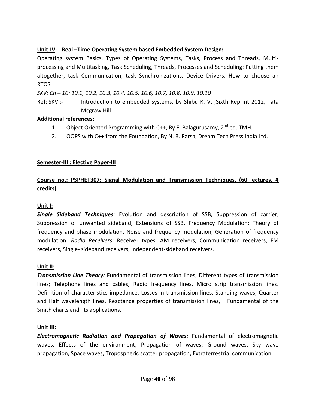# **Unit‐IV**: ‐ **Real –Time Operating System based Embedded System Design:**

Operating system Basics, Types of Operating Systems, Tasks, Process and Threads, Multi‐ processing and Multitasking, Task Scheduling, Threads, Processes and Scheduling: Putting them altogether, task Communication, task Synchronizations, Device Drivers, How to choose an RTOS.

*SKV: Ch – 10: 10.1, 10.2, 10.3, 10.4, 10.5, 10.6, 10.7, 10.8, 10.9. 10.10* 

Ref: SKV :- Introduction to embedded systems, by Shibu K. V., Sixth Reprint 2012, Tata Mcgraw Hill

### **Additional references:**

- 1. Object Oriented Programming with C++, By E. Balagurusamy,  $2^{nd}$  ed. TMH.
- 2. OOPS with C++ from the Foundation, By N. R. Parsa, Dream Tech Press India Ltd.

# **Semester‐III : Elective Paper‐III**

# **Course no.: PSPHET307: Signal Modulation and Transmission Techniques, (60 lectures, 4 credits)**

### **Unit I:**

*Single Sideband Techniques:* Evolution and description of SSB, Suppression of carrier, Suppression of unwanted sideband, Extensions of SSB, Frequency Modulation: Theory of frequency and phase modulation, Noise and frequency modulation, Generation of frequency modulation. *Radio Receivers:* Receiver types, AM receivers, Communication receivers, FM receivers, Single‐ sideband receivers, Independent‐sideband receivers.

### **Unit II**:

*Transmission Line Theory:* Fundamental of transmission lines, Different types of transmission lines; Telephone lines and cables, Radio frequency lines, Micro strip transmission lines. Definition of characteristics impedance, Losses in transmission lines, Standing waves, Quarter and Half wavelength lines, Reactance properties of transmission lines, Fundamental of the Smith charts and its applications.

### **Unit III:**

*Electromagnetic Radiation and Propagation of Waves:* Fundamental of electromagnetic waves, Effects of the environment, Propagation of waves; Ground waves, Sky wave propagation, Space waves, Tropospheric scatter propagation, Extraterrestrial communication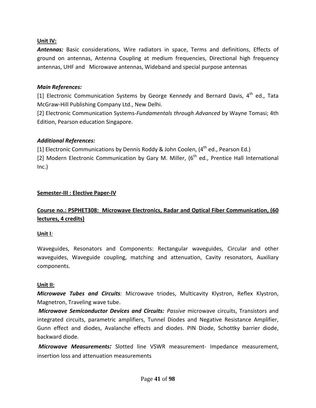### **Unit IV:**

*Antennas:* Basic considerations, Wire radiators in space, Terms and definitions, Effects of ground on antennas, Antenna Coupling at medium frequencies, Directional high frequency antennas, UHF and Microwave antennas, Wideband and special purpose antennas

#### *Main References:*

[1] Electronic Communication Systems by George Kennedy and Bernard Davis,  $4^{th}$  ed., Tata McGraw‐Hill Publishing Company Ltd., New Delhi.

[2] Electronic Communication Systems‐*Fundamentals through Advanced* by Wayne Tomasi; 4th Edition, Pearson education Singapore.

### *Additional References:*

[1] Electronic Communications by Dennis Roddy & John Coolen,  $(4<sup>th</sup>$  ed., Pearson Ed.)

[2] Modern Electronic Communication by Gary M. Miller,  $6<sup>th</sup>$  ed., Prentice Hall International Inc.)

### **Semester‐III : Elective Paper‐IV**

# **Course no.: PSPHET308: Microwave Electronics, Radar and Optical Fiber Communication, (60 lectures, 4 credits)**

#### **Unit I***:*

Waveguides, Resonators and Components: Rectangular waveguides, Circular and other waveguides, Waveguide coupling, matching and attenuation, Cavity resonators, Auxiliary components.

#### **Unit II:**

*Microwave Tubes and Circuits:* Microwave triodes, Multicavity Klystron, Reflex Klystron, Magnetron, Traveling wave tube.

*Microwave Semiconductor Devices and Circuits: Passive* microwave circuits, Transistors and integrated circuits, parametric amplifiers, Tunnel Diodes and Negative Resistance Amplifier, Gunn effect and diodes, Avalanche effects and diodes. PIN Diode, Schottky barrier diode, backward diode.

*Microwave Measurements:* Slotted line VSWR measurement‐ Impedance measurement, insertion loss and attenuation measurements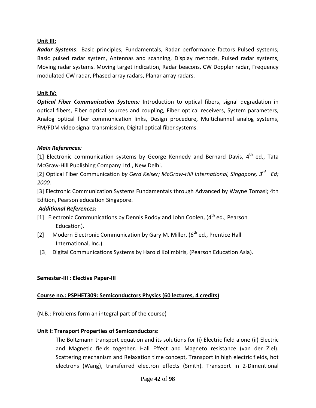### **Unit III:**

*Radar Systems*: Basic principles; Fundamentals, Radar performance factors Pulsed systems; Basic pulsed radar system, Antennas and scanning, Display methods, Pulsed radar systems, Moving radar systems. Moving target indication, Radar beacons, CW Doppler radar, Frequency modulated CW radar, Phased array radars, Planar array radars.

#### **Unit IV:**

*Optical Fiber Communication Systems:* Introduction to optical fibers, signal degradation in optical fibers, Fiber optical sources and coupling, Fiber optical receivers, System parameters, Analog optical fiber communication links, Design procedure, Multichannel analog systems, FM/FDM video signal transmission, Digital optical fiber systems.

#### *Main References:*

[1] Electronic communication systems by George Kennedy and Bernard Davis,  $4^{th}$  ed., Tata McGraw‐Hill Publishing Company Ltd., New Delhi.

[2] Optical Fiber Communication *by Gerd Keiser; McGraw‐Hill International, Singapore, 3rd Ed; 2000.*

[3] Electronic Communication Systems Fundamentals through Advanced by Wayne Tomasi; 4th Edition, Pearson education Singapore.

### *Additional References:*

- [1] Electronic Communications by Dennis Roddy and John Coolen,  $(4<sup>th</sup>$  ed., Pearson Education).
- [2] Modern Electronic Communication by Gary M. Miller,  $(6<sup>th</sup>$  ed., Prentice Hall International, Inc.).
- [3] Digital Communications Systems by Harold Kolimbiris, (Pearson Education Asia).

### **Semester‐III : Elective Paper‐III**

### **Course no.: PSPHET309: Semiconductors Physics (60 lectures, 4 credits)**

(N.B.: Problems form an integral part of the course)

#### **Unit I: Transport Properties of Semiconductors:**

The Boltzmann transport equation and its solutions for (i) Electric field alone (ii) Electric and Magnetic fields together. Hall Effect and Magneto resistance (van der Ziel). Scattering mechanism and Relaxation time concept, Transport in high electric fields, hot electrons (Wang), transferred electron effects (Smith). Transport in 2‐Dimentional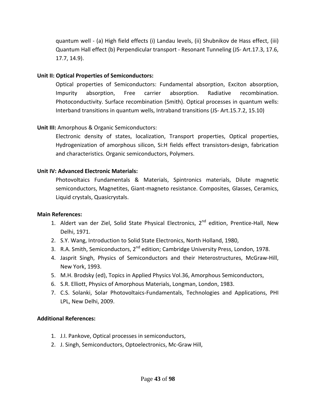quantum well ‐ (a) High field effects (i) Landau levels, (ii) Shubnikov de Hass effect, (iii) Quantum Hall effect (b) Perpendicular transport ‐ Resonant Tunneling (JS‐ Art.17.3, 17.6, 17.7, 14.9).

### **Unit II: Optical Properties of Semiconductors:**

Optical properties of Semiconductors: Fundamental absorption, Exciton absorption, Impurity absorption, Free carrier absorption. Radiative recombination. Photoconductivity. Surface recombination (Smith). Optical processes in quantum wells: Interband transitions in quantum wells, Intraband transitions (JS‐ Art.15.7.2, 15.10)

### **Unit III:** Amorphous & Organic Semiconductors:

Electronic density of states, localization, Transport properties, Optical properties, Hydrogenization of amorphous silicon, Si:H fields effect transistors‐design, fabrication and characteristics. Organic semiconductors, Polymers.

### **Unit IV: Advanced Electronic Materials:**

Photovoltaics Fundamentals & Materials, Spintronics materials, Dilute magnetic semiconductors, Magnetites, Giant‐magneto resistance. Composites, Glasses, Ceramics, Liquid crystals, Quasicrystals.

### **Main References:**

- 1. Aldert van der Ziel, Solid State Physical Electronics, 2<sup>nd</sup> edition, Prentice-Hall, New Delhi, 1971.
- 2. S.Y. Wang, Introduction to Solid State Electronics, North Holland, 1980,
- 3. R.A. Smith, Semiconductors, 2<sup>nd</sup> edition; Cambridge University Press, London, 1978.
- 4. Jasprit Singh, Physics of Semiconductors and their Heterostructures, McGraw-Hill, New York, 1993.
- 5. M.H. Brodsky (ed), Topics in Applied Physics Vol.36, Amorphous Semiconductors,
- 6. S.R. Elliott, Physics of Amorphous Materials, Longman, London, 1983.
- 7. C.S. Solanki, Solar Photovoltaics‐Fundamentals, Technologies and Applications, PHI LPL, New Delhi, 2009.

### **Additional References:**

- 1. J.I. Pankove, Optical processes in semiconductors,
- 2. J. Singh, Semiconductors, Optoelectronics, Mc‐Graw Hill,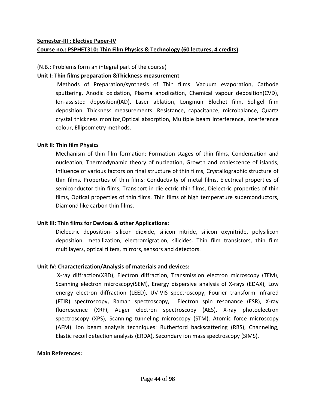#### **Course no.: PSPHET310: Thin Film Physics & Technology (60 lectures, 4 credits)**

#### (N.B.: Problems form an integral part of the course)

#### **Unit I: Thin films preparation &Thickness measurement**

Methods of Preparation/synthesis of Thin films: Vacuum evaporation, Cathode sputtering, Anodic oxidation, Plasma anodization, Chemical vapour deposition(CVD), Ion‐assisted deposition(IAD), Laser ablation, Longmuir Blochet film, Sol‐gel film deposition. Thickness measurements: Resistance, capacitance, microbalance, Quartz crystal thickness monitor,Optical absorption, Multiple beam interference, Interference colour, Ellipsometry methods.

#### **Unit II: Thin film Physics**

Mechanism of thin film formation: Formation stages of thin films, Condensation and nucleation, Thermodynamic theory of nucleation, Growth and coalescence of islands, Influence of various factors on final structure of thin films, Crystallographic structure of thin films. Properties of thin films: Conductivity of metal films, Electrical properties of semiconductor thin films, Transport in dielectric thin films, Dielectric properties of thin films, Optical properties of thin films. Thin films of high temperature superconductors, Diamond like carbon thin films.

### **Unit III: Thin films for Devices & other Applications:**

Dielectric deposition‐ silicon dioxide, silicon nitride, silicon oxynitride, polysilicon deposition, metallization, electromigration, silicides. Thin film transistors, thin film multilayers, optical filters, mirrors, sensors and detectors.

### **Unit IV: Characterization/Analysis of materials and devices:**

X‐ray diffraction(XRD), Electron diffraction, Transmission electron microscopy (TEM), Scanning electron microscopy(SEM), Energy dispersive analysis of X-rays (EDAX), Low energy electron diffraction (LEED), UV‐VIS spectroscopy, Fourier transform infrared (FTIR) spectroscopy, Raman spectroscopy, Electron spin resonance (ESR), X‐ray fluorescence (XRF), Auger electron spectroscopy (AES), X-ray photoelectron spectroscopy (XPS), Scanning tunneling microscopy (STM), Atomic force microscopy (AFM). Ion beam analysis techniques: Rutherford backscattering (RBS), Channeling, Elastic recoil detection analysis (ERDA), Secondary ion mass spectroscopy (SIMS).

#### **Main References:**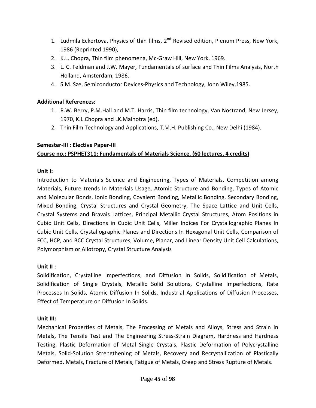- 1. Ludmila Eckertova, Physics of thin films, 2<sup>nd</sup> Revised edition, Plenum Press, New York, 1986 (Reprinted 1990),
- 2. K.L. Chopra, Thin film phenomena, Mc‐Graw Hill, New York, 1969.
- 3. L. C. Feldman and J.W. Mayer, Fundamentals of surface and Thin Films Analysis, North Holland, Amsterdam, 1986.
- 4. S.M. Sze, Semiconductor Devices‐Physics and Technology, John Wiley,1985.

## **Additional References:**

- 1. R.W. Berry, P.M.Hall and M.T. Harris, Thin film technology, Van Nostrand, New Jersey, 1970, K.L.Chopra and LK.Malhotra (ed),
- 2. Thin Film Technology and Applications, T.M.H. Publishing Co., New Delhi (1984).

### **Semester‐III : Elective Paper‐III**

# **Course no.: PSPHET311: Fundamentals of Materials Science, (60 lectures, 4 credits)**

### **Unit I:**

Introduction to Materials Science and Engineering, Types of Materials, Competition among Materials, Future trends In Materials Usage, Atomic Structure and Bonding, Types of Atomic and Molecular Bonds, Ionic Bonding, Covalent Bonding, Metallic Bonding, Secondary Bonding, Mixed Bonding, Crystal Structures and Crystal Geometry, The Space Lattice and Unit Cells, Crystal Systems and Bravais Lattices, Principal Metallic Crystal Structures, Atom Positions in Cubic Unit Cells, Directions in Cubic Unit Cells, Miller Indices For Crystallographic Planes In Cubic Unit Cells, Crystallographic Planes and Directions In Hexagonal Unit Cells, Comparison of FCC, HCP, and BCC Crystal Structures, Volume, Planar, and Linear Density Unit Cell Calculations, Polymorphism or Allotropy, Crystal Structure Analysis

# **Unit II :**

Solidification, Crystalline Imperfections, and Diffusion In Solids, Solidification of Metals, Solidification of Single Crystals, Metallic Solid Solutions, Crystalline Imperfections, Rate Processes In Solids, Atomic Diffusion In Solids, Industrial Applications of Diffusion Processes, Effect of Temperature on Diffusion In Solids.

# **Unit III:**

Mechanical Properties of Metals, The Processing of Metals and Alloys, Stress and Strain In Metals, The Tensile Test and The Engineering Stress‐Strain Diagram, Hardness and Hardness Testing, Plastic Deformation of Metal Single Crystals, Plastic Deformation of Polycrystalline Metals, Solid‐Solution Strengthening of Metals, Recovery and Recrystallization of Plastically Deformed. Metals, Fracture of Metals, Fatigue of Metals, Creep and Stress Rupture of Metals.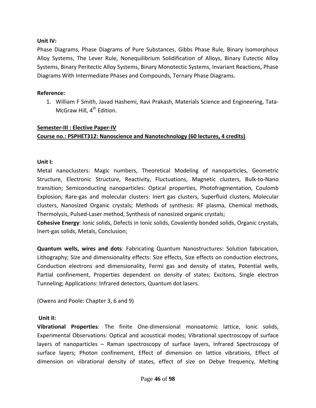#### **Unit IV:**

Phase Diagrams, Phase Diagrams of Pure Substances, Gibbs Phase Rule, Binary Isomorphous Alloy Systems, The Lever Rule, Nonequilibrium Solidification of Alloys, Binary Eutectic Alloy Systems, Binary Peritectic Alloy Systems, Binary Monotectic Systems, Invariant Reactions, Phase Diagrams With Intermediate Phases and Compounds, Ternary Phase Diagrams.

#### **Reference:**

1. William F Smith, Javad Hashemi, Ravi Prakash, Materials Science and Engineering, Tata‐ McGraw Hill, 4<sup>th</sup> Edition.

#### **Semester‐III : Elective Paper‐IV Course no.: PSPHET312: Nanoscience and Nanotechnology (60 lectures, 4 credits)**

#### **Unit I:**

Metal nanoclusters: Magic numbers, Theoretical Modeling of nanoparticles, Geometric Structure, Electronic Structure, Reactivity, Fluctuations, Magnetic clusters, Bulk‐to‐Nano transition; Semiconducting nanoparticles: Optical properties, Photofragmentation, Coulomb Explosion; Rare‐gas and molecular clusters: Inert gas clusters, Superfluid clusters, Molecular clusters, Nanosized Organic crystals; Methods of synthesis: RF plasma, Chemical methods, Thermolysis, Pulsed‐Laser method, Synthesis of nanosized organic crystals;

**Cohesive Energy**: Ionic solids, Defects in Ionic solids, Covalently bonded solids, Organic crystals, Inert‐gas solids, Metals, Conclusion;

**Quantum wells, wires and dots**: Fabricating Quantum Nanostructures: Solution fabrication, Lithography; Size and dimensionality effects: Size effects, Size effects on conduction electrons, Conduction electrons and dimensionality, Fermi gas and density of states, Potential wells, Partial confinement, Properties dependent on density of states; Excitons, Single electron Tunneling; Applications: Infrared detectors, Quantum dot lasers.

(Owens and Poole: Chapter 3, 6 and 9)

#### **Unit II:**

**Vibrational Properties**: The finite One‐dimensional monoatomic lattice, Ionic solids, Experimental Observations: Optical and acoustical modes; Vibrational spectroscopy of surface layers of nanoparticles – Raman spectroscopy of surface layers, Infrared Spectroscopy of surface layers; Photon confinement, Effect of dimension on lattice vibrations, Effect of dimension on vibrational density of states, effect of size on Debye frequency, Melting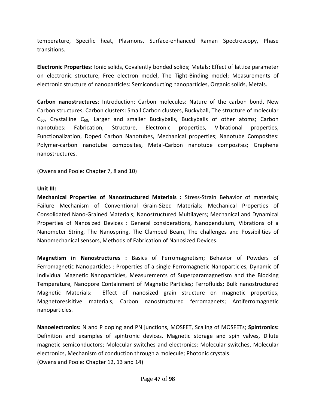temperature, Specific heat, Plasmons, Surface‐enhanced Raman Spectroscopy, Phase transitions.

**Electronic Properties**: Ionic solids, Covalently bonded solids; Metals: Effect of lattice parameter on electronic structure, Free electron model, The Tight‐Binding model; Measurements of electronic structure of nanoparticles: Semiconducting nanoparticles, Organic solids, Metals.

**Carbon nanostructures**: Introduction; Carbon molecules: Nature of the carbon bond, New Carbon structures; Carbon clusters: Small Carbon clusters, Buckyball, The structure of molecular  $C_{60}$ , Crystalline  $C_{60}$ , Larger and smaller Buckyballs, Buckyballs of other atoms; Carbon nanotubes: Fabrication, Structure, Electronic properties, Vibrational properties, Functionalization, Doped Carbon Nanotubes, Mechanical properties; Nanotube Composites: Polymer‐carbon nanotube composites, Metal‐Carbon nanotube composites; Graphene nanostructures.

(Owens and Poole: Chapter 7, 8 and 10)

#### **Unit III:**

**Mechanical Properties of Nanostructured Materials :** Stress‐Strain Behavior of materials; Failure Mechanism of Conventional Grain‐Sized Materials; Mechanical Properties of Consolidated Nano‐Grained Materials; Nanostructured Multilayers; Mechanical and Dynamical Properties of Nanosized Devices : General considerations, Nanopendulum, Vibrations of a Nanometer String, The Nanospring, The Clamped Beam, The challenges and Possibilities of Nanomechanical sensors, Methods of Fabrication of Nanosized Devices.

**Magnetism in Nanostructures :** Basics of Ferromagnetism; Behavior of Powders of Ferromagnetic Nanoparticles : Properties of a single Ferromagnetic Nanoparticles, Dynamic of Individual Magnetic Nanoparticles, Measurements of Superparamagnetism and the Blocking Temperature, Nanopore Containment of Magnetic Particles; Ferrofluids; Bulk nanostructured Magnetic Materials: Effect of nanosized grain structure on magnetic properties, Magnetoresisitive materials, Carbon nanostructured ferromagnets; Antiferromagnetic nanoparticles.

**Nanoelectronics:** N and P doping and PN junctions, MOSFET, Scaling of MOSFETs; **Spintronics:** Definition and examples of spintronic devices, Magnetic storage and spin valves, Dilute magnetic semiconductors; Molecular switches and electronics: Molecular switches, Molecular electronics, Mechanism of conduction through a molecule; Photonic crystals. (Owens and Poole: Chapter 12, 13 and 14)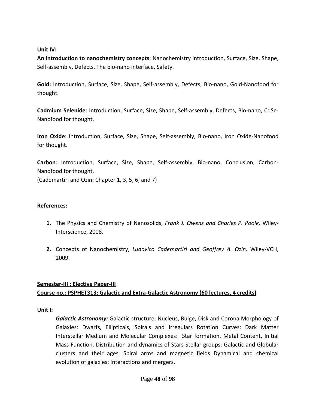### **Unit IV:**

**An introduction to nanochemistry concepts**: Nanochemistry introduction, Surface, Size, Shape, Self‐assembly, Defects, The bio‐nano interface, Safety.

**Gold:** Introduction, Surface, Size, Shape, Self‐assembly, Defects, Bio‐nano, Gold‐Nanofood for thought.

**Cadmium Selenide**: Introduction, Surface, Size, Shape, Self‐assembly, Defects, Bio‐nano, CdSe‐ Nanofood for thought.

**Iron Oxide**: Introduction, Surface, Size, Shape, Self‐assembly, Bio‐nano, Iron Oxide‐Nanofood for thought.

**Carbon**: Introduction, Surface, Size, Shape, Self‐assembly, Bio‐nano, Conclusion, Carbon‐ Nanofood for thought. (Cademartiri and Ozin: Chapter 1, 3, 5, 6, and 7)

### **References:**

- **1.** The Physics and Chemistry of Nanosolids, *Frank J. Owens and Charles P. Poole,* Wiley‐ Interscience, 2008.
- **2.** Concepts of Nanochemistry, *Ludovico Cademartiri and Geoffrey A. Ozin,* Wiley‐VCH, 2009.

# **Semester‐III : Elective Paper‐III Course no.: PSPHET313: Galactic and Extra‐Galactic Astronomy (60 lectures, 4 credits)**

### **Unit I:**

*Galactic Astronomy:* Galactic structure: Nucleus, Bulge, Disk and Corona Morphology of Galaxies: Dwarfs, Ellipticals, Spirals and Irregulars Rotation Curves: Dark Matter Interstellar Medium and Molecular Complexes: Star formation. Metal Content, Initial Mass Function. Distribution and dynamics of Stars Stellar groups: Galactic and Globular clusters and their ages. Spiral arms and magnetic fields Dynamical and chemical evolution of galaxies: Interactions and mergers.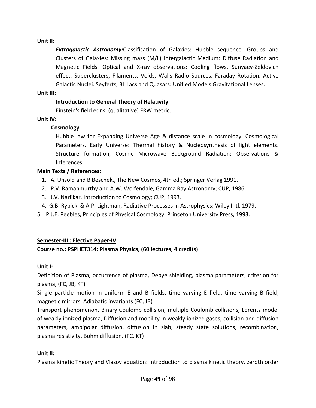### **Unit II:**

*Extragalactic Astronomy:*Classification of Galaxies: Hubble sequence. Groups and Clusters of Galaxies: Missing mass (M/L) Intergalactic Medium: Diffuse Radiation and Magnetic Fields. Optical and X‐ray observations: Cooling flows, Sunyaev‐Zeldovich effect. Superclusters, Filaments, Voids, Walls Radio Sources. Faraday Rotation. Active Galactic Nuclei. Seyferts, BL Lacs and Quasars: Unified Models Gravitational Lenses.

#### **Unit III:**

### **Introduction to General Theory of Relativity**

Einstein's field eqns. (qualitative) FRW metric.

### **Unit IV:**

### **Cosmology**

Hubble law for Expanding Universe Age & distance scale in cosmology. Cosmological Parameters. Early Universe: Thermal history & Nucleosynthesis of light elements. Structure formation, Cosmic Microwave Background Radiation: Observations & Inferences.

### **Main Texts / References:**

- 1. A. Unsold and B Beschek., The New Cosmos, 4th ed.; Springer Verlag 1991.
- 2. P.V. Ramanmurthy and A.W. Wolfendale, Gamma Ray Astronomy; CUP, 1986.
- 3. J.V. Narlikar, Introduction to Cosmology; CUP, 1993.
- 4. G.B. Rybicki & A.P. Lightman, Radiative Processes in Astrophysics; Wiley Intl. 1979.
- 5. P.J.E. Peebles, Principles of Physical Cosmology; Princeton University Press, 1993.

# **Semester‐III : Elective Paper‐IV**

# **Course no.: PSPHET314: Plasma Physics, (60 lectures, 4 credits)**

# **Unit I:**

Definition of Plasma, occurrence of plasma, Debye shielding, plasma parameters, criterion for plasma, (FC, JB, KT)

Single particle motion in uniform E and B fields, time varying E field, time varying B field, magnetic mirrors, Adiabatic invariants (FC, JB)

Transport phenomenon, Binary Coulomb collision, multiple Coulomb collisions, Lorentz model of weakly ionized plasma, Diffusion and mobility in weakly ionized gases, collision and diffusion parameters, ambipolar diffusion, diffusion in slab, steady state solutions, recombination, plasma resistivity. Bohm diffusion. (FC, KT)

### **Unit II:**

Plasma Kinetic Theory and Vlasov equation: Introduction to plasma kinetic theory, zeroth order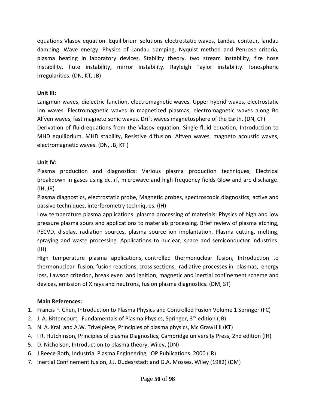equations Vlasov equation. Equilibrium solutions electrostatic waves, Landau contour, landau damping. Wave energy. Physics of Landau damping, Nyquist method and Penrose criteria, plasma heating in laboratory devices. Stability theory, two stream instability, fire hose instability, flute instability, mirror instability. Rayleigh Taylor instability. Ionospheric irregularities. (DN, KT, JB)

### **Unit III:**

Langmuir waves, dielectric function, electromagnetic waves. Upper hybrid waves, electrostatic ion waves. Electromagnetic waves in magnetized plasmas, electromagnetic waves along Bo Alfven waves, fast magneto sonic waves. Drift waves magnetosphere of the Earth. (DN, CF) Derivation of fluid equations from the Vlasov equation, Single fluid equation, Introduction to MHD equilibrium. MHD stability, Resistive diffusion. Alfven waves, magneto acoustic waves, electromagnetic waves. (DN, JB, KT )

# **Unit IV:**

Plasma production and diagnostics: Various plasma production techniques, Electrical breakdown in gases using dc. rf, microwave and high frequency fields Glow and arc discharge. (IH, JR)

Plasma diagnostics, electrostatic probe, Magnetic probes, spectroscopic diagnostics, active and passive techniques, interferometry techniques. (IH)

Low temperature plasma applications: plasma processing of materials: Physics of high and low pressure plasma sours and applications to materials processing. Brief review of plasma etching, PECVD, display, radiation sources, plasma source ion implantation. Plasma cutting, melting, spraying and waste processing. Applications to nuclear, space and semiconductor industries. (IH)

High temperature plasma applications, controlled thermonuclear fusion, Introduction to thermonuclear fusion, fusion reactions, cross sections, radiative processes in plasmas, energy loss, Lawson criterion, break even and ignition, magnetic and inertial confinement scheme and devices, emission of X rays and neutrons, fusion plasma diagnostics. (DM, ST)

# **Main References:**

- 1. Francis F. Chen, Introduction to Plasma Physics and Controlled Fusion Volume 1 Springer (FC)
- 2. J. A. Bittencourt, Fundamentals of Plasma Physics, Springer, 3<sup>rd</sup> edition (JB)
- 3. N. A. Krall and A.W. Trivelpiece, Principles of plasma physics, Mc GrawHill (KT)
- 4. I R. Hutchinson, Principles of plasma Diagnostics, Cambridge university Press, 2nd edition (IH)
- 5. D. Nicholson, Introduction to plasma theory, Wiley, (DN)
- 6. J Reece Roth, Industrial Plasma Engineering, IOP Publications. 2000 (JR)
- 7. Inertial Confinement fusion, J.J. Dudesrstadt and G.A. Mosses, WiIey (1982) (DM)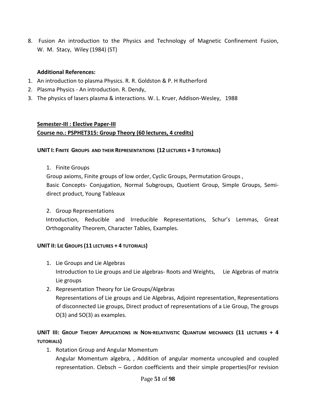8. Fusion An introduction to the Physics and Technology of Magnetic Confinement Fusion, W. M. Stacy, Wiley (1984) (ST)

### **Additional References:**

- 1. An introduction to plasma Physics. R. R. Goldston & P. H Rutherford
- 2. Plasma Physics ‐ An introduction. R. Dendy,
- 3. The physics of lasers plasma & interactions. W. L. Kruer, Addison‐Wesley, 1988

### **Semester‐III : Elective Paper‐III Course no.: PSPHET315: Group Theory (60 lectures, 4 credits)**

### **UNIT I: FINITE GROUPS AND THEIR REPRESENTATIONS (12 LECTURES + 3 TUTORIALS)**

1. Finite Groups

Group axioms, Finite groups of low order, Cyclic Groups, Permutation Groups , Basic Concepts‐ Conjugation, Normal Subgroups, Quotient Group, Simple Groups, Semi‐ direct product, Young Tableaux

### 2. Group Representations

Introduction, Reducible and Irreducible Representations, Schur's Lemmas, Great Orthogonality Theorem, Character Tables, Examples.

### **UNIT II: LIE GROUPS (11 LECTURES + 4 TUTORIALS)**

- 1. Lie Groups and Lie Algebras Introduction to Lie groups and Lie algebras‐ Roots and Weights, Lie Algebras of matrix Lie groups
- 2. Representation Theory for Lie Groups/Algebras Representations of Lie groups and Lie Algebras, Adjoint representation, Representations of disconnected Lie groups, Direct product of representations of a Lie Group, The groups O(3) and SO(3) as examples.

# **UNIT III: GROUP THEORY APPLICATIONS IN NON‐RELATIVISTIC QUANTUM MECHANICS (11 LECTURES + 4 TUTORIALS)**

1. Rotation Group and Angular Momentum Angular Momentum algebra, , Addition of angular momenta uncoupled and coupled representation. Clebsch – Gordon coefficients and their simple properties(For revision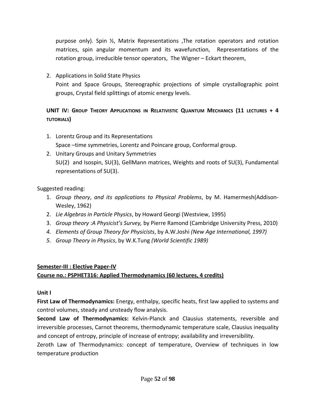purpose only). Spin ½, Matrix Representations ,The rotation operators and rotation matrices, spin angular momentum and its wavefunction, Representations of the rotation group, irreducible tensor operators, The Wigner – Eckart theorem,

2. Applications in Solid State Physics Point and Space Groups, Stereographic projections of simple crystallographic point groups, Crystal field splittings of atomic energy levels.

# **UNIT IV: GROUP THEORY APPLICATIONS IN RELATIVISTIC QUANTUM MECHANICS (11 LECTURES + 4 TUTORIALS)**

- 1. Lorentz Group and its Representations Space –time symmetries, Lorentz and Poincare group, Conformal group.
- 2. Unitary Groups and Unitary Symmetries SU(2) and Isospin, SU(3), GellMann matrices, Weights and roots of SU(3), Fundamental representations of SU(3).

Suggested reading:

- 1. *Group theory*, *and its applications to Physical Problems*, by M. Hamermesh(Addison‐ Wesley, 1962)
- 2. *Lie Algebras in Particle Physics*, by Howard Georgi (Westview, 1995)
- 3. *Group theory* :*A Physicist's Survey,* by Pierre Ramond (Cambridge University Press, 2010)
- *4. Elements of Group Theory for Physicists*, by A.W.Joshi *(New Age International, 1997)*
- *5. Group Theory in Physics*, by W.K.Tung *(World Scientific 1989)*

# **Semester‐III : Elective Paper‐IV**

# **Course no.: PSPHET316: Applied Thermodynamics (60 lectures, 4 credits)**

### **Unit I**

**First Law of Thermodynamics:** Energy, enthalpy, specific heats, first law applied to systems and control volumes, steady and unsteady flow analysis.

**Second Law of Thermodynamics:** Kelvin‐Planck and Clausius statements, reversible and irreversible processes, Carnot theorems, thermodynamic temperature scale, Clausius inequality and concept of entropy, principle of increase of entropy; availability and irreversibility.

Zeroth Law of Thermodynamics: concept of temperature, Overview of techniques in low temperature production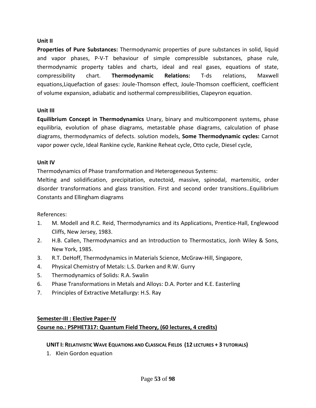### **Unit II**

**Properties of Pure Substances:** Thermodynamic properties of pure substances in solid, liquid and vapor phases, P-V-T behaviour of simple compressible substances, phase rule, thermodynamic property tables and charts, ideal and real gases, equations of state, compressibility chart. **Thermodynamic Relations:** T‐ds relations, Maxwell equations,Liquefaction of gases: Joule‐Thomson effect, Joule‐Thomson coefficient, coefficient of volume expansion, adiabatic and isothermal compressibilities, Clapeyron equation.

### **Unit III**

**Equilibrium Concept in Thermodynamics** Unary, binary and multicomponent systems, phase equilibria, evolution of phase diagrams, metastable phase diagrams, calculation of phase diagrams, thermodynamics of defects. solution models, **Some Thermodynamic cycles:** Carnot vapor power cycle, Ideal Rankine cycle, Rankine Reheat cycle, Otto cycle, Diesel cycle,

### **Unit IV**

Thermodynamics of Phase transformation and Heterogeneous Systems:

Melting and solidification, precipitation, eutectoid, massive, spinodal, martensitic, order disorder transformations and glass transition. First and second order transitions..Equilibrium Constants and Ellingham diagrams

# References:

- 1. M. Modell and R.C. Reid, Thermodynamics and its Applications, Prentice-Hall, Englewood Cliffs, New Jersey, 1983.
- 2. H.B. Callen, Thermodynamics and an Introduction to Thermostatics, Jonh Wiley & Sons, New York, 1985.
- 3. R.T. DeHoff, Thermodynamics in Materials Science, McGraw‐Hill, Singapore,
- 4. Physical Chemistry of Metals: L.S. Darken and R.W. Gurry
- 5. Thermodynamics of Solids: R.A. Swalin
- 6. Phase Transformations in Metals and Alloys: D.A. Porter and K.E. Easterling
- 7. Principles of Extractive Metallurgy: H.S. Ray

### **Semester‐III : Elective Paper‐IV**

# **Course no.: PSPHET317: Quantum Field Theory, (60 lectures, 4 credits)**

### **UNIT I: RELATIVISTIC WAVE EQUATIONS AND CLASSICAL FIELDS (12 LECTURES + 3 TUTORIALS)**

1. Klein Gordon equation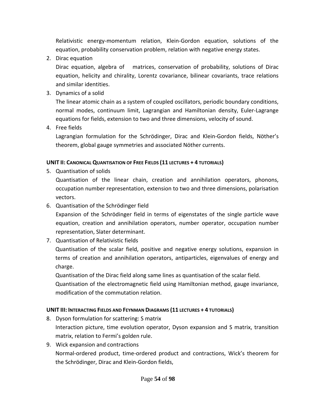Relativistic energy‐momentum relation, Klein‐Gordon equation, solutions of the equation, probability conservation problem, relation with negative energy states.

2. Dirac equation

Dirac equation, algebra of matrices, conservation of probability, solutions of Dirac equation, helicity and chirality, Lorentz covariance, bilinear covariants, trace relations and similar identities.

3. Dynamics of a solid

The linear atomic chain as a system of coupled oscillators, periodic boundary conditions, normal modes, continuum limit, Lagrangian and Hamiltonian density, Euler‐Lagrange equations for fields, extension to two and three dimensions, velocity of sound.

4. Free fields

Lagrangian formulation for the Schrödinger, Dirac and Klein‐Gordon fields, Nöther's theorem, global gauge symmetries and associated Nöther currents.

### **UNIT II: CANONICAL QUANTISATION OF FREE FIELDS (11 LECTURES + 4 TUTORIALS)**

5. Quantisation of solids

Quantisation of the linear chain, creation and annihilation operators, phonons, occupation number representation, extension to two and three dimensions, polarisation vectors.

6. Quantisation of the Schrödinger field

Expansion of the Schrödinger field in terms of eigenstates of the single particle wave equation, creation and annihilation operators, number operator, occupation number representation, Slater determinant.

7. Quantisation of Relativistic fields

Quantisation of the scalar field, positive and negative energy solutions, expansion in terms of creation and annihilation operators, antiparticles, eigenvalues of energy and charge.

Quantisation of the Dirac field along same lines as quantisation of the scalar field.

Quantisation of the electromagnetic field using Hamiltonian method, gauge invariance, modification of the commutation relation.

# **UNIT III: INTERACTING FIELDS AND FEYNMAN DIAGRAMS (11 LECTURES + 4 TUTORIALS)**

- 8. Dyson formulation for scattering: S matrix Interaction picture, time evolution operator, Dyson expansion and S matrix, transition matrix, relation to Fermi's golden rule.
- 9. Wick expansion and contractions Normal‐ordered product, time‐ordered product and contractions, Wick's theorem for the Schrödinger, Dirac and Klein‐Gordon fields,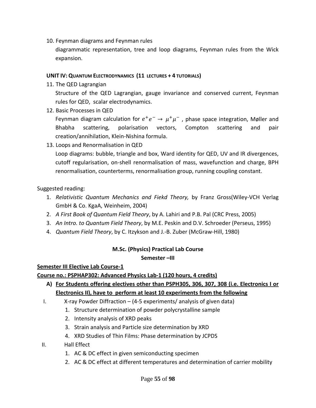10. Feynman diagrams and Feynman rules

diagrammatic representation, tree and loop diagrams, Feynman rules from the Wick expansion.

#### **UNIT IV: QUANTUM ELECTRODYNAMICS (11 LECTURES + 4 TUTORIALS)**

11. The QED Lagrangian

Structure of the QED Lagrangian, gauge invariance and conserved current, Feynman rules for QED, scalar electrodynamics.

12. Basic Processes in QED

Feynman diagram calculation for  $e^+e^- \rightarrow \mu^+\mu^-$ , phase space integration, Møller and Bhabha scattering, polarisation vectors, Compton scattering and pair creation/annihilation, Klein‐Nishina formula.

13. Loops and Renormalisation in QED

Loop diagrams: bubble, triangle and box, Ward identity for QED, UV and IR divergences, cutoff regularisation, on‐shell renormalisation of mass, wavefunction and charge, BPH renormalisation, counterterms, renormalisation group, running coupling constant.

### Suggested reading:

- 1. *Relativistic Quantum Mechanics and Fiekd Theory,* by Franz Gross(Wiley‐VCH Verlag GmbH & Co. KgaA, Weinheim, 2004)
- 2. *A First Book of Quantum Field Theory*, by A. Lahiri and P.B. Pal (CRC Press, 2005)
- 3. *An Intro. to Quantum Field Theory*, by M.E. Peskin and D.V. Schroeder (Perseus, 1995)
- 4. *Quantum Field Theory*, by C. Itzykson and J.‐B. Zuber (McGraw‐Hill, 1980)

### **M.Sc. (Physics) Practical Lab Course**

**Semester –III**

### **Semester III Elective Lab Course‐1**

**Course no.: PSPHAP302: Advanced Physics Lab‐1 (120 hours, 4 credits)**

- **A) For Students offering electives other than PSPH305, 306, 307, 308 (i.e. Electronics I or Electronics II), have to perform at least 10 experiments from the following**
- I. X‐ray Powder Diffraction (4‐5 experiments/ analysis of given data)
	- 1. Structure determination of powder polycrystalline sample
	- 2. Intensity analysis of XRD peaks
	- 3. Strain analysis and Particle size determination by XRD
	- 4. XRD Studies of Thin Films: Phase determination by JCPDS
- II. Hall Effect
	- 1. AC & DC effect in given semiconducting specimen
	- 2. AC & DC effect at different temperatures and determination of carrier mobility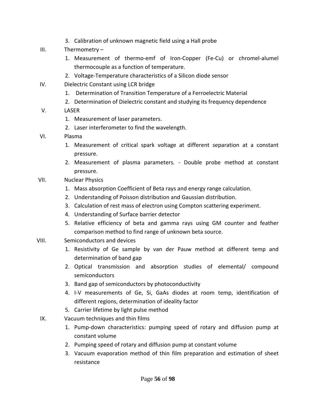- 3. Calibration of unknown magnetic field using a Hall probe
- III. Thermometry
	- 1. Measurement of thermo‐emf of Iron‐Copper (Fe‐Cu) or chromel‐alumel thermocouple as a function of temperature.
	- 2. Voltage‐Temperature characteristics of a Silicon diode sensor
- IV. Dielectric Constant using LCR bridge
	- 1. Determination of Transition Temperature of a Ferroelectric Material
	- 2. Determination of Dielectric constant and studying its frequency dependence
- V. LASER
	- 1. Measurement of laser parameters.
	- 2. Laser interferometer to find the wavelength.
- VI. Plasma
	- 1. Measurement of critical spark voltage at different separation at a constant pressure.
	- 2. Measurement of plasma parameters. ‐ Double probe method at constant pressure.
- VII. Nuclear Physics
	- 1. Mass absorption Coefficient of Beta rays and energy range calculation.
	- 2. Understanding of Poisson distribution and Gaussian distribution.
	- 3. Calculation of rest mass of electron using Compton scattering experiment.
	- 4. Understanding of Surface barrier detector
	- 5. Relative efficiency of beta and gamma rays using GM counter and feather comparison method to find range of unknown beta source.
- VIII. Semiconductors and devices
	- 1. Resistivity of Ge sample by van der Pauw method at different temp and determination of band gap
	- 2. Optical transmission and absorption studies of elemental/ compound semiconductors
	- 3. Band gap of semiconductors by photoconductivity
	- 4. I‐V measurements of Ge, Si, GaAs diodes at room temp, identification of different regions, determination of ideality factor
	- 5. Carrier lifetime by light pulse method
	- IX. Vacuum techniques and thin films
		- 1. Pump‐down characteristics: pumping speed of rotary and diffusion pump at constant volume
		- 2. Pumping speed of rotary and diffusion pump at constant volume
		- 3. Vacuum evaporation method of thin film preparation and estimation of sheet resistance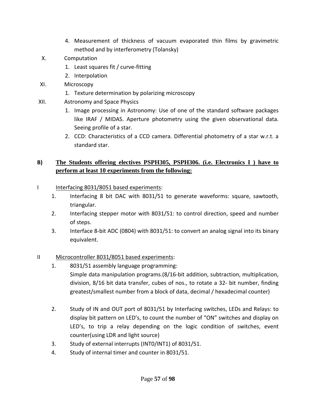- 4. Measurement of thickness of vacuum evaporated thin films by gravimetric method and by interferometry (Tolansky)
- X. Computation
	- 1. Least squares fit / curve‐fitting
	- 2. Interpolation
- XI. Microscopy
	- 1. Texture determination by polarizing microscopy
- XII. Astronomy and Space Physics
	- 1. Image processing in Astronomy: Use of one of the standard software packages like IRAF / MIDAS. Aperture photometry using the given observational data. Seeing profile of a star.
	- 2. CCD: Characteristics of a CCD camera. Differential photometry of a star w.r.t. a standard star.

# **B) The Students offering electives PSPH305, PSPH306. (i.e. Electronics I ) have to perform at least 10 experiments from the following:**

- I Interfacing 8031/8051 based experiments:
	- 1. Interfacing 8 bit DAC with 8031/51 to generate waveforms: square, sawtooth, triangular.
	- 2. Interfacing stepper motor with 8031/51: to control direction, speed and number of steps.
	- 3. Interface 8‐bit ADC (0804) with 8031/51: to convert an analog signal into its binary equivalent.
- II Microcontroller 8031/8051 based experiments:
	- 1. 8031/51 assembly language programming: Simple data manipulation programs.(8/16‐bit addition, subtraction, multiplication, division, 8/16 bit data transfer, cubes of nos., to rotate a 32‐ bit number, finding greatest/smallest number from a block of data, decimal / hexadecimal counter)
	- 2. Study of IN and OUT port of 8031/51 by Interfacing switches, LEDs and Relays: to display bit pattern on LED's, to count the number of "ON" switches and display on LED's, to trip a relay depending on the logic condition of switches, event counter(using LDR and light source)
	- 3. Study of external interrupts (INT0/INT1) of 8031/51.
	- 4. Study of internal timer and counter in 8031/51.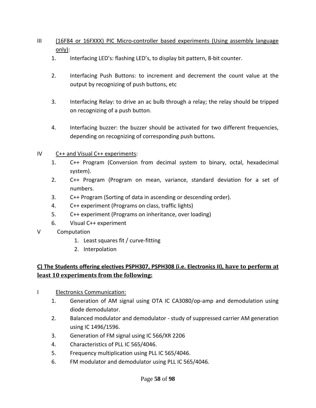# III (16F84 or 16FXXX) PIC Micro‐controller based experiments (Using assembly language only):

- 1. Interfacing LED's: flashing LED's, to display bit pattern, 8‐bit counter.
- 2. Interfacing Push Buttons: to increment and decrement the count value at the output by recognizing of push buttons, etc
- 3. Interfacing Relay: to drive an ac bulb through a relay; the relay should be tripped on recognizing of a push button.
- 4. Interfacing buzzer: the buzzer should be activated for two different frequencies, depending on recognizing of corresponding push buttons.

### IV C++ and Visual C++ experiments:

- 1. C++ Program (Conversion from decimal system to binary, octal, hexadecimal system).
- 2. C++ Program (Program on mean, variance, standard deviation for a set of numbers.
- 3. C++ Program (Sorting of data in ascending or descending order).
- 4. C++ experiment (Programs on class, traffic lights)
- 5. C++ experiment (Programs on inheritance, over loading)
- 6. Visual C++ experiment
- V Computation
	- 1. Least squares fit / curve-fitting
	- 2. Interpolation

# **C) The Students offering electives PSPH307, PSPH308 (i.e. Electronics II), have to perform at least 10 experiments from the following:**

- I Electronics Communication:
	- 1. Generation of AM signal using OTA IC CA3080/op-amp and demodulation using diode demodulator.
	- 2. Balanced modulator and demodulator study of suppressed carrier AM generation using IC 1496/1596.
	- 3. Generation of FM signal using IC 566/XR 2206
	- 4. Characteristics of PLL IC 565/4046.
	- 5. Frequency multiplication using PLL IC 565/4046.
	- 6. FM modulator and demodulator using PLL IC 565/4046.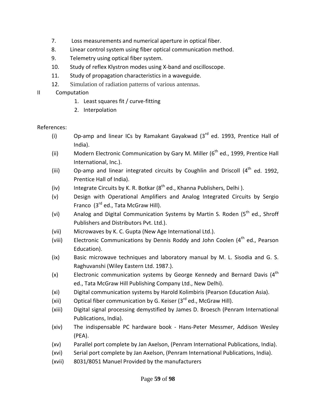- 7. Loss measurements and numerical aperture in optical fiber.
- 8. Linear control system using fiber optical communication method.
- 9. Telemetry using optical fiber system.
- 10. Study of reflex Klystron modes using X-band and oscilloscope.
- 11. Study of propagation characteristics in a waveguide.
- 12. Simulation of radiation patterns of various antennas.

# II Computation

- 1. Least squares fit / curve-fitting
- 2. Interpolation

# References:

- (i) Op-amp and linear ICs by Ramakant Gayakwad  $(3<sup>rd</sup>$  ed. 1993, Prentice Hall of India).
- (ii) Modern Electronic Communication by Gary M. Miller  $(6^{th}$  ed., 1999, Prentice Hall International, Inc.).
- (iii) Op-amp and linear integrated circuits by Coughlin and Driscoll  $(4<sup>th</sup>$  ed. 1992, Prentice Hall of India).
- (iv) Integrate Circuits by K. R. Botkar  $(8^{th}$  ed., Khanna Publishers, Delhi ).
- (v) Design with Operational Amplifiers and Analog Integrated Circuits by Sergio Franco  $(3<sup>rd</sup>$  ed., Tata McGraw Hill).
- (vi) Analog and Digital Communication Systems by Martin S. Roden ( $5<sup>th</sup>$  ed., Shroff Publishers and Distributors Pvt. Ltd.).
- (vii) Microwaves by K. C. Gupta (New Age International Ltd.).
- (viii) Electronic Communications by Dennis Roddy and John Coolen  $(4^{th}$  ed., Pearson Education).
- (ix) Basic microwave techniques and laboratory manual by M. L. Sisodia and G. S. Raghuvanshi (Wiley Eastern Ltd. 1987.).
- (x) Electronic communication systems by George Kennedy and Bernard Davis  $(4^{th}$ ed., Tata McGraw Hill Publishing Company Ltd., New Delhi).
- (xi) Digital communication systems by Harold Kolimbiris (Pearson Education Asia).
- (xii) Optical fiber communication by G. Keiser  $(3^{rd}$  ed., McGraw Hill).
- (xiii) Digital signal processing demystified by James D. Broesch (Penram International Publications, India).
- (xiv) The indispensable PC hardware book ‐ Hans‐Peter Messmer, Addison Wesley (PEA).
- (xv) Parallel port complete by Jan Axelson, (Penram International Publications, India).
- (xvi) Serial port complete by Jan Axelson, (Penram International Publications, India).
- (xvii) 8031/8051 Manuel Provided by the manufacturers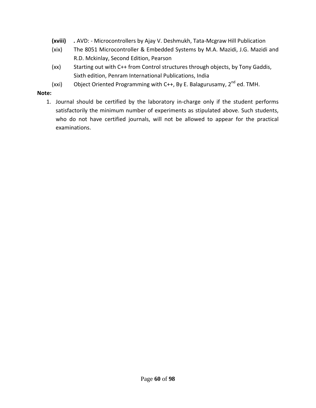- **(xviii)** *.* AVD: ‐ Microcontrollers by Ajay V. Deshmukh, Tata‐Mcgraw Hill Publication
- (xix) The 8051 Microcontroller & Embedded Systems by M.A. Mazidi, J.G. Mazidi and R.D. Mckinlay, Second Edition, Pearson
- (xx) Starting out with C++ from Control structures through objects, by Tony Gaddis, Sixth edition, Penram International Publications, India
- (xxi) Object Oriented Programming with C++, By E. Balagurusamy,  $2^{nd}$  ed. TMH.

#### **Note:**

1. Journal should be certified by the laboratory in‐charge only if the student performs satisfactorily the minimum number of experiments as stipulated above. Such students, who do not have certified journals, will not be allowed to appear for the practical examinations.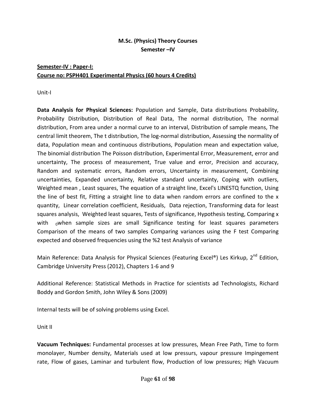# **M.Sc. (Physics) Theory Courses Semester –IV**

# **Semester‐IV : Paper‐I: Course no: PSPH401 Experimental Physics (60 hours 4 Credits)**

Unit‐I

**Data Analysis for Physical Sciences:** Population and Sample, Data distributions Probability, Probability Distribution, Distribution of Real Data, The normal distribution, The normal distribution, From area under a normal curve to an interval, Distribution of sample means, The central limit theorem, The t distribution, The log‐normal distribution, Assessing the normality of data, Population mean and continuous distributions, Population mean and expectation value, The binomial distribution The Poisson distribution, Experimental Error, Measurement, error and uncertainty, The process of measurement, True value and error, Precision and accuracy, Random and systematic errors, Random errors, Uncertainty in measurement, Combining uncertainties, Expanded uncertainty, Relative standard uncertainty, Coping with outliers, Weighted mean , Least squares, The equation of a straight line, Excel's LINESTQ function, Using the line of best fit, Fitting a straight line to data when random errors are confined to the x quantity, Linear correlation coefficient, Residuals, Data rejection, Transforming data for least squares analysis, Weighted least squares, Tests of significance, Hypothesis testing, Comparing x with  $_0$ when sample sizes are small Significance testing for least squares parameters Comparison of the means of two samples Comparing variances using the F test Comparing expected and observed frequencies using the %2 test Analysis of variance

Main Reference: Data Analysis for Physical Sciences (Featuring Excel®) Les Kirkup, 2<sup>nd</sup> Edition, Cambridge University Press (2012), Chapters 1‐6 and 9

Additional Reference: Statistical Methods in Practice for scientists ad Technologists, Richard Boddy and Gordon Smith, John Wiley & Sons (2009)

Internal tests will be of solving problems using Excel.

Unit II

**Vacuum Techniques:** Fundamental processes at low pressures, Mean Free Path, Time to form monolayer, Number density, Materials used at low pressurs, vapour pressure Impingement rate, Flow of gases, Laminar and turbulent flow, Production of low pressures; High Vacuum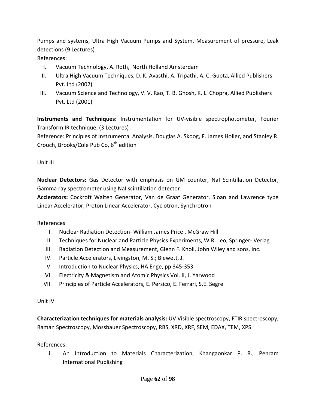Pumps and systems, Ultra High Vacuum Pumps and System, Measurement of pressure, Leak detections (9 Lectures)

References:

- I. Vacuum Technology, A. Roth, North Holland Amsterdam
- II. Ultra High Vacuum Techniques, D. K. Avasthi, A. Tripathi, A. C. Gupta, Allied Publishers Pvt. Ltd (2002)
- III. Vacuum Science and Technology, V. V. Rao, T. B. Ghosh, K. L. Chopra, Allied Publishers Pvt. Ltd (2001)

**Instruments and Techniques:** Instrumentation for UV‐visible spectrophotometer, Fourier Transform IR technique, (3 Lectures) Reference: Principles of Instrumental Analysis, Douglas A. Skoog, F. James Holler, and Stanley R.

Crouch, Brooks/Cole Pub Co,  $6<sup>th</sup>$  edition

Unit III

**Nuclear Detectors:** Gas Detector with emphasis on GM counter, NaI Scintillation Detector, Gamma ray spectrometer using NaI scintillation detector

**Acclerators:** Cockroft Walten Generator, Van de Graaf Generator, Sloan and Lawrence type Linear Accelerator, Proton Linear Accelerator, Cyclotron, Synchrotron

# References

- I. Nuclear Radiation Detection‐ William James Price , McGraw Hill
- II. Techniques for Nuclear and Particle Physics Experiments, W.R. Leo, Springer‐ Verlag
- III. Radiation Detection and Measurement, Glenn F. Knoll, John Wiley and sons, Inc.
- IV. Particle Accelerators, Livingston, M. S.; Blewett, J.
- V. Introduction to Nuclear Physics, HA Enge, pp 345‐353
- VI. Electricity & Magnetism and Atomic Physics Vol. II, J. Yarwood
- VII. Principles of Particle Accelerators, E. Persico, E. Ferrari, S.E. Segre

Unit IV

**Characterization techniques for materials analysis:** UV Visible spectroscopy, FTIR spectroscopy, Raman Spectroscopy, Mossbauer Spectroscopy, RBS, XRD, XRF, SEM, EDAX, TEM, XPS

References:

i. An Introduction to Materials Characterization, Khangaonkar P. R., Penram International Publishing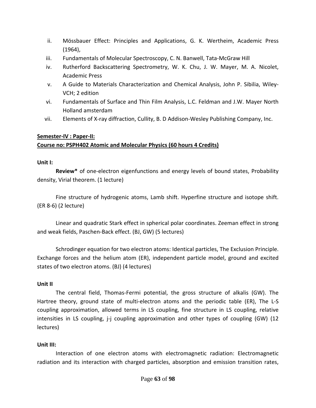- ii. Mössbauer Effect: Principles and Applications, G. K. Wertheim, Academic Press (1964),
- iii. Fundamentals of Molecular Spectroscopy, C. N. Banwell, Tata‐McGraw Hill
- iv. Rutherford Backscattering Spectrometry, W. K. Chu, J. W. Mayer, M. A. Nicolet, Academic Press
- v. A Guide to Materials Characterization and Chemical Analysis, John P. Sibilia, Wiley‐ VCH; 2 edition
- vi. Fundamentals of Surface and Thin Film Analysis, L.C. Feldman and J.W. Mayer North Holland amsterdam
- vii. Elements of X‐ray diffraction, Cullity, B. D Addison‐Wesley Publishing Company, Inc.

### **Semester‐IV : Paper‐II:**

### **Course no: PSPH402 Atomic and Molecular Physics (60 hours 4 Credits)**

#### **Unit I:**

**Review\*** of one‐electron eigenfunctions and energy levels of bound states, Probability density, Virial theorem. (1 lecture)

Fine structure of hydrogenic atoms, Lamb shift. Hyperfine structure and isotope shift. (ER 8‐6) (2 lecture)

Linear and quadratic Stark effect in spherical polar coordinates. Zeeman effect in strong and weak fields, Paschen‐Back effect. (BJ, GW) (5 lectures)

Schrodinger equation for two electron atoms: Identical particles, The Exclusion Principle. Exchange forces and the helium atom (ER), independent particle model, ground and excited states of two electron atoms. (BJ) (4 lectures)

### **Unit II**

The central field, Thomas‐Fermi potential, the gross structure of alkalis (GW). The Hartree theory, ground state of multi-electron atoms and the periodic table (ER), The L-S coupling approximation, allowed terms in LS coupling, fine structure in LS coupling, relative intensities in LS coupling, j-j coupling approximation and other types of coupling (GW) (12 lectures)

### **Unit III:**

Interaction of one electron atoms with electromagnetic radiation: Electromagnetic radiation and its interaction with charged particles, absorption and emission transition rates,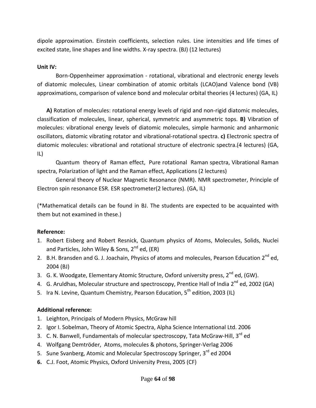dipole approximation. Einstein coefficients, selection rules. Line intensities and life times of excited state, line shapes and line widths. X‐ray spectra. (BJ) (12 lectures)

### **Unit IV:**

Born‐Oppenheimer approximation ‐ rotational, vibrational and electronic energy levels of diatomic molecules, Linear combination of atomic orbitals (LCAO)and Valence bond (VB) approximations, comparison of valence bond and molecular orbital theories (4 lectures) (GA, IL)

**A)** Rotation of molecules: rotational energy levels of rigid and non‐rigid diatomic molecules, classification of molecules, linear, spherical, symmetric and asymmetric tops. **B)** Vibration of molecules: vibrational energy levels of diatomic molecules, simple harmonic and anharmonic oscillators, diatomic vibrating rotator and vibrational‐rotational spectra. **c)** Electronic spectra of diatomic molecules: vibrational and rotational structure of electronic spectra.(4 lectures) (GA, IL)

Quantum theory of Raman effect, Pure rotational Raman spectra, Vibrational Raman spectra, Polarization of light and the Raman effect, Applications (2 lectures)

General theory of Nuclear Magnetic Resonance (NMR). NMR spectrometer, Principle of Electron spin resonance ESR. ESR spectrometer(2 lectures). (GA, IL)

(\*Mathematical details can be found in BJ. The students are expected to be acquainted with them but not examined in these.)

# **Reference:**

- 1. Robert Eisberg and Robert Resnick, Quantum physics of Atoms, Molecules, Solids, Nuclei and Particles, John Wiley & Sons,  $2^{nd}$  ed, (ER)
- 2. B.H. Bransden and G. J. Joachain, Physics of atoms and molecules, Pearson Education 2<sup>nd</sup> ed, 2004 (BJ)
- 3. G. K. Woodgate, Elementary Atomic Structure, Oxford university press, 2<sup>nd</sup> ed, (GW).
- 4. G. Aruldhas, Molecular structure and spectroscopy, Prentice Hall of India 2<sup>nd</sup> ed, 2002 (GA)
- 5. Ira N. Levine, Quantum Chemistry, Pearson Education, 5<sup>th</sup> edition, 2003 (IL)

# **Additional reference:**

- 1. Leighton, Principals of Modern Physics, McGraw hill
- 2. Igor I. Sobelman, Theory of Atomic Spectra, Alpha Science International Ltd. 2006
- 3. C. N. Banwell, Fundamentals of molecular spectroscopy, Tata McGraw-Hill, 3<sup>rd</sup> ed
- 4. Wolfgang Demtröder, Atoms, molecules & photons, Springer‐Verlag 2006
- 5. Sune Svanberg, Atomic and Molecular Spectroscopy Springer, 3<sup>rd</sup> ed 2004
- **6.** C.J. Foot, Atomic Physics, Oxford University Press, 2005 (CF)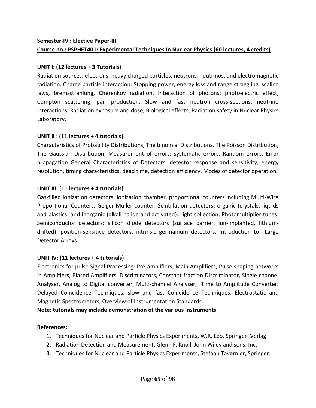# **Semester‐IV : Elective Paper‐III Course no.: PSPHET401: Experimental Techniques In Nuclear Physics (60 lectures, 4 credits)**

### **UNIT I: (12 lectures + 3 Tutorials)**

Radiation sources: electrons, heavy charged particles, neutrons, neutrinos, and electromagnetic radiation. Charge particle interaction: Stopping power, energy loss and range straggling, scaling laws, bremsstrahlung, Cherenkov radiation. Interaction of photons: photoelectric effect, Compton scattering, pair production. Slow and fast neutron cross‐sections, neutrino interactions, Radiation exposure and dose, Biological effects, Radiation safety in Nuclear Physics Laboratory.

### **UNIT II : (11 lectures + 4 tutorials)**

Characteristics of Probability Distributions, The binomial Distributions, The Poisson Distribution, The Gaussian Distribution, Measurement of errors: systematic errors, Random errors. Error propagation General Characteristics of Detectors: detector response and sensitivity, energy resolution, timing characteristics, dead time, detection efficiency. Modes of detector operation.

### **UNIT III:** (**11 lectures + 4 tutorials)**

Gas‐filled ionization detectors: ionization chamber, proportional counters including Multi‐Wire Proportional Counters, Geiger‐Muller counter. Scintillation detectors: organic (crystals, liquids and plastics) and inorganic (alkali halide and activated). Light collection, Photomultiplier tubes. Semiconductor detectors: silicon diode detectors (surface barrier, ion-implanted, lithiumdrifted), position-sensitive detectors, intrinsic germanium detectors, Introduction to Large Detector Arrays.

### **UNIT IV: (11 lectures + 4 tutorials)**

Electronics for pulse Signal Processing: Pre‐amplifiers, Main Amplifiers, Pulse shaping networks in Amplifiers, Biased Amplifiers, Discriminators, Constant fraction Discriminator, Single channel Analyser, Analog to Digital converter, Multi-channel Analyser, Time to Amplitude Converter. Delayed Coincidence Techniques, slow and fast Coincidence Techniques, Electrostatic and Magnetic Spectrometers, Overview of Instrumentation Standards.

**Note: tutorials may include demonstration of the various instruments**

### **References:**

- 1. Techniques for Nuclear and Particle Physics Experiments, W.R. Leo, Springer‐ Verlag
- 2. Radiation Detection and Measurement, Glenn F. Knoll, John Wiley and sons, Inc.
- 3. Techniques for Nuclear and Particle Physics Experiments, Stefaan Tavernier, Springer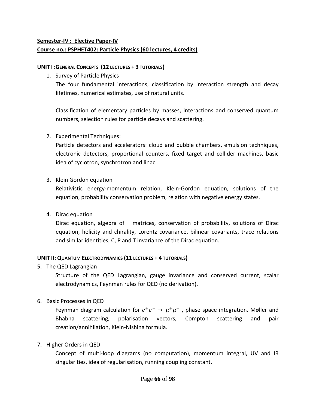# **Semester‐IV : Elective Paper‐IV Course no.: PSPHET402: Particle Physics (60 lectures, 4 credits)**

#### **UNIT I :GENERAL CONCEPTS (12 LECTURES + 3 TUTORIALS)**

1. Survey of Particle Physics

The four fundamental interactions, classification by interaction strength and decay lifetimes, numerical estimates, use of natural units.

Classification of elementary particles by masses, interactions and conserved quantum numbers, selection rules for particle decays and scattering.

2. Experimental Techniques:

Particle detectors and accelerators: cloud and bubble chambers, emulsion techniques, electronic detectors, proportional counters, fixed target and collider machines, basic idea of cyclotron, synchrotron and linac.

3. Klein Gordon equation

Relativistic energy‐momentum relation, Klein‐Gordon equation, solutions of the equation, probability conservation problem, relation with negative energy states.

4. Dirac equation

Dirac equation, algebra of matrices, conservation of probability, solutions of Dirac equation, helicity and chirality, Lorentz covariance, bilinear covariants, trace relations and similar identities, C, P and T invariance of the Dirac equation.

### **UNIT II: QUANTUM ELECTRODYNAMICS (11 LECTURES + 4 TUTORIALS)**

5. The QED Lagrangian

Structure of the QED Lagrangian, gauge invariance and conserved current, scalar electrodynamics, Feynman rules for QED (no derivation).

6. Basic Processes in QED

Feynman diagram calculation for  $e^+e^- \rightarrow \mu^+\mu^-$ , phase space integration, Møller and Bhabha scattering, polarisation vectors, Compton scattering and pair creation/annihilation, Klein‐Nishina formula.

7. Higher Orders in QED

Concept of multi‐loop diagrams (no computation), momentum integral, UV and IR singularities, idea of regularisation, running coupling constant.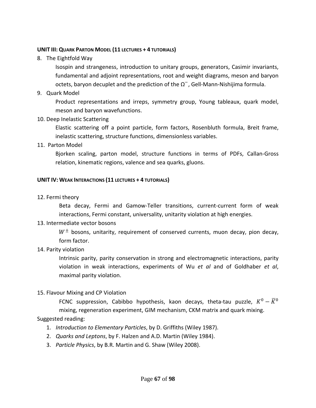#### **UNIT III: QUARK PARTON MODEL (11 LECTURES + 4 TUTORIALS)**

8. The Eightfold Way

Isospin and strangeness, introduction to unitary groups, generators, Casimir invariants, fundamental and adjoint representations, root and weight diagrams, meson and baryon octets, baryon decuplet and the prediction of the  $\Omega^-$ , Gell-Mann-Nishijima formula.

9. Quark Model

Product representations and irreps, symmetry group, Young tableaux, quark model, meson and baryon wavefunctions.

10. Deep Inelastic Scattering

Elastic scattering off a point particle, form factors, Rosenbluth formula, Breit frame, inelastic scattering, structure functions, dimensionless variables.

11. Parton Model

Bjorken scaling, parton model, structure functions in terms of PDFs, Callan‐Gross relation, kinematic regions, valence and sea quarks, gluons.

#### **UNIT IV: WEAK INTERACTIONS (11 LECTURES + 4 TUTORIALS)**

12. Fermi theory

Beta decay, Fermi and Gamow-Teller transitions, current-current form of weak interactions, Fermi constant, universality, unitarity violation at high energies.

13. Intermediate vector bosons

 $W^{\pm}$  bosons, unitarity, requirement of conserved currents, muon decay, pion decay, form factor.

### 14. Parity violation

Intrinsic parity, parity conservation in strong and electromagnetic interactions, parity violation in weak interactions, experiments of Wu *et al* and of Goldhaber *et al*, maximal parity violation.

### 15. Flavour Mixing and CP Violation

FCNC suppression, Cabibbo hypothesis, kaon decays, theta-tau puzzle,  $K^0 - \overline{K}{}^0$ mixing, regeneration experiment, GIM mechanism, CKM matrix and quark mixing.

### Suggested reading:

- 1. *Introduction to Elementary Particles*, by D. Griffiths (Wiley 1987).
- 2. *Quarks and Leptons*, by F. Halzen and A.D. Martin (Wiley 1984).
- 3. *Particle Physics*, by B.R. Martin and G. Shaw (Wiley 2008).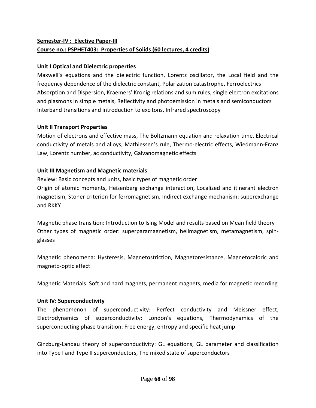# **Semester‐IV : Elective Paper‐III Course no.: PSPHET403: Properties of Solids (60 lectures, 4 credits)**

### **Unit I Optical and Dielectric properties**

Maxwell's equations and the dielectric function, Lorentz oscillator, the Local field and the frequency dependence of the dielectric constant, Polarization catastrophe, Ferroelectrics Absorption and Dispersion, Kraemers' Kronig relations and sum rules, single electron excitations and plasmons in simple metals, Reflectivity and photoemission in metals and semiconductors Interband transitions and introduction to excitons, Infrared spectroscopy

### **Unit II Transport Properties**

Motion of electrons and effective mass, The Boltzmann equation and relaxation time, Electrical conductivity of metals and alloys, Mathiessen's rule, Thermo‐electric effects, Wiedmann‐Franz Law, Lorentz number, ac conductivity, Galvanomagnetic effects

### **Unit III Magnetism and Magnetic materials**

Review: Basic concepts and units, basic types of magnetic order Origin of atomic moments, Heisenberg exchange interaction, Localized and itinerant electron magnetism, Stoner criterion for ferromagnetism, Indirect exchange mechanism: superexchange and RKKY

Magnetic phase transition: Introduction to Ising Model and results based on Mean field theory Other types of magnetic order: superparamagnetism, helimagnetism, metamagnetism, spin‐ glasses

Magnetic phenomena: Hysteresis, Magnetostriction, Magnetoresistance, Magnetocaloric and magneto‐optic effect

Magnetic Materials: Soft and hard magnets, permanent magnets, media for magnetic recording

# **Unit IV: Superconductivity**

The phenomenon of superconductivity: Perfect conductivity and Meissner effect, Electrodynamics of superconductivity: London's equations, Thermodynamics of the superconducting phase transition: Free energy, entropy and specific heat jump

Ginzburg‐Landau theory of superconductivity: GL equations, GL parameter and classification into Type I and Type II superconductors, The mixed state of superconductors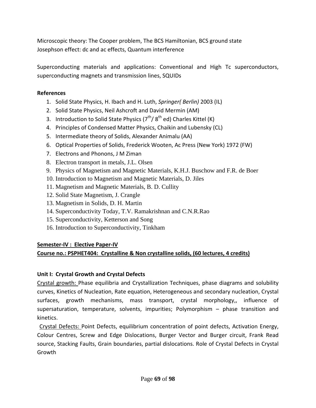Microscopic theory: The Cooper problem, The BCS Hamiltonian, BCS ground state Josephson effect: dc and ac effects, Quantum interference

Superconducting materials and applications: Conventional and High Tc superconductors, superconducting magnets and transmission lines, SQUIDs

### **References**

- 1. Solid State Physics, H. Ibach and H. Luth, *Springer( Berlin)* 2003 (IL)
- 2. Solid State Physics, Neil Ashcroft and David Mermin (AM)
- 3. Introduction to Solid State Physics  $(7<sup>th</sup>/ 8<sup>th</sup>$  ed) Charles Kittel (K)
- 4. Principles of Condensed Matter Physics, Chaikin and Lubensky (CL)
- 5. Intermediate theory of Solids, Alexander Animalu (AA)
- 6. Optical Properties of Solids, Frederick Wooten, Ac Press (New York) 1972 (FW)
- 7. Electrons and Phonons, J M Ziman
- 8. Electron transport in metals, J.L. Olsen
- 9. Physics of Magnetism and Magnetic Materials, K.H.J. Buschow and F.R. de Boer
- 10. Introduction to Magnetism and Magnetic Materials, D. Jiles
- 11. Magnetism and Magnetic Materials, B. D. Cullity
- 12. Solid State Magnetism, J. Crangle
- 13. Magnetism in Solids, D. H. Martin
- 14. Superconductivity Today, T.V. Ramakrishnan and C.N.R.Rao
- 15. Superconductivity, Ketterson and Song
- 16. Introduction to Superconductivity, Tinkham

# **Semester‐IV : Elective Paper‐IV**

# **Course no.: PSPHET404: Crystalline & Non crystalline solids, (60 lectures, 4 credits)**

# **Unit I: Crystal Growth and Crystal Defects**

Crystal growth: Phase equilibria and Crystallization Techniques, phase diagrams and solubility curves, Kinetics of Nucleation, Rate equation, Heterogeneous and secondary nucleation, Crystal surfaces, growth mechanisms, mass transport, crystal morphology,, influence of supersaturation, temperature, solvents, impurities; Polymorphism – phase transition and kinetics.

Crystal Defects: Point Defects, equilibrium concentration of point defects, Activation Energy, Colour Centres, Screw and Edge Dislocations, Burger Vector and Burger circuit, Frank Read source, Stacking Faults, Grain boundaries, partial dislocations. Role of Crystal Defects in Crystal Growth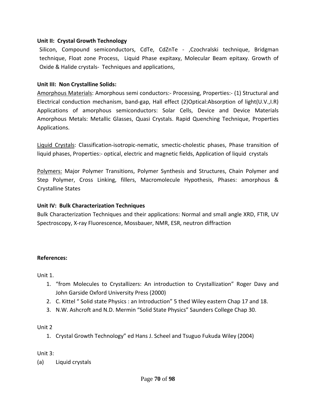#### **Unit II: Crystal Growth Technology**

Silicon, Compound semiconductors, CdTe, CdZnTe ‐ ,Czochralski technique, Bridgman technique, Float zone Process, Liquid Phase expitaxy, Molecular Beam epitaxy. Growth of Oxide & Halide crystals‐ Techniques and applications,

#### **Unit III: Non Crystalline Solids:**

Amorphous Materials: Amorphous semi conductors:- Processing, Properties:- (1) Structural and Electrical conduction mechanism, band‐gap, Hall effect (2)Optical:Absorption of light(U.V.,I.R) Applications of amorphous semiconductors: Solar Cells, Device and Device Materials Amorphous Metals: Metallic Glasses, Quasi Crystals. Rapid Quenching Technique, Properties Applications.

Liquid Crystals: Classification‐isotropic‐nematic, smectic‐cholestic phases, Phase transition of liquid phases, Properties:‐ optical, electric and magnetic fields, Application of liquid crystals

Polymers: Major Polymer Transitions, Polymer Synthesis and Structures, Chain Polymer and Step Polymer, Cross Linking, fillers, Macromolecule Hypothesis, Phases: amorphous & Crystalline States

#### **Unit IV: Bulk Characterization Techniques**

Bulk Characterization Techniques and their applications: Normal and small angle XRD, FTIR, UV Spectroscopy, X‐ray Fluorescence, Mossbauer, NMR, ESR, neutron diffraction

#### **References:**

Unit 1.

- 1. "from Molecules to Crystallizers: An introduction to Crystallization" Roger Davy and John Garside Oxford University Press (2000)
- 2. C. Kittel " Solid state Physics : an Introduction" 5 thed Wiley eastern Chap 17 and 18.
- 3. N.W. Ashcroft and N.D. Mermin "Solid State Physics" Saunders College Chap 30.

#### Unit 2

1. Crystal Growth Technology" ed Hans J. Scheel and Tsuguo Fukuda Wiley (2004)

Unit 3:

(a) Liquid crystals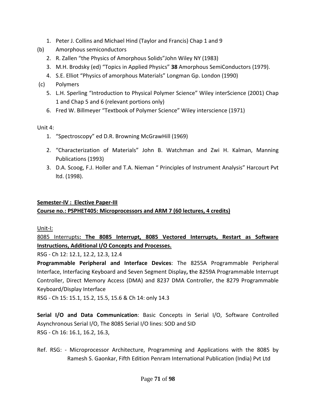- 1. Peter J. Collins and Michael Hind (Taylor and Francis) Chap 1 and 9
- (b) Amorphous semiconductors
	- 2. R. Zallen "the Physics of Amorphous Solids"John Wiley NY (1983)
	- 3. M.H. Brodsky (ed) "Topics in Applied Physics" **38** Amorphous SemiConductors (1979).
	- 4. S.E. Elliot "Physics of amorphous Materials" Longman Gp. London (1990)
- (c) Polymers
	- 5. L.H. Sperling "Introduction to Physical Polymer Science" Wiley interScience (2001) Chap 1 and Chap 5 and 6 (relevant portions only)
	- 6. Fred W. Billmeyer "Textbook of Polymer Science" Wiley interscience (1971)

Unit 4:

- 1. "Spectroscopy" ed D.R. Browning McGrawHill (1969)
- 2. "Characterization of Materials" John B. Watchman and Zwi H. Kalman, Manning Publications (1993)
- 3. D.A. Scoog, F.J. Holler and T.A. Nieman " Principles of Instrument Analysis" Harcourt Pvt ltd. (1998).

# **Semester‐IV : Elective Paper‐III**

# **Course no.: PSPHET405: Microprocessors and ARM 7 (60 lectures, 4 credits)**

Unit‐I:

8085 Interrupts**: The 8085 Interrupt, 8085 Vectored Interrupts, Restart as Software Instructions, Additional I/O Concepts and Processes.**

RSG ‐ Ch 12: 12.1, 12.2, 12.3, 12.4

**Programmable Peripheral and Interface Devices**: The 8255A Programmable Peripheral Interface, Interfacing Keyboard and Seven Segment Display**, t**he 8259A Programmable Interrupt Controller, Direct Memory Access (DMA) and 8237 DMA Controller, the 8279 Programmable Keyboard/Display Interface

RSG ‐ Ch 15: 15.1, 15.2, 15.5, 15.6 & Ch 14: only 14.3

**Serial I/O and Data Communication**: Basic Concepts in Serial I/O, Software Controlled Asynchronous Serial I/O, The 8085 Serial I/O lines: SOD and SID RSG ‐ Ch 16: 16.1, 16.2, 16.3,

Ref. RSG: ‐ Microprocessor Architecture, Programming and Applications with the 8085 by Ramesh S. Gaonkar, Fifth Edition Penram International Publication (India) Pvt Ltd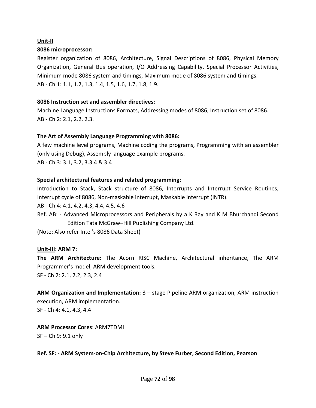#### **Unit‐II**

#### **8086 microprocessor:**

Register organization of 8086, Architecture, Signal Descriptions of 8086, Physical Memory Organization, General Bus operation, I/O Addressing Capability, Special Processor Activities, Minimum mode 8086 system and timings, Maximum mode of 8086 system and timings. AB ‐ Ch 1: 1.1, 1.2, 1.3, 1.4, 1.5, 1.6, 1.7, 1.8, 1.9.

#### **8086 Instruction set and assembler directives:**

Machine Language Instructions Formats, Addressing modes of 8086, Instruction set of 8086. AB ‐ Ch 2: 2.1, 2.2, 2.3.

#### **The Art of Assembly Language Programming with 8086:**

A few machine level programs, Machine coding the programs, Programming with an assembler (only using Debug), Assembly language example programs. AB ‐ Ch 3: 3.1, 3.2, 3.3.4 & 3.4

#### **Special architectural features and related programming:**

Introduction to Stack, Stack structure of 8086, Interrupts and Interrupt Service Routines, Interrupt cycle of 8086, Non‐maskable interrupt, Maskable interrupt (INTR).

AB ‐ Ch 4: 4.1, 4.2, 4.3, 4.4, 4.5, 4.6

Ref. AB: - Advanced Microprocessors and Peripherals by a K Ray and K M Bhurchandi Second Edition Tata McGraw–Hill Publishing Company Ltd.

(Note: Also refer Intel's 8086 Data Sheet)

### **Unit‐III: ARM 7:**

**The ARM Architecture:** The Acorn RISC Machine, Architectural inheritance, The ARM Programmer's model, ARM development tools.

SF ‐ Ch 2: 2.1, 2.2, 2.3, 2.4

**ARM Organization and Implementation:** 3 – stage Pipeline ARM organization, ARM instruction execution, ARM implementation.

SF ‐ Ch 4: 4.1, 4.3, 4.4

**ARM Processor Cores**: ARM7TDMI SF – Ch 9: 9.1 only

**Ref. SF: ‐ ARM System‐on‐Chip Architecture, by Steve Furber, Second Edition, Pearson**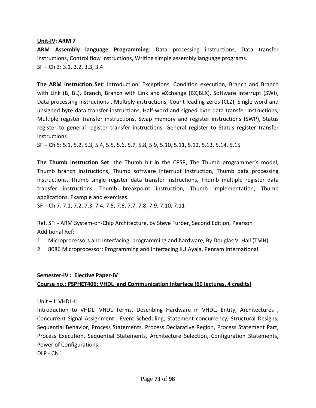#### **Unit‐IV: ARM 7**

**ARM Assembly language Programming**: Data processing instructions, Data transfer instructions, Control flow instructions, Writing simple assembly language programs. SF – Ch 3: 3.1, 3.2, 3.3, 3.4

**The ARM Instruction Set**: Introduction, Exceptions, Condition execution, Branch and Branch with Link (B, BL), Branch, Branch with Link and eXchange (BX,BLX), Software Interrupt (SWI), Data processing instructions , Multiply instructions, Count leading zeros (CLZ), Single word and unsigned byte data transfer instructions, Half‐word and signed byte data transfer instructions, Multiple register transfer instructions, Swap memory and register instructions (SWP), Status register to general register transfer instructions, General register to Status register transfer instructions

SF – Ch 5: 5.1, 5.2, 5.3, 5.4, 5.5, 5.6, 5.7, 5.8, 5.9, 5.10, 5.11, 5.12, 5.13, 5.14, 5.15

**The Thumb Instruction Set**: the Thumb bit in the CPSR, The Thumb programmer's model, Thumb branch instructions, Thumb software interrupt instruction, Thumb data processing instructions, Thumb single register data transfer instructions, Thumb multiple register data transfer instructions, Thumb breakpoint instruction, Thumb implementation, Thumb applications, Example and exercises.

SF – Ch 7: 7.1, 7.2, 7.3, 7.4, 7.5, 7.6, 7.7, 7.8, 7.9, 7.10, 7.11

Ref. SF: ‐ ARM System‐on‐Chip Architecture, by Steve Furber, Second Edition, Pearson Additional Ref:

- 1 Microprocessors and interfacing, programming and hardware, By Douglas V. Hall (TMH)
- 2 8086 Microprocessor: Programming and Interfacing K.J.Ayala, Penram International

# **Semester‐IV : Elective Paper‐IV Course no.: PSPHET406: VHDL and Communication Interface (60 lectures, 4 credits)**

Unit – I: VHDL‐I:

Introduction to VHDL: VHDL Terms, Describing Hardware in VHDL, Entity, Architectures , Concurrent Signal Assignment , Event Scheduling, Statement concurrency, Structural Designs, Sequential Behavior, Process Statements, Process Declarative Region, Process Statement Part, Process Execution, Sequential Statements, Architecture Selection, Configuration Statements, Power of Configurations.

DLP ‐ Ch 1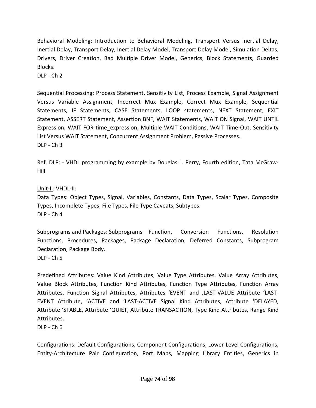Behavioral Modeling: Introduction to Behavioral Modeling, Transport Versus Inertial Delay, Inertial Delay, Transport Delay, Inertial Delay Model, Transport Delay Model, Simulation Deltas, Drivers, Driver Creation, Bad Multiple Driver Model, Generics, Block Statements, Guarded Blocks.

DLP ‐ Ch 2

Sequential Processing: Process Statement, Sensitivity List, Process Example, Signal Assignment Versus Variable Assignment, Incorrect Mux Example, Correct Mux Example, Sequential Statements, IF Statements, CASE Statements, LOOP statements, NEXT Statement, EXIT Statement, ASSERT Statement, Assertion BNF, WAIT Statements, WAIT ON Signal, WAIT UNTIL Expression, WAIT FOR time expression, Multiple WAIT Conditions, WAIT Time-Out, Sensitivity List Versus WAIT Statement, Concurrent Assignment Problem, Passive Processes. DLP ‐ Ch 3

Ref. DLP: ‐ VHDL programming by example by Douglas L. Perry, Fourth edition, Tata McGraw‐ Hill

#### Unit‐II: VHDL‐II:

Data Types: Object Types, Signal, Variables, Constants, Data Types, Scalar Types, Composite Types, Incomplete Types, File Types, File Type Caveats, Subtypes. DLP ‐ Ch 4

Subprograms and Packages: Subprograms Function, Conversion Functions, Resolution Functions, Procedures, Packages, Package Declaration, Deferred Constants, Subprogram Declaration, Package Body.

DLP ‐ Ch 5

Predefined Attributes: Value Kind Attributes, Value Type Attributes, Value Array Attributes, Value Block Attributes, Function Kind Attributes, Function Type Attributes, Function Array Attributes, Function Signal Attributes, Attributes 'EVENT and ,LAST‐VALUE Attribute 'LAST‐ EVENT Attribute, 'ACTIVE and 'LAST‐ACTIVE Signal Kind Attributes, Attribute 'DELAYED, Attribute 'STABLE, Attribute 'QUIET, Attribute TRANSACTION, Type Kind Attributes, Range Kind Attributes.

 $DLP - Ch 6$ 

Configurations: Default Configurations, Component Configurations, Lower‐Level Configurations, Entity‐Architecture Pair Configuration, Port Maps, Mapping Library Entities, Generics in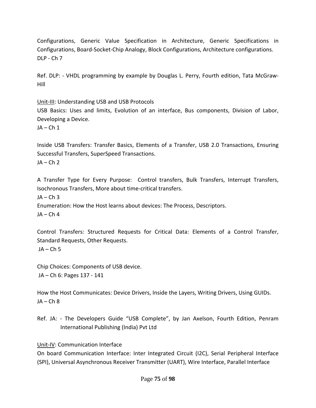Configurations, Generic Value Specification in Architecture, Generic Specifications in Configurations, Board‐Socket‐Chip Analogy, Block Configurations, Architecture configurations. DLP ‐ Ch 7

Ref. DLP: ‐ VHDL programming by example by Douglas L. Perry, Fourth edition, Tata McGraw‐ Hill

Unit‐III: Understanding USB and USB Protocols

USB Basics: Uses and limits, Evolution of an interface, Bus components, Division of Labor, Developing a Device.

 $JA - Ch 1$ 

Inside USB Transfers: Transfer Basics, Elements of a Transfer, USB 2.0 Transactions, Ensuring Successful Transfers, SuperSpeed Transactions.

 $JA - Ch<sub>2</sub>$ 

A Transfer Type for Every Purpose: Control transfers, Bulk Transfers, Interrupt Transfers, Isochronous Transfers, More about time‐critical transfers.

 $IA - Ch$  3

Enumeration: How the Host learns about devices: The Process, Descriptors.  $JA - Ch 4$ 

Control Transfers: Structured Requests for Critical Data: Elements of a Control Transfer, Standard Requests, Other Requests.  $JA - Ch 5$ 

Chip Choices: Components of USB device. JA – Ch 6: Pages 137 ‐ 141

How the Host Communicates: Device Drivers, Inside the Layers, Writing Drivers, Using GUIDs.  $JA - Ch 8$ 

Ref. JA: - The Developers Guide "USB Complete", by Jan Axelson, Fourth Edition, Penram International Publishing (India) Pvt Ltd

Unit‐IV: Communication Interface

On board Communication Interface: Inter Integrated Circuit (I2C), Serial Peripheral Interface (SPI), Universal Asynchronous Receiver Transmitter (UART), Wire Interface, Parallel Interface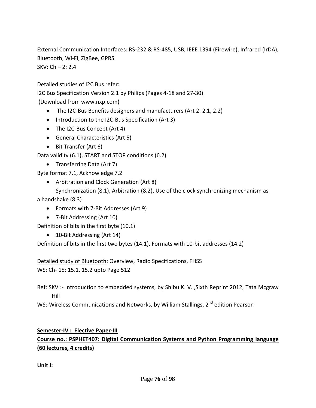External Communication Interfaces: RS‐232 & RS‐485, USB, IEEE 1394 (Firewire), Infrared (IrDA), Bluetooth, Wi‐Fi, ZigBee, GPRS.

 $SKV: Ch - 2: 2.4$ 

Detailed studies of I2C Bus refer:

I2C Bus Specification Version 2.1 by Philips (Pages 4‐18 and 27‐30)

(Download from www.nxp.com)

- The I2C-Bus Benefits designers and manufacturers (Art 2: 2.1, 2.2)
- Introduction to the I2C‐Bus Specification (Art 3)
- The I2C-Bus Concept (Art 4)
- General Characteristics (Art 5)
- Bit Transfer (Art 6)

Data validity (6.1), START and STOP conditions (6.2)

• Transferring Data (Art 7)

Byte format 7.1, Acknowledge 7.2

• Arbitration and Clock Generation (Art 8)

Synchronization (8.1), Arbitration (8.2), Use of the clock synchronizing mechanism as a handshake (8.3)

- Formats with 7‐Bit Addresses (Art 9)
- 7-Bit Addressing (Art 10)

Definition of bits in the first byte (10.1)

• 10-Bit Addressing (Art 14)

Definition of bits in the first two bytes (14.1), Formats with 10-bit addresses (14.2)

Detailed study of Bluetooth: Overview, Radio Specifications, FHSS

WS: Ch‐ 15: 15.1, 15.2 upto Page 512

Ref: SKV :- Introduction to embedded systems, by Shibu K. V. , Sixth Reprint 2012, Tata Mcgraw Hill

WS:-Wireless Communications and Networks, by William Stallings, 2<sup>nd</sup> edition Pearson

## **Semester‐IV : Elective Paper‐III Course no.: PSPHET407: Digital Communication Systems and Python Programming language (60 lectures, 4 credits)**

**Unit I:**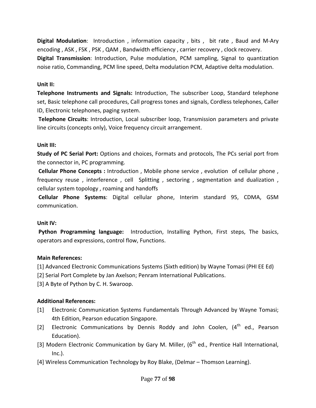**Digital Modulation**: Introduction, information capacity, bits, bit rate, Baud and M-Ary encoding , ASK , FSK , PSK , QAM , Bandwidth efficiency , carrier recovery , clock recovery. **Digital Transmission**: Introduction, Pulse modulation, PCM sampling, Signal to quantization noise ratio, Commanding, PCM line speed, Delta modulation PCM, Adaptive delta modulation.

#### **Unit II:**

**Telephone Instruments and Signals:** Introduction, The subscriber Loop, Standard telephone set, Basic telephone call procedures, Call progress tones and signals, Cordless telephones, Caller ID, Electronic telephones, paging system.

**Telephone Circuits**: Introduction, Local subscriber loop, Transmission parameters and private line circuits (concepts only), Voice frequency circuit arrangement.

### **Unit III:**

**Study of PC Serial Port:** Options and choices, Formats and protocols, The PCs serial port from the connector in, PC programming.

**Cellular Phone Concepts :** Introduction , Mobile phone service , evolution of cellular phone , frequency reuse, interference, cell Splitting, sectoring, segmentation and dualization, cellular system topology , roaming and handoffs

**Cellular Phone Systems**: Digital cellular phone, Interim standard 95, CDMA, GSM communication.

### **Unit IV:**

**Python Programming language:**  Introduction, Installing Python, First steps, The basics, operators and expressions, control flow, Functions.

### **Main References:**

[1] Advanced Electronic Communications Systems (Sixth edition) by Wayne Tomasi (PHI EE Ed)

[2] Serial Port Complete by Jan Axelson; Penram International Publications.

[3] A Byte of Python by C. H. Swaroop.

### **Additional References:**

- [1] Electronic Communication Systems Fundamentals Through Advanced by Wayne Tomasi; 4th Edition, Pearson education Singapore.
- [2] Electronic Communications by Dennis Roddy and John Coolen,  $(4<sup>th</sup>$  ed., Pearson Education).
- [3] Modern Electronic Communication by Gary M. Miller,  $6<sup>th</sup>$  ed., Prentice Hall International, Inc.).
- [4] Wireless Communication Technology by Roy Blake, (Delmar Thomson Learning).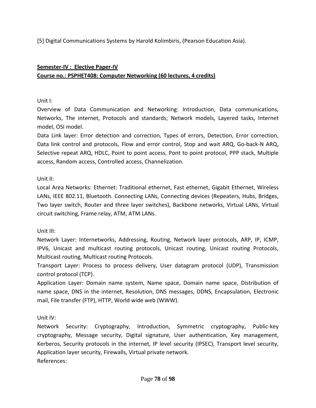[5] Digital Communications Systems by Harold Kolimbiris, (Pearson Education Asia).

# **Semester‐IV : Elective Paper‐IV Course no.: PSPHET408: Computer Networking (60 lectures, 4 credits)**

### Unit I:

Overview of Data Communication and Networking: Introduction, Data communications, Networks, The internet, Protocols and standards; Network models, Layered tasks, Internet model, OSI model.

Data Link layer: Error detection and correction, Types of errors, Detection, Error correction, Data link control and protocols, Flow and error control, Stop and wait ARQ, Go‐back‐N ARQ, Selective repeat ARQ, HDLC, Point to point access, Pont to point protocol, PPP stack, Multiple access, Random access, Controlled access, Channelization.

### Unit II:

Local Area Networks: Ethernet: Traditional ethernet, Fast ethernet, Gigabit Ethernet, Wireless LANs, IEEE 802.11, Bluetooth. Connecting LANs, Connecting devices (Repeaters, Hubs, Bridges, Two layer switch, Router and three layer switches), Backbone networks, Virtual LANs, Virtual circuit switching, Frame relay, ATM, ATM LANs.

### Unit III:

Network Layer: Internetworks, Addressing, Routing, Network layer protocols, ARP, IP, ICMP, IPV6, Unicast and multicast routing protocols, Unicast routing, Unicast routing Protocols, Multicast routing, Multicast routing Protocols.

Transport Layer: Process to process delivery, User datagram protocol (UDP), Transmission control protocol (TCP).

Application Layer: Domain name system, Name space, Domain name space, Distribution of name space, DNS in the internet, Resolution, DNS messages, DDNS, Encapsulation, Electronic mail, File transfer (FTP), HTTP, World wide web (WWW).

Unit IV:

Network Security: Cryptography, Introduction, Symmetric cryptography, Public‐key cryptography, Message security, Digital signature, User authentication, Key management, Kerberos, Security protocols in the internet, IP level security (IPSEC), Transport level security, Application layer security, Firewalls, Virtual private network. References: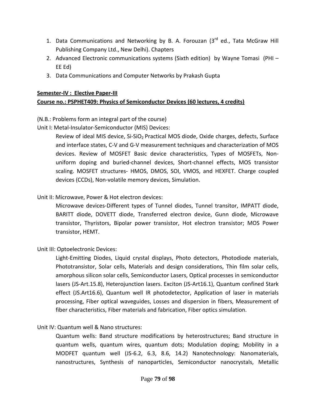- 1. Data Communications and Networking by B. A. Forouzan  $(3^{rd}$  ed., Tata McGraw Hill Publishing Company Ltd., New Delhi). Chapters
- 2. Advanced Electronic communications systems (Sixth edition) by Wayne Tomasi (PHI EE Ed)
- 3. Data Communications and Computer Networks by Prakash Gupta

#### **Semester‐IV : Elective Paper‐III**

### **Course no.: PSPHET409: Physics of Semiconductor Devices (60 lectures, 4 credits)**

(N.B.: Problems form an integral part of the course)

Unit I: Metal-Insulator-Semiconductor (MIS) Devices:

Review of ideal MIS device, Si-SiO<sub>2</sub> Practical MOS diode, Oxide charges, defects, Surface and interface states, C‐V and G‐V measurement techniques and characterization of MOS devices. Review of MOSFET Basic device characteristics, Types of MOSFETs, Non‐ uniform doping and buried‐channel devices, Short‐channel effects, MOS transistor scaling. MOSFET structures‐ HMOS, DMOS, SOI, VMOS, and HEXFET. Charge coupled devices (CCDs), Non‐volatile memory devices, Simulation.

### Unit II: Microwave, Power & Hot electron devices:

Microwave devices‐Different types of Tunnel diodes, Tunnel transitor, IMPATT diode, BARITT diode, DOVETT diode, Transferred electron device, Gunn diode, Microwave transistor, Thyristors, Bipolar power transistor, Hot electron transistor; MOS Power transistor, HEMT.

#### Unit III: Optoelectronic Devices:

Light‐Emitting Diodes, Liquid crystal displays, Photo detectors, Photodiode materials, Phototransistor, Solar cells, Materials and design considerations, Thin film solar cells, amorphous silicon solar cells, Semiconductor Lasers, Optical processes in semiconductor lasers (JS‐Art.15.8), Heterojunction lasers. Exciton (JS‐Art16.1), Quantum confined Stark effect (JS.Art16.6), Quantum well IR photodetector, Application of laser in materials processing, Fiber optical waveguides, Losses and dispersion in fibers, Measurement of fiber characteristics, Fiber materials and fabrication, Fiber optics simulation.

#### Unit IV: Quantum well & Nano structures:

Quantum wells: Band structure modifications by heterostructures; Band structure in quantum wells, quantum wires, quantum dots; Modulation doping; Mobility in a MODFET quantum well (JS‐6.2, 6.3, 8.6, 14.2) Nanotechnology: Nanomaterials, nanostructures, Synthesis of nanoparticles, Semiconductor nanocrystals, Metallic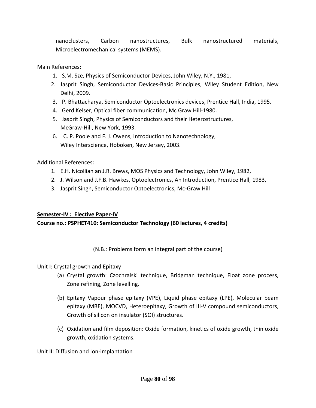nanoclusters, Carbon nanostructures, Bulk nanostructured materials, Microelectromechanical systems (MEMS).

Main References:

- 1. S.M. Sze, Physics of Semiconductor Devices, John Wiley, N.Y., 1981,
- 2. Jasprit Singh, Semiconductor Devices‐Basic Principles, Wiley Student Edition, New Delhi, 2009.
- 3. P. Bhattacharya, Semiconductor Optoelectronics devices, Prentice Hall, India, 1995.
- 4. Gerd Kelser, Optical fiber communication, Mc Graw Hill‐1980.
- 5. Jasprit Singh, Physics of Semiconductors and their Heterostructures, McGraw‐Hill, New York, 1993.
- 6. C. P. Poole and F. J. Owens, Introduction to Nanotechnology, Wiley Interscience, Hoboken, New Jersey, 2003.

Additional References:

- 1. E.H. Nicollian an J.R. Brews, MOS Physics and Technology, John Wiley, 1982,
- 2. J. Wilson and J.F.B. Hawkes, Optoelectronics, An Introduction, Prentice Hall, 1983,
- 3. Jasprit Singh, Semiconductor Optoelectronics, Mc‐Graw Hill

#### **Semester‐IV : Elective Paper‐IV**

### **Course no.: PSPHET410: Semiconductor Technology (60 lectures, 4 credits)**

#### (N.B.: Problems form an integral part of the course)

Unit I: Crystal growth and Epitaxy

- (a) Crystal growth: Czochralski technique, Bridgman technique, Float zone process, Zone refining, Zone levelling.
- (b) Epitaxy Vapour phase epitaxy (VPE), Liquid phase epitaxy (LPE), Molecular beam epitaxy (MBE), MOCVD, Heteroepitaxy, Growth of III‐V compound semiconductors, Growth of silicon on insulator (SOI) structures.
- (c) Oxidation and film deposition: Oxide formation, kinetics of oxide growth, thin oxide growth, oxidation systems.

Unit II: Diffusion and Ion‐implantation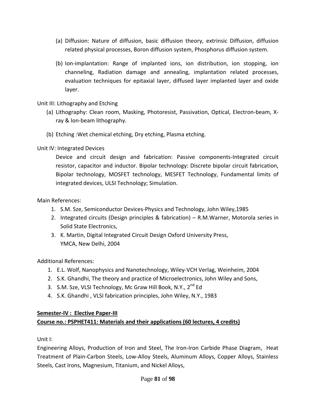- (a) Diffusion: Nature of diffusion, basic diffusion theory, extrinsic Diffusion, diffusion related physical processes, Boron diffusion system, Phosphorus diffusion system.
- (b) Ion‐implantation: Range of implanted ions, ion distribution, ion stopping, ion channeling, Radiation damage and annealing, implantation related processes, evaluation techniques for epitaxial layer, diffused layer implanted layer and oxide layer.

### Unit III: Lithography and Etching

- (a) Lithography: Clean room, Masking, Photoresist, Passivation, Optical, Electron‐beam, X‐ ray & Ion‐beam lithography.
- (b) Etching :Wet chemical etching, Dry etching, Plasma etching.

### Unit IV: Integrated Devices

Device and circuit design and fabrication: Passive components-Integrated circuit resistor, capacitor and inductor. Bipolar technology: Discrete bipolar circuit fabrication, Bipolar technology, MOSFET technology, MESFET Technology, Fundamental limits of integrated devices, ULSI Technology; Simulation.

#### Main References:

- 1. S.M. Sze, Semiconductor Devices‐Physics and Technology, John Wiley,1985
- 2. Integrated circuits (Design principles & fabrication) R.M.Warner, Motorola series in Solid State Electronics,
- 3. K. Martin, Digital Integrated Circuit Design Oxford University Press, YMCA, New Delhi, 2004

Additional References:

- 1. E.L. Wolf, Nanophysics and Nanotechnology, Wiley‐VCH Verlag, Weinheim, 2004
- 2. S.K. Ghandhi, The theory and practice of Microelectronics, John Wiley and Sons,
- 3. S.M. Sze, VLSI Technology, Mc Graw Hill Book, N.Y., 2<sup>nd</sup> Ed
- 4. S.K. Ghandhi , VLSI fabrication principles, John Wiley, N.Y., 1983

## **Semester‐IV : Elective Paper‐III Course no.: PSPHET411: Materials and their applications (60 lectures, 4 credits)**

Unit I:

Engineering Alloys, Production of Iron and Steel, The Iron‐Iron Carbide Phase Diagram, Heat Treatment of Plain‐Carbon Steels, Low‐Alloy Steels, Aluminum Alloys, Copper Alloys, Stainless Steels, Cast Irons, Magnesium, Titanium, and Nickel Alloys,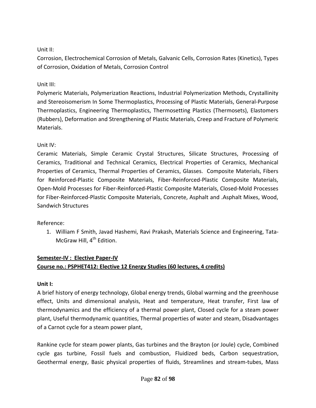### Unit II:

Corrosion, Electrochemical Corrosion of Metals, Galvanic Cells, Corrosion Rates (Kinetics), Types of Corrosion, Oxidation of Metals, Corrosion Control

### Unit III:

Polymeric Materials, Polymerization Reactions, Industrial Polymerization Methods, Crystallinity and Stereoisomerism In Some Thermoplastics, Processing of Plastic Materials, General‐Purpose Thermoplastics, Engineering Thermoplastics, Thermosetting Plastics (Thermosets), Elastomers (Rubbers), Deformation and Strengthening of Plastic Materials, Creep and Fracture of Polymeric Materials.

## Unit IV:

Ceramic Materials, Simple Ceramic Crystal Structures, Silicate Structures, Processing of Ceramics, Traditional and Technical Ceramics, Electrical Properties of Ceramics, Mechanical Properties of Ceramics, Thermal Properties of Ceramics, Glasses. Composite Materials, Fibers for Reinforced-Plastic Composite Materials, Fiber-Reinforced-Plastic Composite Materials, Open‐Mold Processes for Fiber‐Reinforced‐Plastic Composite Materials, Closed‐Mold Processes for Fiber‐Reinforced‐Plastic Composite Materials, Concrete, Asphalt and .Asphalt Mixes, Wood, Sandwich Structures

## Reference:

1. William F Smith, Javad Hashemi, Ravi Prakash, Materials Science and Engineering, Tata‐ McGraw Hill, 4<sup>th</sup> Edition.

# **Semester‐IV : Elective Paper‐IV Course no.: PSPHET412: Elective 12 Energy Studies (60 lectures, 4 credits)**

### **Unit I:**

A brief history of energy technology, Global energy trends, Global warming and the greenhouse effect, Units and dimensional analysis, Heat and temperature, Heat transfer, First law of thermodynamics and the efficiency of a thermal power plant, Closed cycle for a steam power plant, Useful thermodynamic quantities, Thermal properties of water and steam, Disadvantages of a Carnot cycle for a steam power plant,

Rankine cycle for steam power plants, Gas turbines and the Brayton (or Joule) cycle, Combined cycle gas turbine, Fossil fuels and combustion, Fluidized beds, Carbon sequestration, Geothermal energy, Basic physical properties of fluids, Streamlines and stream‐tubes, Mass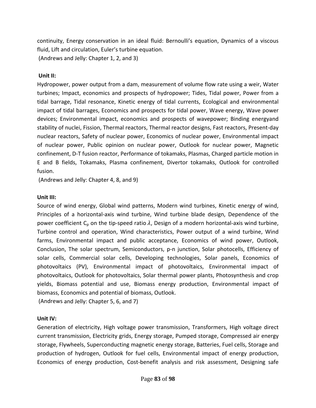continuity, Energy conservation in an ideal fluid: Bernoulli's equation, Dynamics of a viscous fluid, Lift and circulation, Euler's turbine equation. (Andrews and Jelly: Chapter 1, 2, and 3)

#### **Unit II:**

Hydropower, power output from a dam, measurement of volume flow rate using a weir, Water turbines; Impact, economics and prospects of hydropower; Tides, Tidal power, Power from a tidal barrage, Tidal resonance, Kinetic energy of tidal currents, Ecological and environmental impact of tidal barrages, Economics and prospects for tidal power, Wave energy, Wave power devices; Environmental impact, economics and prospects of wavepower; Binding energyand stability of nuclei, Fission, Thermal reactors, Thermal reactor designs, Fast reactors, Present‐day nuclear reactors, Safety of nuclear power, Economics of nuclear power, Environmental impact of nuclear power, Public opinion on nuclear power, Outlook for nuclear power, Magnetic confinement, D‐T fusion reactor, Performance of tokamaks, Plasmas, Charged particle motion in E and B fields, Tokamaks, Plasma confinement, Divertor tokamaks, Outlook for controlled fusion.

(Andrews and Jelly: Chapter 4, 8, and 9)

### **Unit III:**

Source of wind energy, Global wind patterns, Modern wind turbines, Kinetic energy of wind, Principles of a horizontal‐axis wind turbine, Wind turbine blade design, Dependence of the power coefficient  $C_p$  on the tip-speed ratio  $\lambda$ , Design of a modern horizontal-axis wind turbine, Turbine control and operation, Wind characteristics, Power output of a wind turbine, Wind farms, Environmental impact and public acceptance, Economics of wind power, Outlook, Conclusion, The solar spectrum, Semiconductors, p‐n junction, Solar photocells, Efficiency of solar cells, Commercial solar cells, Developing technologies, Solar panels, Economics of photovoltaics (PV), Environmental impact of photovoltaics, Environmental impact of photovoltaics, Outlook for photovoltaics, Solar thermal power plants, Photosynthesis and crop yields, Biomass potential and use, Biomass energy production, Environmental impact of biomass, Economics and potential of biomass, Outlook.

(Andrews and Jelly: Chapter 5, 6, and 7)

### **Unit IV:**

Generation of electricity, High voltage power transmission, Transformers, High voltage direct current transmission, Electricity grids, Energy storage, Pumped storage, Compressed air energy storage, Flywheels, Superconducting magnetic energy storage, Batteries, Fuel cells, Storage and production of hydrogen, Outlook for fuel cells, Environmental impact of energy production, Economics of energy production, Cost‐benefit analysis and risk assessment, Designing safe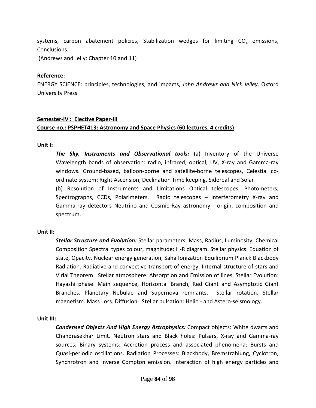systems, carbon abatement policies, Stabilization wedges for limiting  $CO<sub>2</sub>$  emissions, Conclusions.

(Andrews and Jelly: Chapter 10 and 11)

#### **Reference:**

ENERGY SCIENCE: principles, technologies, and impacts, *John Andrews and Nick Jelley,* Oxford University Press

#### **Semester‐IV : Elective Paper‐III**

#### **Course no.: PSPHET413: Astronomy and Space Physics (60 lectures, 4 credits)**

**Unit I:**

*The Sky, Instruments and Observational tools:* (a) Inventory of the Universe Wavelength bands of observation: radio, infrared, optical, UV, X‐ray and Gamma‐ray windows. Ground-based, balloon-borne and satellite-borne telescopes, Celestial coordinate system: Right Ascension, Declination Time keeping. Sidereal and Solar (b) Resolution of Instruments and Limitations Optical telescopes, Photometers, Spectrographs, CCDs, Polarimeters. Radio telescopes – interferometry X‐ray and Gamma‐ray detectors Neutrino and Cosmic Ray astronomy ‐ origin, composition and spectrum.

#### **Unit II:**

*Stellar Structure and Evolution:* Stellar parameters: Mass, Radius, Luminosity, Chemical Composition Spectral types colour, magnitude: H‐R diagram. Stellar physics: Equation of state, Opacity. Nuclear energy generation, Saha Ionization Equilibrium Planck Blackbody Radiation. Radiative and convective transport of energy. Internal structure of stars and Virial Theorem. Stellar atmosphere. Absorption and Emission of lines. Stellar Evolution: Hayashi phase. Main sequence, Horizontal Branch, Red Giant and Asymptotic Giant Branches. Planetary Nebulae and Supernova remnants. Stellar rotation. Stellar magnetism. Mass Loss. Diffusion. Stellar pulsation: Helio ‐ and Astero‐seismology.

#### **Unit III:**

*Condensed Objects And High Energy Astrophysics:* Compact objects: White dwarfs and Chandrasekhar Limit. Neutron stars and Black holes: Pulsars, X‐ray and Gamma‐ray sources. Binary systems: Accretion process and associated phenomena: Bursts and Quasi‐periodic oscillations. Radiation Processes: Blackbody, Bremstrahlung, Cyclotron, Synchrotron and Inverse Compton emission. Interaction of high energy particles and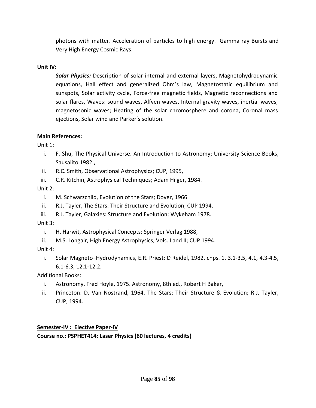photons with matter. Acceleration of particles to high energy. Gamma ray Bursts and Very High Energy Cosmic Rays.

#### **Unit IV:**

*Solar Physics:* Description of solar internal and external layers, Magnetohydrodynamic equations, Hall effect and generalized Ohm's law, Magnetostatic equilibrium and sunspots, Solar activity cycle, Force-free magnetic fields, Magnetic reconnections and solar flares, Waves: sound waves, Alfven waves, Internal gravity waves, inertial waves, magnetosonic waves; Heating of the solar chromosphere and corona, Coronal mass ejections, Solar wind and Parker's solution.

#### **Main References:**

Unit 1:

- i. F. Shu, The Physical Universe. An Introduction to Astronomy; University Science Books, Sausalito 1982.,
- ii. R.C. Smith, Observational Astrophysics; CUP, 1995,
- iii. C.R. Kitchin, Astrophysical Techniques; Adam Hilger, 1984.

Unit 2:

- i. M. Schwarzchild, Evolution of the Stars; Dover, 1966.
- ii. R.J. Tayler, The Stars: Their Structure and Evolution; CUP 1994.
- iii. R.J. Tayler, Galaxies: Structure and Evolution; Wykeham 1978.

Unit 3:

- i. H. Harwit, Astrophysical Concepts; Springer Verlag 1988,
- ii. M.S. Longair, High Energy Astrophysics, Vols. I and II; CUP 1994.

Unit 4:

i. Solar Magneto–Hydrodynamics, E.R. Priest; D Reidel, 1982. chps. 1, 3.1‐3.5, 4.1, 4.3‐4.5, 6.1‐6.3, 12.1‐12.2.

Additional Books:

- i. Astronomy, Fred Hoyle, 1975. Astronomy, 8th ed., Robert H Baker,
- ii. Princeton: D. Van Nostrand, 1964. The Stars: Their Structure & Evolution; R.J. Tayler, CUP, 1994.

**Semester‐IV : Elective Paper‐IV Course no.: PSPHET414: Laser Physics (60 lectures, 4 credits)**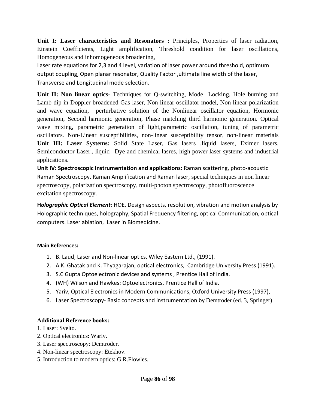**Unit I: Laser characteristics and Resonators :** Principles, Properties of laser radiation, Einstein Coefficients, Light amplification, Threshold condition for laser oscillations, Homogeneous and inhomogeneous broadening,

Laser rate equations for 2,3 and 4 level, variation of laser power around threshold, optimum output coupling, Open planar resonator, Quality Factor ,ultimate line width of the laser, Transverse and Longitudinal mode selection.

**Unit II: Non linear optics-** Techniques for Q-switching, Mode Locking, Hole burning and Lamb dip in Doppler broadened Gas laser, Non linear oscillator model, Non linear polarization and wave equation, perturbative solution of the Nonlinear oscillator equation, Hormonic generation, Second harmonic generation, Phase matching third harmonic generation. Optical wave mixing, parametric generation of light,parametric oscillation, tuning of parametric oscillators. Non-Linear susceptibilities, non-linear susceptibility tensor, non-linear materials **Unit III: Laser Systems***:* Solid State Laser, Gas lasers ,liquid lasers, Eximer lasers. Semiconductor Laser., liquid –Dye and chemical lasres, high power laser systems and industrial applications.

**Unit IV: Spectroscopic Instrumentation and applications:** Raman scattering, photo‐acoustic Raman Spectroscopy. Raman Amplification and Raman laser, special techniques in non linear spectroscopy, polarization spectroscopy, multi-photon spectroscopy, photofluoroscence excitation spectroscopy.

**H***olographic Optical Element:* HOE, Design aspects, resolution, vibration and motion analysis by Holographic techniques, holography, Spatial Frequency filtering, optical Communication, optical computers. Laser ablation, Laser in Biomedicine.

#### **Main References:**

- 1. B. Laud, Laser and Non‐linear optics, Wiley Eastern Ltd., (1991).
- 2. A.K. Ghatak and K. Thyagarajan, optical electronics, Cambridge University Press (1991).
- 3. S.C Gupta Optoelectronic devices and systems , Prentice Hall of India.
- 4. (WH) Wilson and Hawkes: Optoelectronics, Prentice Hall of India.
- 5. Yariv, Optical Electronics in Modern Communications, Oxford University Press (1997),
- 6. Laser Spectroscopy‐ Basic concepts and instrumentation by Demtroder (ed. 3, Springer)

#### **Additional Reference books:**

- 1. Laser: Svelto.
- 2. Optical electronics: Wariv.
- 3. Laser spectroscopy: Demtroder.
- 4. Non-linear spectroscopy: Etekhov.
- 5. Introduction to modern optics: G.R.Flowles.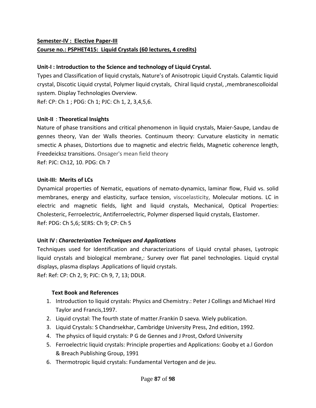# **Semester‐IV : Elective Paper‐III Course no.: PSPHET415: Liquid Crystals (60 lectures, 4 credits)**

### **Unit‐I : Introduction to the Science and technology of Liquid Crystal.**

Types and Classification of liquid crystals, Nature's of Anisotropic Liquid Crystals. Calamtic liquid crystal, Discotic Liquid crystal, Polymer liquid crystals, Chiral liquid crystal, ,membranescolloidal system. Display Technologies Overview.

Ref: CP: Ch 1 ; PDG: Ch 1; PJC: Ch 1, 2, 3,4,5,6.

### **Unit‐II** : **Theoretical Insights**

Nature of phase transitions and critical phenomenon in liquid crystals, Maier‐Saupe, Landau de gennes theory, Van der Walls theories. Continuum theory: Curvature elasticity in nematic smectic A phases, Distortions due to magnetic and electric fields, Magnetic coherence length, Freedeicksz transitions. Onsager's mean field theory Ref: PJC: Ch12, 10. PDG: Ch 7

### **Unit‐III: Merits of LCs**

Dynamical properties of Nematic, equations of nemato‐dynamics, laminar flow, Fluid vs. solid membranes, energy and elasticity, surface tension, viscoelasticity, Molecular motions. LC in electric and magnetic fields, light and liquid crystals, Mechanical, Optical Properties: Cholesteric, Ferroelectric, Antiferroelectric, Polymer dispersed liquid crystals, Elastomer. Ref: PDG: Ch 5,6; SERS: Ch 9; CP: Ch 5

### **Unit IV:** *Characterization Techniques and Applications*

Techniques used for Identification and characterizations of Liquid crystal phases, Lyotropic liquid crystals and biological membrane,: Survey over flat panel technologies. Liquid crystal displays, plasma displays .Applications of liquid crystals.

Ref: Ref: CP: Ch 2, 9; PJC: Ch 9, 7, 13; DDLR.

#### **Text Book and References**

- 1. Introduction to liquid crystals: Physics and Chemistry.: Peter J Collings and Michael Hird Taylor and Francis,1997.
- 2. Liquid crystal: The fourth state of matter.Frankin D saeva. Wiely publication.
- 3. Liquid Crystals: S Chandrsekhar, Cambridge University Press, 2nd edition, 1992.
- 4. The physics of liquid crystals: P G de Gennes and J Prost, Oxford University
- 5. Ferroelectric liquid crystals: Principle properties and Applications: Gooby et a.l Gordon & Breach Publishing Group, 1991
- 6. Thermotropic liquid crystals: Fundamental Vertogen and de jeu.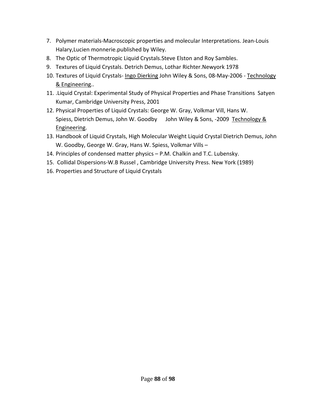- 7. Polymer materials‐Macroscopic properties and molecular Interpretations. Jean‐Louis Halary,Lucien monnerie.published by Wiley.
- 8. The Optic of Thermotropic Liquid Crystals.Steve Elston and Roy Sambles.
- 9. Textures of Liquid Crystals. Detrich Demus, Lothar Richter.Newyork 1978
- 10. Textures of Liquid Crystals- Ingo Dierking John Wiley & Sons, 08-May-2006 Technology & Engineering..
- 11. .Liquid Crystal: Experimental Study of Physical Properties and Phase Transitions Satyen Kumar, Cambridge University Press, 2001
- 12. Physical Properties of Liquid Crystals: George W. Gray, Volkmar Vill, Hans W. Spiess, Dietrich Demus, John W. Goodby John Wiley & Sons, ‐2009 Technology & Engineering.
- 13. Handbook of Liquid Crystals, High Molecular Weight Liquid Crystal Dietrich Demus, John W. Goodby, George W. Gray, Hans W. Spiess, Volkmar Vills –
- 14. Principles of condensed matter physics P.M. Chalkin and T.C. Lubensky.
- 15. Collidal Dispersions‐W.B Russel , Cambridge University Press. New York (1989)
- 16. Properties and Structure of Liquid Crystals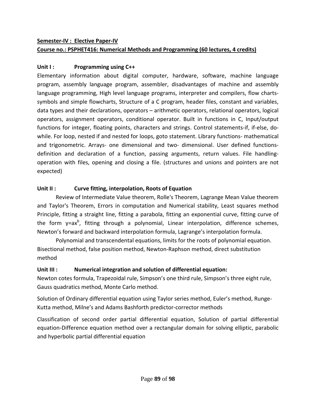# **Semester‐IV : Elective Paper‐IV Course no.: PSPHET416: Numerical Methods and Programming (60 lectures, 4 credits)**

### **Unit I : Programming using C++**

Elementary information about digital computer, hardware, software, machine language program, assembly language program, assembler, disadvantages of machine and assembly language programming, High level language programs, interpreter and compilers, flow charts‐ symbols and simple flowcharts, Structure of a C program, header files, constant and variables, data types and their declarations, operators – arithmetic operators, relational operators, logical operators, assignment operators, conditional operator. Built in functions in C, Input/output functions for integer, floating points, characters and strings. Control statements-if, if-else, dowhile. For loop, nested if and nested for loops, goto statement. Library functions- mathematical and trigonometric. Arrays- one dimensional and two- dimensional. User defined functionsdefinition and declaration of a function, passing arguments, return values. File handlingoperation with files, opening and closing a file. (structures and unions and pointers are not expected)

### **Unit II : Curve fitting, interpolation, Roots of Equation**

Review of Intermediate Value theorem, Rolle's Theorem, Lagrange Mean Value theorem and Taylor's Theorem, Errors in computation and Numerical stability, Least squares method Principle, fitting a straight line, fitting a parabola, fitting an exponential curve, fitting curve of the form y=ax<sup>b</sup>, fitting through a polynomial, Linear interpolation, difference schemes, Newton's forward and backward interpolation formula, Lagrange's interpolation formula.

Polynomial and transcendental equations, limits for the roots of polynomial equation. Bisectional method, false position method, Newton‐Raphson method, direct substitution method

## **Unit III : Numerical integration and solution of differential equation:**

Newton cotes formula, Trapezoidal rule, Simpson's one third rule, Simpson's three eight rule, Gauss quadratics method, Monte Carlo method.

Solution of Ordinary differential equation using Taylor series method, Euler's method, Runge‐ Kutta method, Milne's and Adams Bashforth predictor‐corrector methods

Classification of second order partial differential equation, Solution of partial differential equation‐Difference equation method over a rectangular domain for solving elliptic, parabolic and hyperbolic partial differential equation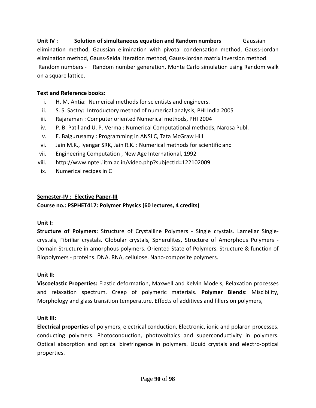# **Unit IV : Solution of simultaneous equation and Random numbers** Gaussian elimination method, Gaussian elimination with pivotal condensation method, Gauss‐Jordan elimination method, Gauss‐Seidal iteration method, Gauss‐Jordan matrix inversion method. Random numbers ‐ Random number generation, Monte Carlo simulation using Random walk on a square lattice.

### **Text and Reference books:**

- i. H. M. Antia: Numerical methods for scientists and engineers.
- ii. S. S. Sastry: Introductory method of numerical analysis, PHI India 2005
- iii. Rajaraman : Computer oriented Numerical methods, PHI 2004
- iv. P. B. Patil and U. P. Verma : Numerical Computational methods, Narosa Publ.
- v. E. Balgurusamy : Programming in ANSI C, Tata McGraw Hill
- vi. Jain M.K., Iyengar SRK, Jain R.K. : Numerical methods for scientific and
- vii. Engineering Computation , New Age International, 1992
- viii. http://www.nptel.iitm.ac.in/video.php?subjectId=122102009
- ix. Numerical recipes in C

### **Semester‐IV : Elective Paper‐III**

## **Course no.: PSPHET417: Polymer Physics (60 lectures, 4 credits)**

### **Unit I:**

**Structure of Polymers:** Structure of Crystalline Polymers ‐ Single crystals. Lamellar Single‐ crystals, Fibriliar crystals. Globular crystals, Spherulites, Structure of Amorphous Polymers ‐ Domain Structure in amorphous polymers. Oriented State of Polymers. Structure & function of Biopolymers ‐ proteins. DNA. RNA, cellulose. Nano‐composite polymers.

## **Unit II:**

**Viscoelastic Properties:** Elastic deformation, Maxwell and Kelvin Models, Relaxation processes and relaxation spectrum. Creep of polymeric materials. **Polymer Blends**: Miscibility, Morphology and glass transition temperature. Effects of additives and fillers on polymers,

## **Unit III:**

**Electrical properties** of polymers, electrical conduction, Electronic, ionic and polaron processes. conducting polymers. Photoconduction, photovoltaics and superconductivity in polymers. Optical absorption and optical birefringence in polymers. Liquid crystals and electro‐optical properties.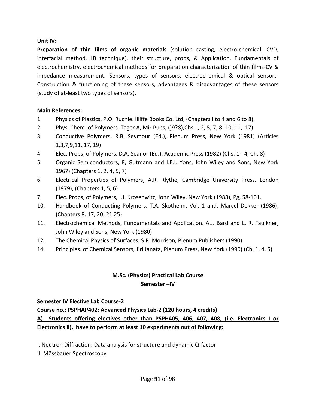#### **Unit IV:**

**Preparation of thin films of organic materials** (solution casting, electro‐chemical, CVD, interfacial method, LB technique), their structure, props, & Application. Fundamentals of electrochemistry, electrochemical methods for preparation characterization of thin films‐CV & impedance measurement. Sensors, types of sensors, electrochemical & optical sensors‐ Construction & functioning of these sensors, advantages & disadvantages of these sensors (study of at‐least two types of sensors).

#### **Main References:**

- 1. Physics of Plastics, P.O. Ruchie. Illiffe Books Co. Ltd, (Chapters I to 4 and 6 to 8),
- 2. Phys. Chem. of Polymers. Tager A, Mir Pubs, ()9?8),Chs. I, 2, 5, 7, 8. 10, 11, 17)
- 3. Conductive Polymers, R.B. Seymour (Ed.), Plenum Press, New York (1981) (Articles 1,3,7,9,11, 17, 19)
- 4. Elec. Props, of Polymers, D.A. Seanor (Ed.), Academic Press (1982) (Chs. 1 ‐ 4, Ch. 8)
- 5. Organic Semiconductors, F, Gutmann and I.E.I. Yons, John Wiley and Sons, New York 1967) (Chapters 1, 2, 4, 5, 7)
- 6. Electrical Properties of Polymers, A.R. Rlythe, Cambridge University Press. London (1979), (Chapters 1, 5, 6)
- 7. Elec. Props, of Polymers, J.J. Krosehwitz, John Wiley, New York (1988), Pg, 58‐101.
- 10. Handbook of Conducting Polymers, T.A. Skotheim, Vol. 1 and. Marcel Dekker (1986), (Chapters 8. 17, 20, 21.25)
- 11. Electrochemical Methods, Fundamentals and Application. A.J. Bard and L, R, Faulkner, John Wiley and Sons, New York (1980)
- 12. The Chemical Physics of Surfaces, S.R. Morrison, Plenum Publishers (1990)
- 14. Principles. of Chemical Sensors, Jiri Janata, Plenum Press, New York (1990) (Ch. 1, 4, 5)

# **M.Sc. (Physics) Practical Lab Course Semester –IV**

#### **Semester IV Elective Lab Course‐2**

**Course no.: PSPHAP402: Advanced Physics Lab‐2 (120 hours, 4 credits) A) Students offering electives other than PSPH405, 406, 407, 408, (i.e. Electronics I or Electronics II), have to perform at least 10 experiments out of following:**

I. Neutron Diffraction: Data analysis for structure and dynamic Q‐factor

II. Mössbauer Spectroscopy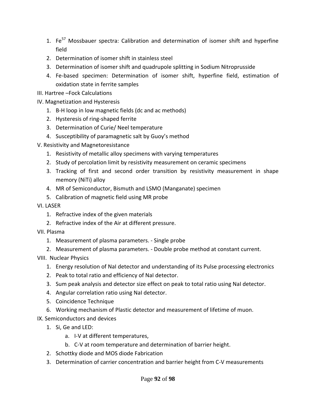- 1. Fe<sup>57</sup> Mossbauer spectra: Calibration and determination of isomer shift and hyperfine field
- 2. Determination of isomer shift in stainless steel
- 3. Determination of isomer shift and quadrupole splitting in Sodium Nitroprusside
- 4. Fe‐based specimen: Determination of isomer shift, hyperfine field, estimation of oxidation state in ferrite samples
- III. Hartree –Fock Calculations
- IV. Magnetization and Hysteresis
	- 1. B‐H loop in low magnetic fields (dc and ac methods)
	- 2. Hysteresis of ring‐shaped ferrite
	- 3. Determination of Curie/ Neel temperature
	- 4. Susceptibility of paramagnetic salt by Guoy's method
- V. Resistivity and Magnetoresistance
	- 1. Resistivity of metallic alloy specimens with varying temperatures
	- 2. Study of percolation limit by resistivity measurement on ceramic specimens
	- 3. Tracking of first and second order transition by resistivity measurement in shape memory (NiTi) alloy
	- 4. MR of Semiconductor, Bismuth and LSMO (Manganate) specimen
	- 5. Calibration of magnetic field using MR probe
- VI. LASER
	- 1. Refractive index of the given materials
	- 2. Refractive index of the Air at different pressure.
- VII. Plasma
	- 1. Measurement of plasma parameters. ‐ Single probe
	- 2. Measurement of plasma parameters. ‐ Double probe method at constant current.
- VIII. Nuclear Physics
	- 1. Energy resolution of NaI detector and understanding of its Pulse processing electronics
	- 2. Peak to total ratio and efficiency of NaI detector.
	- 3. Sum peak analysis and detector size effect on peak to total ratio using NaI detector.
	- 4. Angular correlation ratio using NaI detector.
	- 5. Coincidence Technique
	- 6. Working mechanism of Plastic detector and measurement of lifetime of muon.
- IX. Semiconductors and devices
	- 1. Si, Ge and LED:
		- a. I‐V at different temperatures,
		- b. C‐V at room temperature and determination of barrier height.
	- 2. Schottky diode and MOS diode Fabrication
	- 3. Determination of carrier concentration and barrier height from C‐V measurements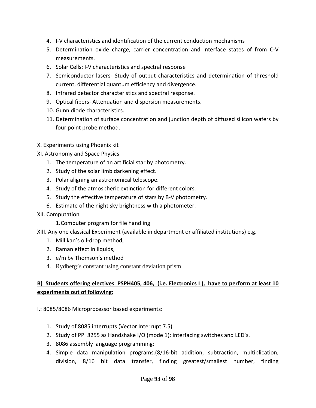- 4. I-V characteristics and identification of the current conduction mechanisms
- 5. Determination oxide charge, carrier concentration and interface states of from C‐V measurements.
- 6. Solar Cells: I‐V characteristics and spectral response
- 7. Semiconductor lasers‐ Study of output characteristics and determination of threshold current, differential quantum efficiency and divergence.
- 8. Infrared detector characteristics and spectral response.
- 9. Optical fibers‐ Attenuation and dispersion measurements.
- 10. Gunn diode characteristics.
- 11. Determination of surface concentration and junction depth of diffused silicon wafers by four point probe method.
- X. Experiments using Phoenix kit
- XI. Astronomy and Space Physics
	- 1. The temperature of an artificial star by photometry.
	- 2. Study of the solar limb darkening effect.
	- 3. Polar aligning an astronomical telescope.
	- 4. Study of the atmospheric extinction for different colors.
	- 5. Study the effective temperature of stars by B‐V photometry.
	- 6. Estimate of the night sky brightness with a photometer.
- XII. Computation
	- 1.Computer program for file handling
- XIII. Any one classical Experiment (available in department or affiliated institutions) e.g.
	- 1. Millikan's oil‐drop method,
	- 2. Raman effect in liquids,
	- 3. e/m by Thomson's method
	- 4. Rydberg's constant using constant deviation prism.

## B) Students offering electives PSPH405, 406, (i.e. Electronics I), have to perform at least 10 **experiments out of following:**

#### I.: 8085/8086 Microprocessor based experiments:

- 1. Study of 8085 interrupts (Vector Interrupt 7.5).
- 2. Study of PPI 8255 as Handshake I/O (mode 1): interfacing switches and LED's.
- 3. 8086 assembly language programming:
- 4. Simple data manipulation programs.(8/16‐bit addition, subtraction, multiplication, division, 8/16 bit data transfer, finding greatest/smallest number, finding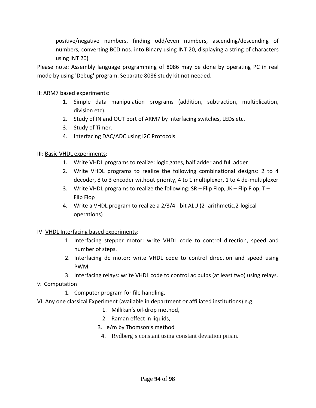positive/negative numbers, finding odd/even numbers, ascending/descending of numbers, converting BCD nos. into Binary using INT 20, displaying a string of characters using INT 20)

Please note: Assembly language programming of 8086 may be done by operating PC in real mode by using 'Debug' program. Separate 8086 study kit not needed.

#### II: ARM7 based experiments:

- 1. Simple data manipulation programs (addition, subtraction, multiplication, division etc).
- 2. Study of IN and OUT port of ARM7 by Interfacing switches, LEDs etc.
- 3. Study of Timer.
- 4. Interfacing DAC/ADC using I2C Protocols.

### III: Basic VHDL experiments:

- 1. Write VHDL programs to realize: logic gates, half adder and full adder
- 2. Write VHDL programs to realize the following combinational designs: 2 to 4 decoder, 8 to 3 encoder without priority, 4 to 1 multiplexer, 1 to 4 de‐multiplexer
- 3. Write VHDL programs to realize the following: SR Flip Flop, JK Flip Flop, T Flip Flop
- 4. Write a VHDL program to realize a 2/3/4 ‐ bit ALU (2‐ arithmetic,2‐logical operations)

#### IV: VHDL Interfacing based experiments:

- 1. Interfacing stepper motor: write VHDL code to control direction, speed and number of steps.
- 2. Interfacing dc motor: write VHDL code to control direction and speed using PWM.
- 3. Interfacing relays: write VHDL code to control ac bulbs (at least two) using relays.
- V: Computation
	- 1. Computer program for file handling.
- VI. Any one classical Experiment (available in department or affiliated institutions) e.g.
	- 1. Millikan's oil‐drop method,
	- 2. Raman effect in liquids,
	- 3. e/m by Thomson's method
		- 4. Rydberg's constant using constant deviation prism.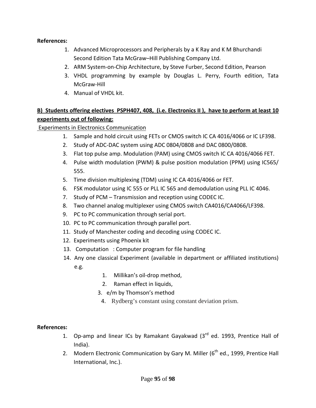#### **References:**

- 1. Advanced Microprocessors and Peripherals by a K Ray and K M Bhurchandi Second Edition Tata McGraw–Hill Publishing Company Ltd.
- 2. ARM System‐on‐Chip Architecture, by Steve Furber, Second Edition, Pearson
- 3. VHDL programming by example by Douglas L. Perry, Fourth edition, Tata McGraw‐Hill
- 4. Manual of VHDL kit.

# B) Students offering electives PSPH407, 408, (i.e. Electronics II), have to perform at least 10 **experiments out of following:**

Experiments in Electronics Communication

- 1. Sample and hold circuit using FETs or CMOS switch IC CA 4016/4066 or IC LF398.
- 2. Study of ADC‐DAC system using ADC 0804/0808 and DAC 0800/0808.
- 3. Flat top pulse amp. Modulation (PAM) using CMOS switch IC CA 4016/4066 FET.
- 4. Pulse width modulation (PWM) & pulse position modulation (PPM) using IC565/ 555.
- 5. Time division multiplexing (TDM) using IC CA 4016/4066 or FET.
- 6. FSK modulator using IC 555 or PLL IC 565 and demodulation using PLL IC 4046.
- 7. Study of PCM Transmission and reception using CODEC IC.
- 8. Two channel analog multiplexer using CMOS switch CA4016/CA4066/LF398.
- 9. PC to PC communication through serial port.
- 10. PC to PC communication through parallel port.
- 11. Study of Manchester coding and decoding using CODEC IC.
- 12. Experiments using Phoenix kit
- 13. Computation : Computer program for file handling
- 14. Any one classical Experiment (available in department or affiliated institutions) e.g.
	- 1. Millikan's oil‐drop method,
	- 2. Raman effect in liquids,
	- 3. e/m by Thomson's method
		- 4. Rydberg's constant using constant deviation prism.

### **References:**

- 1. Op-amp and linear ICs by Ramakant Gayakwad (3<sup>rd</sup> ed. 1993, Prentice Hall of India).
- 2. Modern Electronic Communication by Gary M. Miller  $(6^{th}$  ed., 1999, Prentice Hall International, Inc.).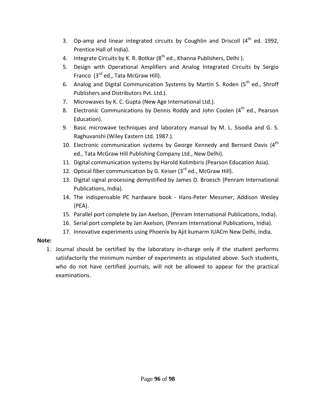- 3. Op-amp and linear integrated circuits by Coughlin and Driscoll  $(4<sup>th</sup>$  ed. 1992, Prentice Hall of India).
- 4. Integrate Circuits by K. R. Botkar  $(8^{th}$  ed., Khanna Publishers, Delhi).
- 5. Design with Operational Amplifiers and Analog Integrated Circuits by Sergio Franco  $(3^{rd}$  ed., Tata McGraw Hill).
- 6. Analog and Digital Communication Systems by Martin S. Roden ( $5<sup>th</sup>$  ed., Shroff Publishers and Distributors Pvt. Ltd.).
- 7. Microwaves by K. C. Gupta (New Age International Ltd.).
- 8. Electronic Communications by Dennis Roddy and John Coolen  $(4^{th}$  ed., Pearson Education).
- 9. Basic microwave techniques and laboratory manual by M. L. Sisodia and G. S. Raghuvanshi (Wiley Eastern Ltd. 1987.).
- 10. Electronic communication systems by George Kennedy and Bernard Davis  $(4<sup>th</sup>$ ed., Tata McGraw Hill Publishing Company Ltd., New Delhi).
- 11. Digital communication systems by Harold Kolimbiris (Pearson Education Asia).
- 12. Optical fiber communication by G. Keiser  $(3^{rd}$  ed., McGraw Hill).
- 13. Digital signal processing demystified by James D. Broesch (Penram International Publications, India).
- 14. The indispensable PC hardware book ‐ Hans‐Peter Messmer, Addison Wesley (PEA).
- 15. Parallel port complete by Jan Axelson, (Penram International Publications, India).
- 16. Serial port complete by Jan Axelson, (Penram International Publications, India).
- 17. Innovative experiments using Phoenix by Ajit kumarm IUACm New Delhi, India.

### **Note:**

1. Journal should be certified by the laboratory in‐charge only if the student performs satisfactorily the minimum number of experiments as stipulated above. Such students, who do not have certified journals, will not be allowed to appear for the practical examinations.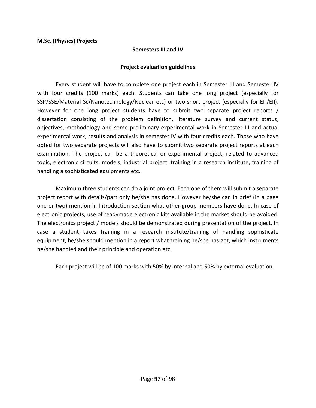#### **Semesters III and IV**

#### **Project evaluation guidelines**

Every student will have to complete one project each in Semester III and Semester IV with four credits (100 marks) each. Students can take one long project (especially for SSP/SSE/Material Sc/Nanotechnology/Nuclear etc) or two short project (especially for EI /EII). However for one long project students have to submit two separate project reports / dissertation consisting of the problem definition, literature survey and current status, objectives, methodology and some preliminary experimental work in Semester III and actual experimental work, results and analysis in semester IV with four credits each. Those who have opted for two separate projects will also have to submit two separate project reports at each examination. The project can be a theoretical or experimental project, related to advanced topic, electronic circuits, models, industrial project, training in a research institute, training of handling a sophisticated equipments etc.

 Maximum three students can do a joint project. Each one of them will submit a separate project report with details/part only he/she has done. However he/she can in brief (in a page one or two) mention in Introduction section what other group members have done. In case of electronic projects, use of readymade electronic kits available in the market should be avoided. The electronics project / models should be demonstrated during presentation of the project. In case a student takes training in a research institute/training of handling sophisticate equipment, he/she should mention in a report what training he/she has got, which instruments he/she handled and their principle and operation etc.

Each project will be of 100 marks with 50% by internal and 50% by external evaluation.